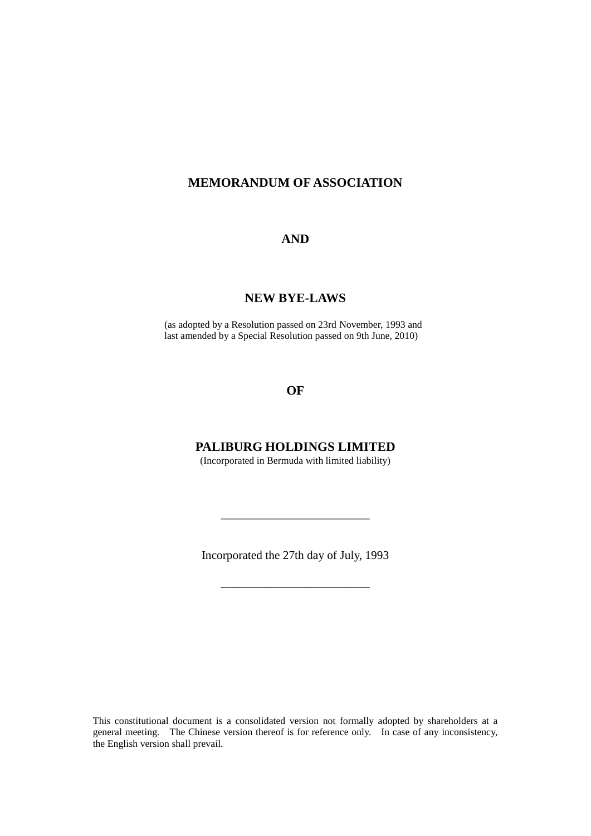## **MEMORANDUM OF ASSOCIATION**

### **AND**

## **NEW BYE-LAWS**

(as adopted by a Resolution passed on 23rd November, 1993 and last amended by a Special Resolution passed on 9th June, 2010)

## **OF**

## **PALIBURG HOLDINGS LIMITED**

(Incorporated in Bermuda with limited liability)

Incorporated the 27th day of July, 1993

\_\_\_\_\_\_\_\_\_\_\_\_\_\_\_\_\_\_\_\_\_\_\_\_\_

\_\_\_\_\_\_\_\_\_\_\_\_\_\_\_\_\_\_\_\_\_\_\_\_\_

This constitutional document is a consolidated version not formally adopted by shareholders at a general meeting. The Chinese version thereof is for reference only. In case of any inconsistency, the English version shall prevail.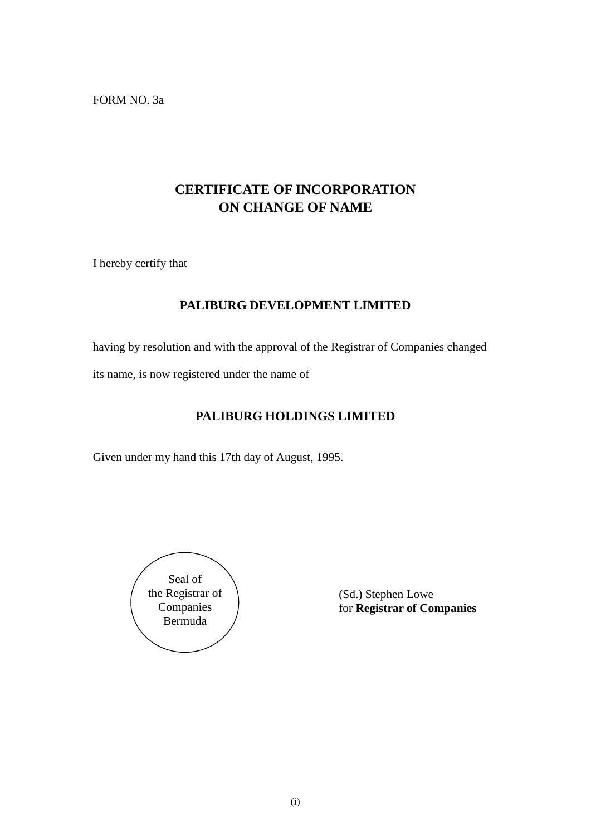FORM NO. 3a

## **CERTIFICATE OF INCORPORATION ON CHANGE OF NAME**

I hereby certify that

## **PALIBURG DEVELOPMENT LIMITED**

having by resolution and with the approval of the Registrar of Companies changed

its name, is now registered under the name of

## **PALIBURG HOLDINGS LIMITED**

Given under my hand this 17th day of August, 1995.



(Sd.) Stephen Lowe for **Registrar of Companies**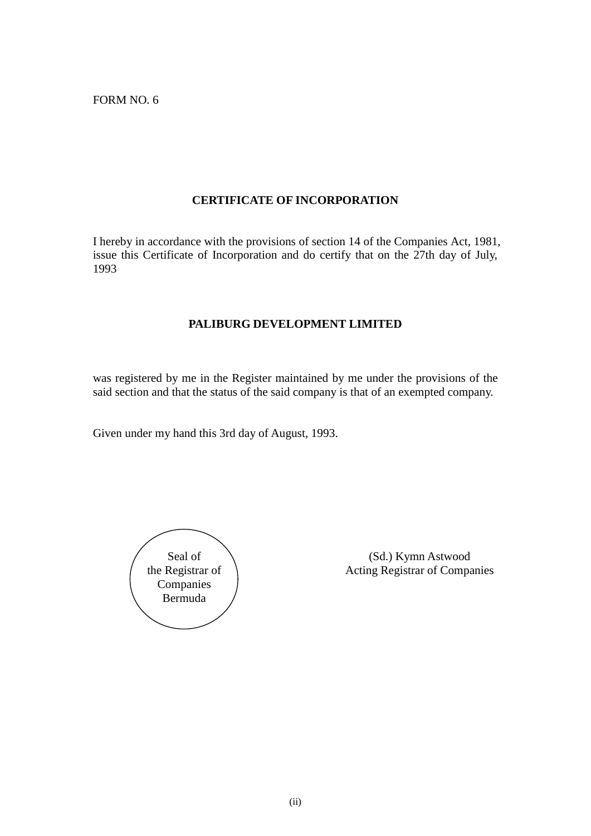FORM NO. 6

## **CERTIFICATE OF INCORPORATION**

I hereby in accordance with the provisions of section 14 of the Companies Act, 1981, issue this Certificate of Incorporation and do certify that on the 27th day of July, 1993

## **PALIBURG DEVELOPMENT LIMITED**

was registered by me in the Register maintained by me under the provisions of the said section and that the status of the said company is that of an exempted company.

Given under my hand this 3rd day of August, 1993.

Seal of the Registrar of Companies Bermuda

(Sd.) Kymn Astwood Acting Registrar of Companies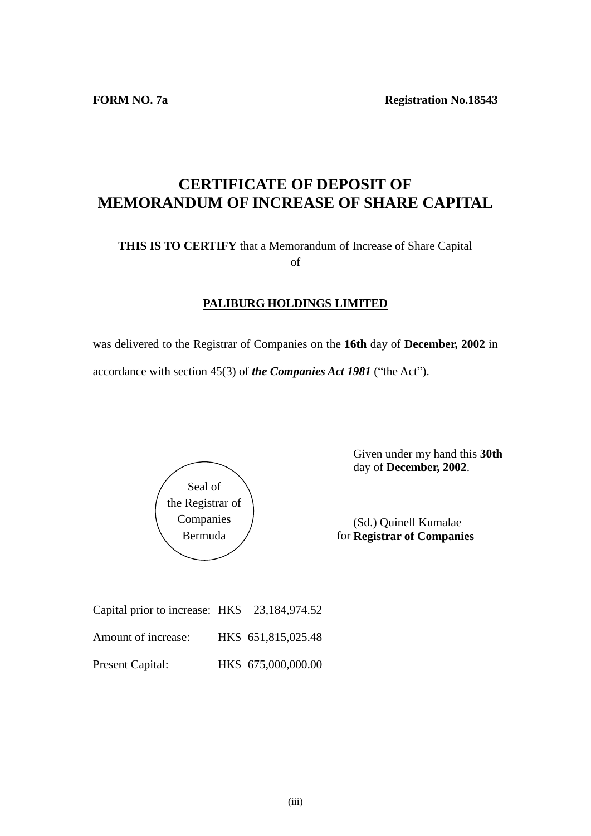**FORM NO. 7a Registration No.18543** 

## **CERTIFICATE OF DEPOSIT OF MEMORANDUM OF INCREASE OF SHARE CAPITAL**

## **THIS IS TO CERTIFY** that a Memorandum of Increase of Share Capital of

## **PALIBURG HOLDINGS LIMITED**

was delivered to the Registrar of Companies on the **16th** day of **December, 2002** in accordance with section 45(3) of *the Companies Act 1981* ("the Act").



Given under my hand this **30th** day of **December, 2002**.

(Sd.) Quinell Kumalae **Registrar of Companies**

| Capital prior to increase: HK\$ 23,184,974.52 |                     |
|-----------------------------------------------|---------------------|
| Amount of increase:                           | HK\$ 651,815,025.48 |
| <b>Present Capital:</b>                       | HK\$ 675,000,000.00 |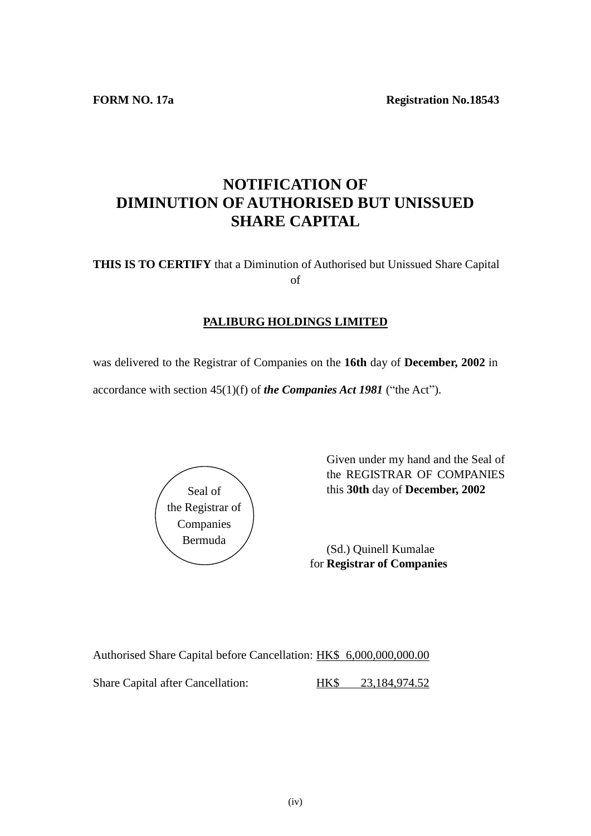**FORM NO. 17a Registration No.18543** 

## **NOTIFICATION OF DIMINUTION OF AUTHORISED BUT UNISSUED SHARE CAPITAL**

**THIS IS TO CERTIFY** that a Diminution of Authorised but Unissued Share Capital of

## **PALIBURG HOLDINGS LIMITED**

was delivered to the Registrar of Companies on the **16th** day of **December, 2002** in

accordance with section 45(1)(f) of *the Companies Act 1981* ("the Act").



Given under my hand and the Seal of the REGISTRAR OF COMPANIES this **30th** day of **December, 2002**

for **Registrar of Companies** (Sd.) Quinell Kumalae

Authorised Share Capital before Cancellation: HK\$ 6,000,000,000.00 Share Capital after Cancellation: HK\$ 23,184,974.52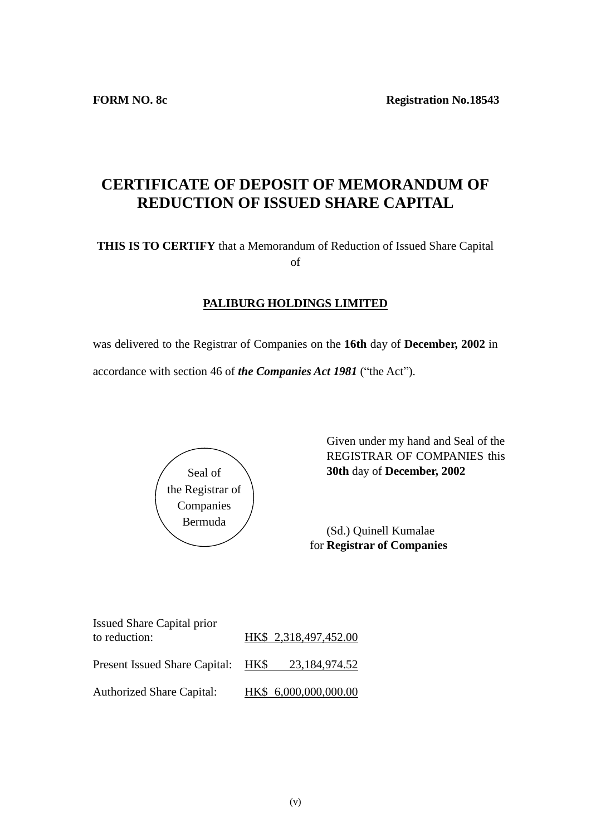# **CERTIFICATE OF DEPOSIT OF MEMORANDUM OF REDUCTION OF ISSUED SHARE CAPITAL**

**THIS IS TO CERTIFY** that a Memorandum of Reduction of Issued Share Capital of

## **PALIBURG HOLDINGS LIMITED**

was delivered to the Registrar of Companies on the **16th** day of **December, 2002** in accordance with section 46 of *the Companies Act 1981* ("the Act").



Given under my hand and Seal of the REGISTRAR OF COMPANIES this **30th** day of **December, 2002**

for **Registrar of Companies** (Sd.) Quinell Kumalae

| <b>Issued Share Capital prior</b><br>to reduction: | HK\$ 2,318,497,452.00 |
|----------------------------------------------------|-----------------------|
| Present Issued Share Capital: HK\$                 | 23,184,974.52         |
| <b>Authorized Share Capital:</b>                   | HK\$ 6,000,000,000.00 |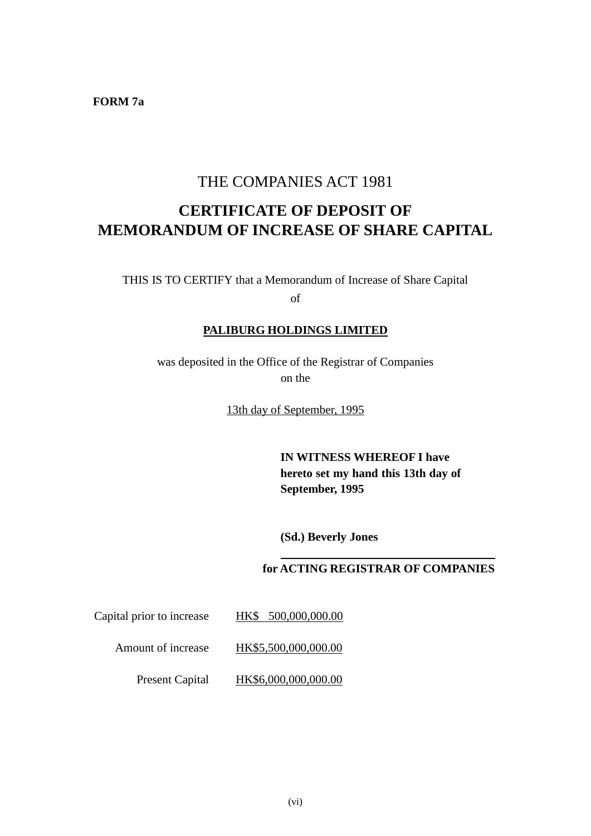**FORM 7a**

## THE COMPANIES ACT 1981

# **CERTIFICATE OF DEPOSIT OF MEMORANDUM OF INCREASE OF SHARE CAPITAL**

THIS IS TO CERTIFY that a Memorandum of Increase of Share Capital of

## **PALIBURG HOLDINGS LIMITED**

was deposited in the Office of the Registrar of Companies on the

13th day of September, 1995

**IN WITNESS WHEREOF I have hereto set my hand this 13th day of September, 1995**

**(Sd.) Beverly Jones**

## **for ACTING REGISTRAR OF COMPANIES**

Capital prior to increase HK\$ 500,000,000.00

Amount of increase HK\$5,500,000,000.00

Present Capital HK\$6,000,000,000.00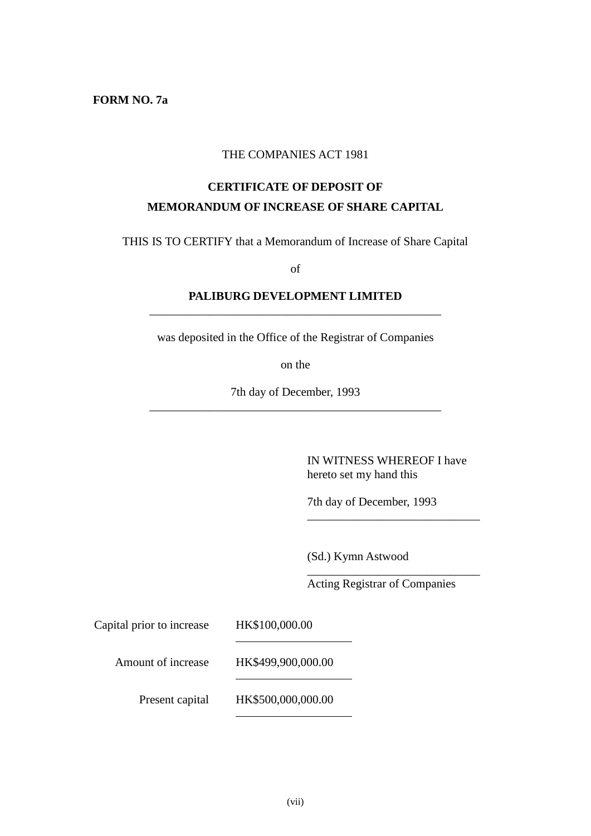**FORM NO. 7a**

### THE COMPANIES ACT 1981

## **CERTIFICATE OF DEPOSIT OF MEMORANDUM OF INCREASE OF SHARE CAPITAL**

THIS IS TO CERTIFY that a Memorandum of Increase of Share Capital

of

## **PALIBURG DEVELOPMENT LIMITED** \_\_\_\_\_\_\_\_\_\_\_\_\_\_\_\_\_\_\_\_\_\_\_\_\_\_\_\_\_\_\_\_\_\_\_\_\_\_\_\_\_\_\_\_\_\_\_\_\_

was deposited in the Office of the Registrar of Companies

on the

7th day of December, 1993 \_\_\_\_\_\_\_\_\_\_\_\_\_\_\_\_\_\_\_\_\_\_\_\_\_\_\_\_\_\_\_\_\_\_\_\_\_\_\_\_\_\_\_\_\_\_\_\_\_

> IN WITNESS WHEREOF I have hereto set my hand this

\_\_\_\_\_\_\_\_\_\_\_\_\_\_\_\_\_\_\_\_\_\_\_\_\_\_\_\_\_

\_\_\_\_\_\_\_\_\_\_\_\_\_\_\_\_\_\_\_\_\_\_\_\_\_\_\_\_\_

7th day of December, 1993

(Sd.) Kymn Astwood

Acting Registrar of Companies

Capital prior to increase HK\$100,000.00

Amount of increase HK\$499,900,000.00

Present capital HK\$500,000,000.00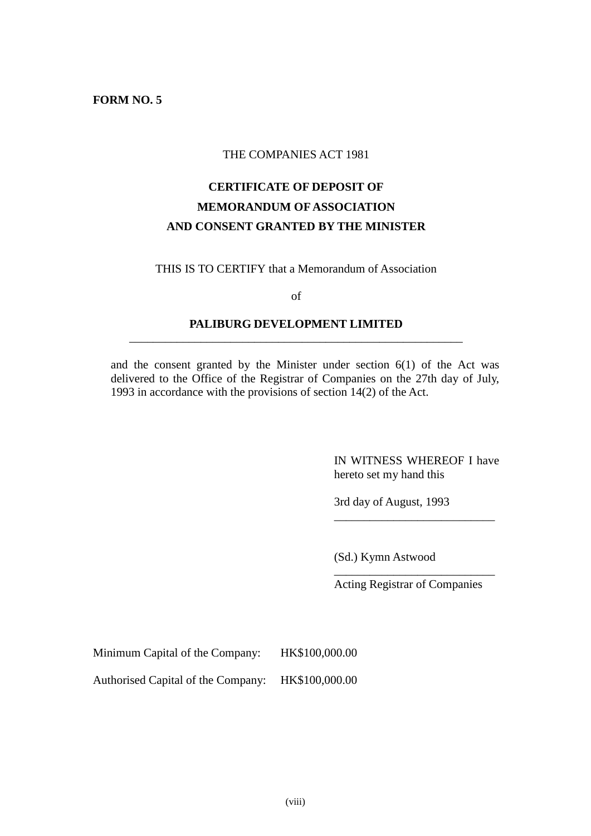#### **FORM NO. 5**

#### THE COMPANIES ACT 1981

## **CERTIFICATE OF DEPOSIT OF MEMORANDUM OF ASSOCIATION AND CONSENT GRANTED BY THE MINISTER**

THIS IS TO CERTIFY that a Memorandum of Association

of

#### **PALIBURG DEVELOPMENT LIMITED** \_\_\_\_\_\_\_\_\_\_\_\_\_\_\_\_\_\_\_\_\_\_\_\_\_\_\_\_\_\_\_\_\_\_\_\_\_\_\_\_\_\_\_\_\_\_\_\_\_\_\_\_\_\_\_\_

and the consent granted by the Minister under section  $6(1)$  of the Act was delivered to the Office of the Registrar of Companies on the 27th day of July, 1993 in accordance with the provisions of section 14(2) of the Act.

> IN WITNESS WHEREOF I have hereto set my hand this

\_\_\_\_\_\_\_\_\_\_\_\_\_\_\_\_\_\_\_\_\_\_\_\_\_\_\_

3rd day of August, 1993

(Sd.) Kymn Astwood

\_\_\_\_\_\_\_\_\_\_\_\_\_\_\_\_\_\_\_\_\_\_\_\_\_\_\_ Acting Registrar of Companies

Minimum Capital of the Company: HK\$100,000.00

Authorised Capital of the Company: HK\$100,000.00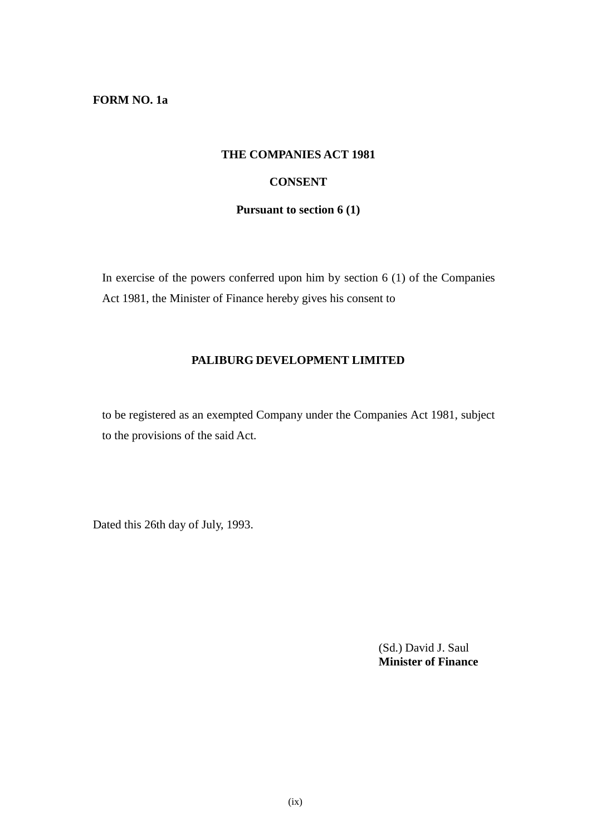**FORM NO. 1a**

#### **THE COMPANIES ACT 1981**

## **CONSENT**

**Pursuant to section 6 (1)**

In exercise of the powers conferred upon him by section  $6(1)$  of the Companies Act 1981, the Minister of Finance hereby gives his consent to

### **PALIBURG DEVELOPMENT LIMITED**

to be registered as an exempted Company under the Companies Act 1981, subject to the provisions of the said Act.

Dated this 26th day of July, 1993.

(Sd.) David J. Saul **Minister of Finance**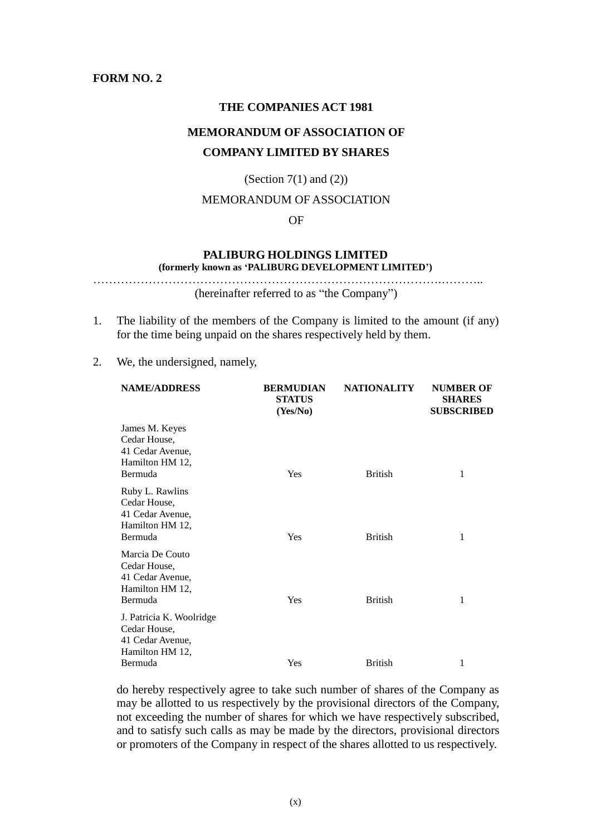#### **FORM NO. 2**

#### **THE COMPANIES ACT 1981**

## **MEMORANDUM OF ASSOCIATION OF COMPANY LIMITED BY SHARES**

#### (Section  $7(1)$  and  $(2)$ )

#### MEMORANDUM OF ASSOCIATION

#### OF

#### **PALIBURG HOLDINGS LIMITED (formerly known as 'PALIBURG DEVELOPMENT LIMITED')**

…………………………………………………………………………….……….. (hereinafter referred to as "the Company")

- 1. The liability of the members of the Company is limited to the amount (if any) for the time being unpaid on the shares respectively held by them.
- 2. We, the undersigned, namely,

| <b>NAME/ADDRESS</b>                                                                        | <b>BERMUDIAN</b><br><b>STATUS</b><br>(Yes/No) | <b>NATIONALITY</b> | <b>NUMBER OF</b><br><b>SHARES</b><br><b>SUBSCRIBED</b> |
|--------------------------------------------------------------------------------------------|-----------------------------------------------|--------------------|--------------------------------------------------------|
| James M. Keyes<br>Cedar House,<br>41 Cedar Avenue,<br>Hamilton HM 12,<br>Bermuda           | Yes                                           | <b>British</b>     | 1                                                      |
| Ruby L. Rawlins<br>Cedar House,<br>41 Cedar Avenue,<br>Hamilton HM 12,<br>Bermuda          | Yes                                           | <b>British</b>     | 1                                                      |
| Marcia De Couto<br>Cedar House,<br>41 Cedar Avenue,<br>Hamilton HM 12,<br>Bermuda          | Yes                                           | <b>British</b>     | 1                                                      |
| J. Patricia K. Woolridge<br>Cedar House,<br>41 Cedar Avenue,<br>Hamilton HM 12,<br>Bermuda | Yes                                           | <b>British</b>     | 1                                                      |

do hereby respectively agree to take such number of shares of the Company as may be allotted to us respectively by the provisional directors of the Company, not exceeding the number of shares for which we have respectively subscribed, and to satisfy such calls as may be made by the directors, provisional directors or promoters of the Company in respect of the shares allotted to us respectively.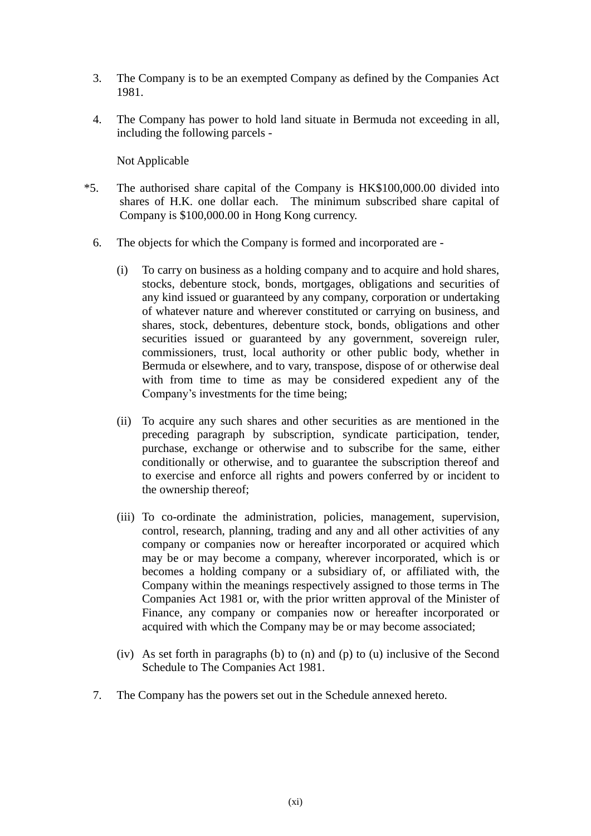- 3. The Company is to be an exempted Company as defined by the Companies Act 1981.
- 4. The Company has power to hold land situate in Bermuda not exceeding in all, including the following parcels -

Not Applicable

- \*5. The authorised share capital of the Company is HK\$100,000.00 divided into shares of H.K. one dollar each. The minimum subscribed share capital of Company is \$100,000.00 in Hong Kong currency.
	- 6. The objects for which the Company is formed and incorporated are
		- (i) To carry on business as a holding company and to acquire and hold shares, stocks, debenture stock, bonds, mortgages, obligations and securities of any kind issued or guaranteed by any company, corporation or undertaking of whatever nature and wherever constituted or carrying on business, and shares, stock, debentures, debenture stock, bonds, obligations and other securities issued or guaranteed by any government, sovereign ruler, commissioners, trust, local authority or other public body, whether in Bermuda or elsewhere, and to vary, transpose, dispose of or otherwise deal with from time to time as may be considered expedient any of the Company's investments for the time being;
		- (ii) To acquire any such shares and other securities as are mentioned in the preceding paragraph by subscription, syndicate participation, tender, purchase, exchange or otherwise and to subscribe for the same, either conditionally or otherwise, and to guarantee the subscription thereof and to exercise and enforce all rights and powers conferred by or incident to the ownership thereof;
		- (iii) To co-ordinate the administration, policies, management, supervision, control, research, planning, trading and any and all other activities of any company or companies now or hereafter incorporated or acquired which may be or may become a company, wherever incorporated, which is or becomes a holding company or a subsidiary of, or affiliated with, the Company within the meanings respectively assigned to those terms in The Companies Act 1981 or, with the prior written approval of the Minister of Finance, any company or companies now or hereafter incorporated or acquired with which the Company may be or may become associated;
		- (iv) As set forth in paragraphs (b) to (n) and (p) to (u) inclusive of the Second Schedule to The Companies Act 1981.
	- 7. The Company has the powers set out in the Schedule annexed hereto.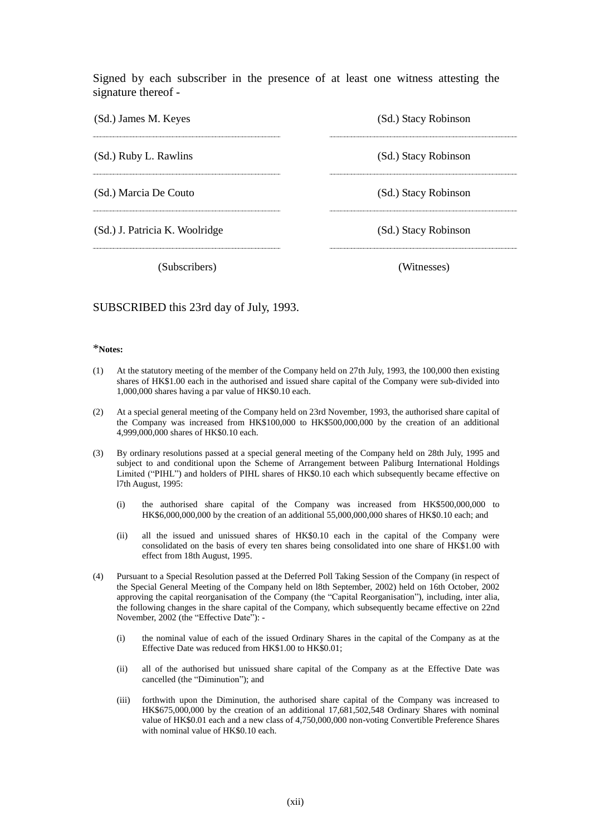Signed by each subscriber in the presence of at least one witness attesting the signature thereof -

| (Sd.) James M. Keyes           | (Sd.) Stacy Robinson |  |  |
|--------------------------------|----------------------|--|--|
| (Sd.) Ruby L. Rawlins          | (Sd.) Stacy Robinson |  |  |
|                                |                      |  |  |
| (Sd.) Marcia De Couto          | (Sd.) Stacy Robinson |  |  |
|                                |                      |  |  |
| (Sd.) J. Patricia K. Woolridge | (Sd.) Stacy Robinson |  |  |
|                                |                      |  |  |
| (Subscribers)                  | (Witnesses)          |  |  |

#### SUBSCRIBED this 23rd day of July, 1993.

#### \***Notes:**

- (1) At the statutory meeting of the member of the Company held on 27th July, 1993, the 100,000 then existing shares of HK\$1.00 each in the authorised and issued share capital of the Company were sub-divided into 1,000,000 shares having a par value of HK\$0.10 each.
- (2) At a special general meeting of the Company held on 23rd November, 1993, the authorised share capital of the Company was increased from HK\$100,000 to HK\$500,000,000 by the creation of an additional 4,999,000,000 shares of HK\$0.10 each.
- (3) By ordinary resolutions passed at a special general meeting of the Company held on 28th July, 1995 and subject to and conditional upon the Scheme of Arrangement between Paliburg International Holdings Limited ("PIHL") and holders of PIHL shares of HK\$0.10 each which subsequently became effective on l7th August, 1995:
	- (i) the authorised share capital of the Company was increased from HK\$500,000,000 to HK\$6,000,000,000 by the creation of an additional 55,000,000,000 shares of HK\$0.10 each; and
	- (ii) all the issued and unissued shares of HK\$0.10 each in the capital of the Company were consolidated on the basis of every ten shares being consolidated into one share of HK\$1.00 with effect from 18th August, 1995.
- (4) Pursuant to a Special Resolution passed at the Deferred Poll Taking Session of the Company (in respect of the Special General Meeting of the Company held on l8th September, 2002) held on 16th October, 2002 approving the capital reorganisation of the Company (the "Capital Reorganisation"), including, inter alia, the following changes in the share capital of the Company, which subsequently became effective on 22nd November, 2002 (the "Effective Date"): -
	- (i) the nominal value of each of the issued Ordinary Shares in the capital of the Company as at the Effective Date was reduced from HK\$1.00 to HK\$0.01;
	- (ii) all of the authorised but unissued share capital of the Company as at the Effective Date was cancelled (the "Diminution"); and
	- (iii) forthwith upon the Diminution, the authorised share capital of the Company was increased to HK\$675,000,000 by the creation of an additional 17,681,502,548 Ordinary Shares with nominal value of HK\$0.01 each and a new class of 4,750,000,000 non-voting Convertible Preference Shares with nominal value of HK\$0.10 each.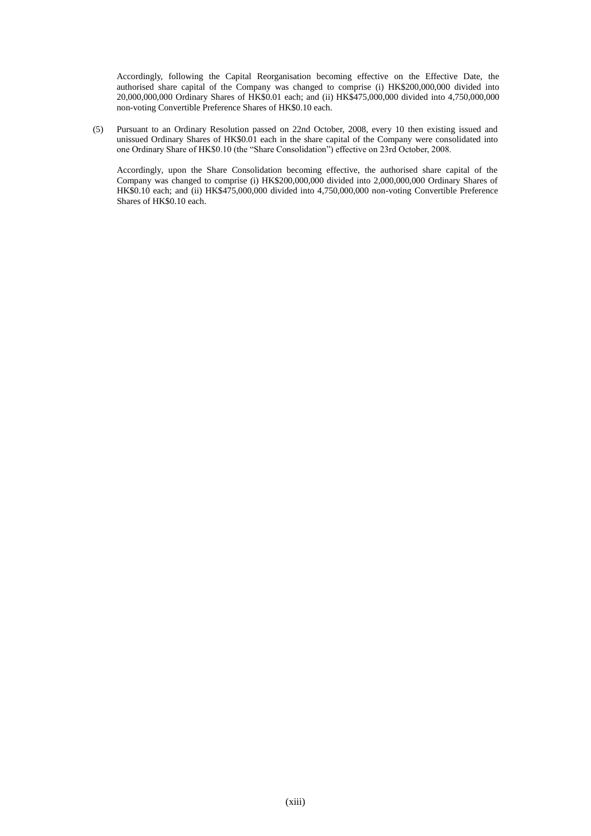Accordingly, following the Capital Reorganisation becoming effective on the Effective Date, the authorised share capital of the Company was changed to comprise (i) HK\$200,000,000 divided into 20,000,000,000 Ordinary Shares of HK\$0.01 each; and (ii) HK\$475,000,000 divided into 4,750,000,000 non-voting Convertible Preference Shares of HK\$0.10 each.

(5) Pursuant to an Ordinary Resolution passed on 22nd October, 2008, every 10 then existing issued and unissued Ordinary Shares of HK\$0.01 each in the share capital of the Company were consolidated into one Ordinary Share of HK\$0.10 (the "Share Consolidation") effective on 23rd October, 2008.

Accordingly, upon the Share Consolidation becoming effective, the authorised share capital of the Company was changed to comprise (i) HK\$200,000,000 divided into 2,000,000,000 Ordinary Shares of HK\$0.10 each; and (ii) HK\$475,000,000 divided into 4,750,000,000 non-voting Convertible Preference Shares of HK\$0.10 each.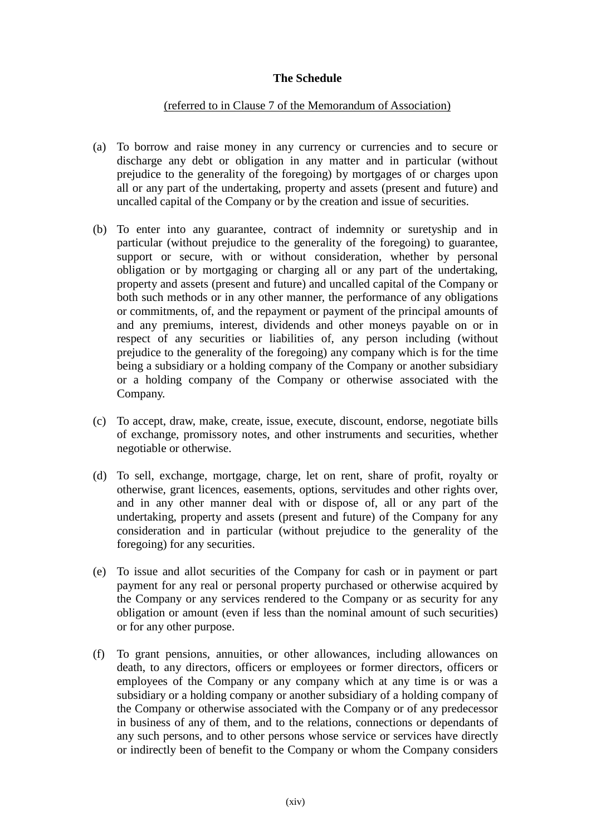## **The Schedule**

### (referred to in Clause 7 of the Memorandum of Association)

- (a) To borrow and raise money in any currency or currencies and to secure or discharge any debt or obligation in any matter and in particular (without prejudice to the generality of the foregoing) by mortgages of or charges upon all or any part of the undertaking, property and assets (present and future) and uncalled capital of the Company or by the creation and issue of securities.
- (b) To enter into any guarantee, contract of indemnity or suretyship and in particular (without prejudice to the generality of the foregoing) to guarantee, support or secure, with or without consideration, whether by personal obligation or by mortgaging or charging all or any part of the undertaking, property and assets (present and future) and uncalled capital of the Company or both such methods or in any other manner, the performance of any obligations or commitments, of, and the repayment or payment of the principal amounts of and any premiums, interest, dividends and other moneys payable on or in respect of any securities or liabilities of, any person including (without prejudice to the generality of the foregoing) any company which is for the time being a subsidiary or a holding company of the Company or another subsidiary or a holding company of the Company or otherwise associated with the Company.
- (c) To accept, draw, make, create, issue, execute, discount, endorse, negotiate bills of exchange, promissory notes, and other instruments and securities, whether negotiable or otherwise.
- (d) To sell, exchange, mortgage, charge, let on rent, share of profit, royalty or otherwise, grant licences, easements, options, servitudes and other rights over, and in any other manner deal with or dispose of, all or any part of the undertaking, property and assets (present and future) of the Company for any consideration and in particular (without prejudice to the generality of the foregoing) for any securities.
- (e) To issue and allot securities of the Company for cash or in payment or part payment for any real or personal property purchased or otherwise acquired by the Company or any services rendered to the Company or as security for any obligation or amount (even if less than the nominal amount of such securities) or for any other purpose.
- (f) To grant pensions, annuities, or other allowances, including allowances on death, to any directors, officers or employees or former directors, officers or employees of the Company or any company which at any time is or was a subsidiary or a holding company or another subsidiary of a holding company of the Company or otherwise associated with the Company or of any predecessor in business of any of them, and to the relations, connections or dependants of any such persons, and to other persons whose service or services have directly or indirectly been of benefit to the Company or whom the Company considers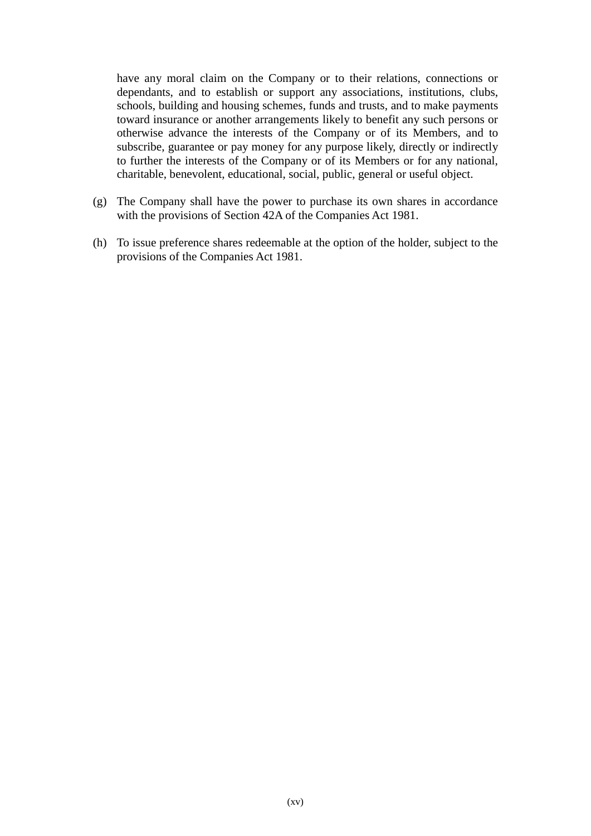have any moral claim on the Company or to their relations, connections or dependants, and to establish or support any associations, institutions, clubs, schools, building and housing schemes, funds and trusts, and to make payments toward insurance or another arrangements likely to benefit any such persons or otherwise advance the interests of the Company or of its Members, and to subscribe, guarantee or pay money for any purpose likely, directly or indirectly to further the interests of the Company or of its Members or for any national, charitable, benevolent, educational, social, public, general or useful object.

- (g) The Company shall have the power to purchase its own shares in accordance with the provisions of Section 42A of the Companies Act 1981.
- (h) To issue preference shares redeemable at the option of the holder, subject to the provisions of the Companies Act 1981.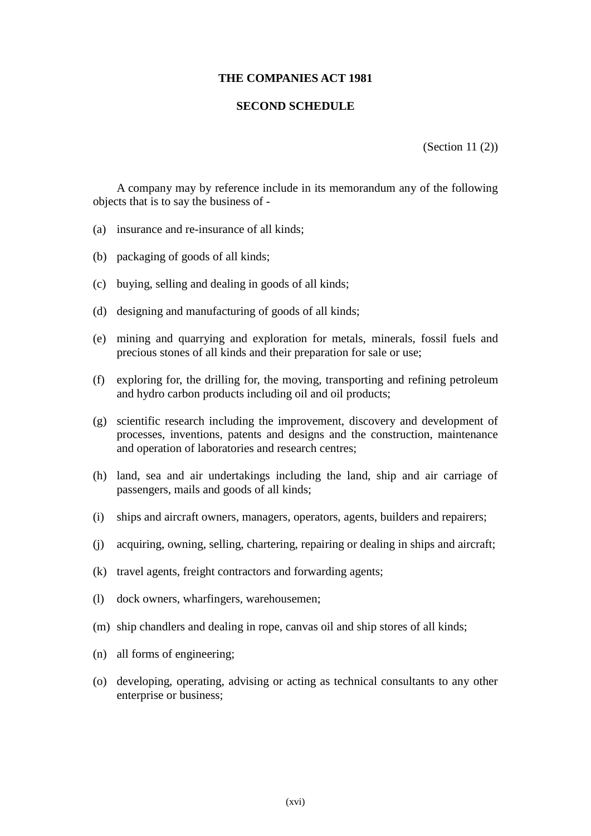#### **THE COMPANIES ACT 1981**

#### **SECOND SCHEDULE**

(Section 11 (2))

A company may by reference include in its memorandum any of the following objects that is to say the business of -

- (a) insurance and re-insurance of all kinds;
- (b) packaging of goods of all kinds;
- (c) buying, selling and dealing in goods of all kinds;
- (d) designing and manufacturing of goods of all kinds;
- (e) mining and quarrying and exploration for metals, minerals, fossil fuels and precious stones of all kinds and their preparation for sale or use;
- (f) exploring for, the drilling for, the moving, transporting and refining petroleum and hydro carbon products including oil and oil products;
- (g) scientific research including the improvement, discovery and development of processes, inventions, patents and designs and the construction, maintenance and operation of laboratories and research centres;
- (h) land, sea and air undertakings including the land, ship and air carriage of passengers, mails and goods of all kinds;
- (i) ships and aircraft owners, managers, operators, agents, builders and repairers;
- (j) acquiring, owning, selling, chartering, repairing or dealing in ships and aircraft;
- (k) travel agents, freight contractors and forwarding agents;
- (l) dock owners, wharfingers, warehousemen;
- (m) ship chandlers and dealing in rope, canvas oil and ship stores of all kinds;
- (n) all forms of engineering;
- (o) developing, operating, advising or acting as technical consultants to any other enterprise or business;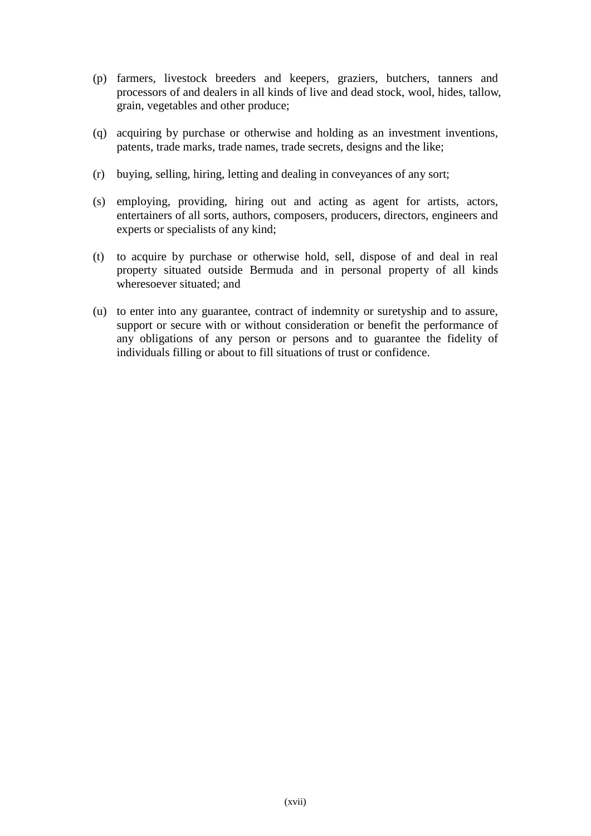- (p) farmers, livestock breeders and keepers, graziers, butchers, tanners and processors of and dealers in all kinds of live and dead stock, wool, hides, tallow, grain, vegetables and other produce;
- (q) acquiring by purchase or otherwise and holding as an investment inventions, patents, trade marks, trade names, trade secrets, designs and the like;
- (r) buying, selling, hiring, letting and dealing in conveyances of any sort;
- (s) employing, providing, hiring out and acting as agent for artists, actors, entertainers of all sorts, authors, composers, producers, directors, engineers and experts or specialists of any kind;
- (t) to acquire by purchase or otherwise hold, sell, dispose of and deal in real property situated outside Bermuda and in personal property of all kinds wheresoever situated; and
- (u) to enter into any guarantee, contract of indemnity or suretyship and to assure, support or secure with or without consideration or benefit the performance of any obligations of any person or persons and to guarantee the fidelity of individuals filling or about to fill situations of trust or confidence.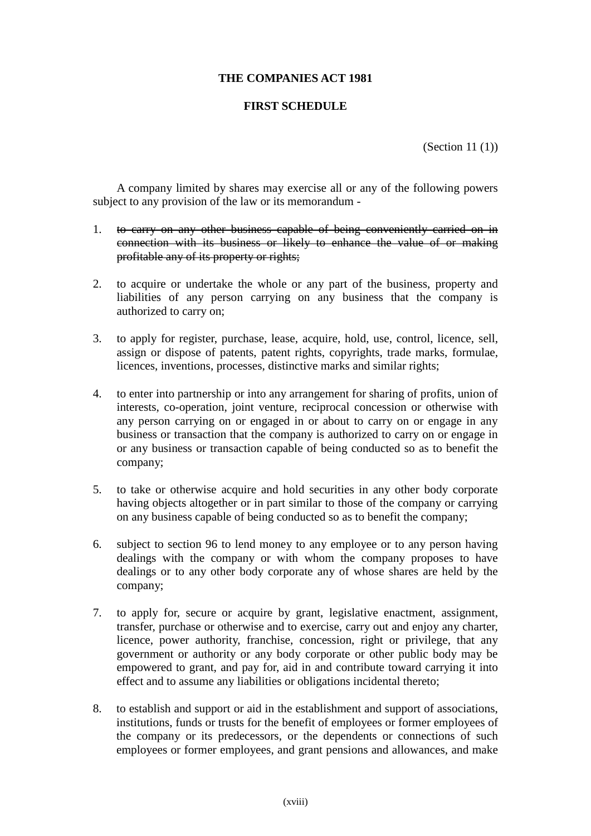### **THE COMPANIES ACT 1981**

#### **FIRST SCHEDULE**

(Section 11 (1))

A company limited by shares may exercise all or any of the following powers subject to any provision of the law or its memorandum -

- 1. to carry on any other business capable of being conveniently carried on in connection with its business or likely to enhance the value of or making profitable any of its property or rights;
- 2. to acquire or undertake the whole or any part of the business, property and liabilities of any person carrying on any business that the company is authorized to carry on;
- 3. to apply for register, purchase, lease, acquire, hold, use, control, licence, sell, assign or dispose of patents, patent rights, copyrights, trade marks, formulae, licences, inventions, processes, distinctive marks and similar rights;
- 4. to enter into partnership or into any arrangement for sharing of profits, union of interests, co-operation, joint venture, reciprocal concession or otherwise with any person carrying on or engaged in or about to carry on or engage in any business or transaction that the company is authorized to carry on or engage in or any business or transaction capable of being conducted so as to benefit the company;
- 5. to take or otherwise acquire and hold securities in any other body corporate having objects altogether or in part similar to those of the company or carrying on any business capable of being conducted so as to benefit the company;
- 6. subject to section 96 to lend money to any employee or to any person having dealings with the company or with whom the company proposes to have dealings or to any other body corporate any of whose shares are held by the company;
- 7. to apply for, secure or acquire by grant, legislative enactment, assignment, transfer, purchase or otherwise and to exercise, carry out and enjoy any charter, licence, power authority, franchise, concession, right or privilege, that any government or authority or any body corporate or other public body may be empowered to grant, and pay for, aid in and contribute toward carrying it into effect and to assume any liabilities or obligations incidental thereto;
- 8. to establish and support or aid in the establishment and support of associations, institutions, funds or trusts for the benefit of employees or former employees of the company or its predecessors, or the dependents or connections of such employees or former employees, and grant pensions and allowances, and make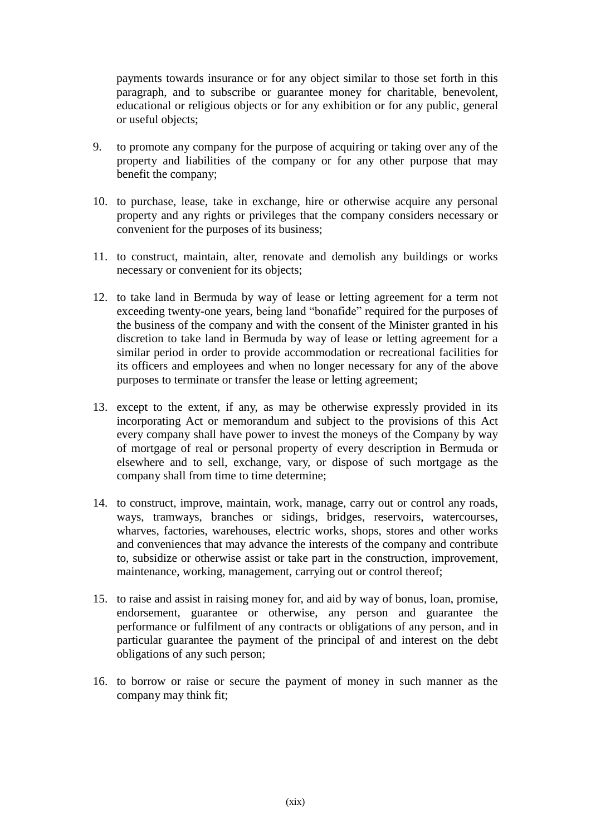payments towards insurance or for any object similar to those set forth in this paragraph, and to subscribe or guarantee money for charitable, benevolent, educational or religious objects or for any exhibition or for any public, general or useful objects;

- 9. to promote any company for the purpose of acquiring or taking over any of the property and liabilities of the company or for any other purpose that may benefit the company;
- 10. to purchase, lease, take in exchange, hire or otherwise acquire any personal property and any rights or privileges that the company considers necessary or convenient for the purposes of its business;
- 11. to construct, maintain, alter, renovate and demolish any buildings or works necessary or convenient for its objects;
- 12. to take land in Bermuda by way of lease or letting agreement for a term not exceeding twenty-one years, being land "bonafide" required for the purposes of the business of the company and with the consent of the Minister granted in his discretion to take land in Bermuda by way of lease or letting agreement for a similar period in order to provide accommodation or recreational facilities for its officers and employees and when no longer necessary for any of the above purposes to terminate or transfer the lease or letting agreement;
- 13. except to the extent, if any, as may be otherwise expressly provided in its incorporating Act or memorandum and subject to the provisions of this Act every company shall have power to invest the moneys of the Company by way of mortgage of real or personal property of every description in Bermuda or elsewhere and to sell, exchange, vary, or dispose of such mortgage as the company shall from time to time determine;
- 14. to construct, improve, maintain, work, manage, carry out or control any roads, ways, tramways, branches or sidings, bridges, reservoirs, watercourses, wharves, factories, warehouses, electric works, shops, stores and other works and conveniences that may advance the interests of the company and contribute to, subsidize or otherwise assist or take part in the construction, improvement, maintenance, working, management, carrying out or control thereof;
- 15. to raise and assist in raising money for, and aid by way of bonus, loan, promise, endorsement, guarantee or otherwise, any person and guarantee the performance or fulfilment of any contracts or obligations of any person, and in particular guarantee the payment of the principal of and interest on the debt obligations of any such person;
- 16. to borrow or raise or secure the payment of money in such manner as the company may think fit;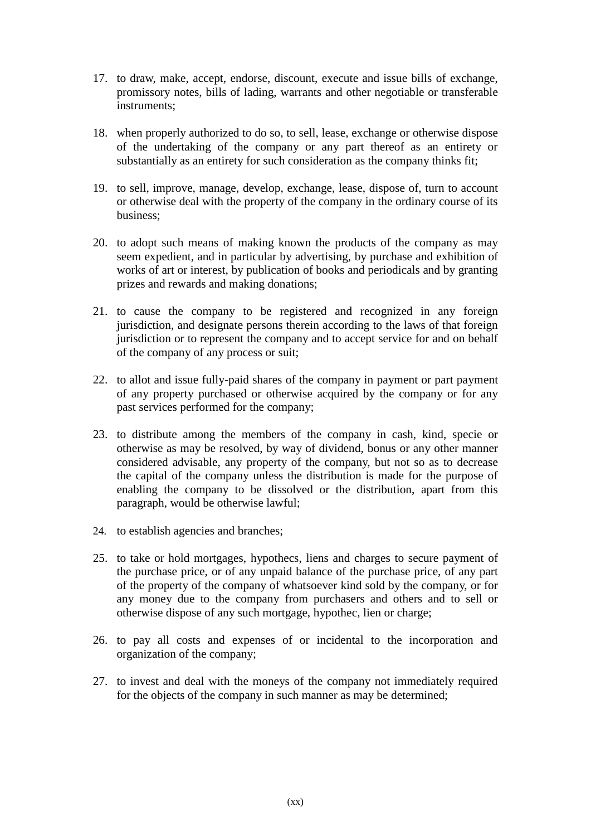- 17. to draw, make, accept, endorse, discount, execute and issue bills of exchange, promissory notes, bills of lading, warrants and other negotiable or transferable instruments;
- 18. when properly authorized to do so, to sell, lease, exchange or otherwise dispose of the undertaking of the company or any part thereof as an entirety or substantially as an entirety for such consideration as the company thinks fit;
- 19. to sell, improve, manage, develop, exchange, lease, dispose of, turn to account or otherwise deal with the property of the company in the ordinary course of its business;
- 20. to adopt such means of making known the products of the company as may seem expedient, and in particular by advertising, by purchase and exhibition of works of art or interest, by publication of books and periodicals and by granting prizes and rewards and making donations;
- 21. to cause the company to be registered and recognized in any foreign jurisdiction, and designate persons therein according to the laws of that foreign jurisdiction or to represent the company and to accept service for and on behalf of the company of any process or suit;
- 22. to allot and issue fully-paid shares of the company in payment or part payment of any property purchased or otherwise acquired by the company or for any past services performed for the company;
- 23. to distribute among the members of the company in cash, kind, specie or otherwise as may be resolved, by way of dividend, bonus or any other manner considered advisable, any property of the company, but not so as to decrease the capital of the company unless the distribution is made for the purpose of enabling the company to be dissolved or the distribution, apart from this paragraph, would be otherwise lawful;
- 24. to establish agencies and branches;
- 25. to take or hold mortgages, hypothecs, liens and charges to secure payment of the purchase price, or of any unpaid balance of the purchase price, of any part of the property of the company of whatsoever kind sold by the company, or for any money due to the company from purchasers and others and to sell or otherwise dispose of any such mortgage, hypothec, lien or charge;
- 26. to pay all costs and expenses of or incidental to the incorporation and organization of the company;
- 27. to invest and deal with the moneys of the company not immediately required for the objects of the company in such manner as may be determined;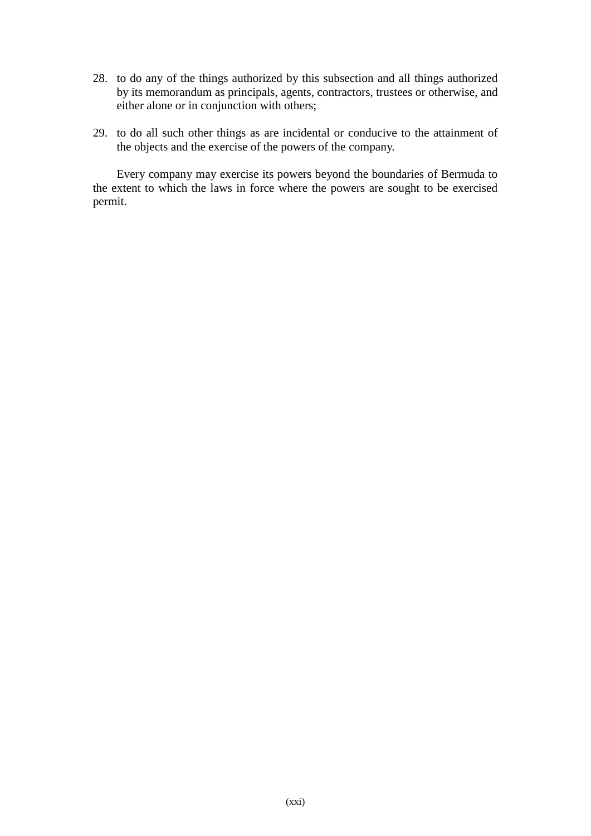- 28. to do any of the things authorized by this subsection and all things authorized by its memorandum as principals, agents, contractors, trustees or otherwise, and either alone or in conjunction with others;
- 29. to do all such other things as are incidental or conducive to the attainment of the objects and the exercise of the powers of the company.

Every company may exercise its powers beyond the boundaries of Bermuda to the extent to which the laws in force where the powers are sought to be exercised permit.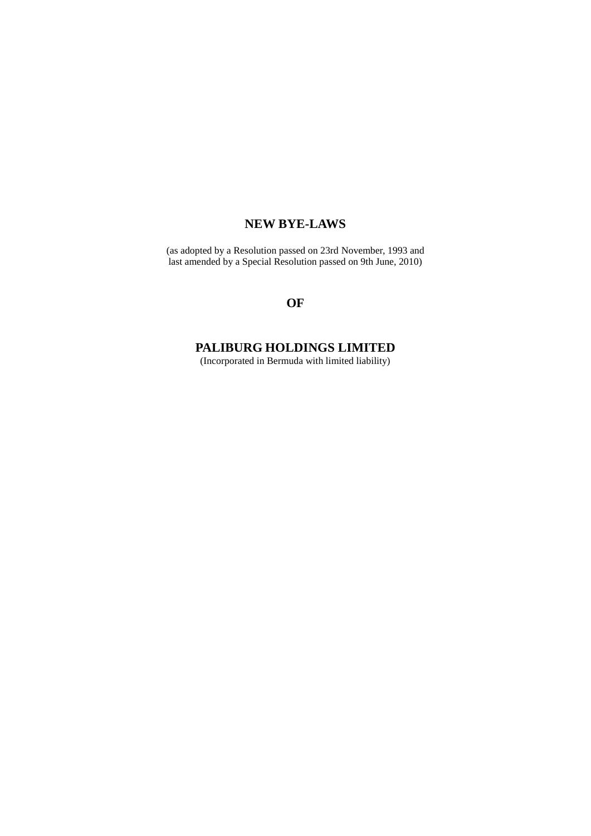## **NEW BYE-LAWS**

(as adopted by a Resolution passed on 23rd November, 1993 and last amended by a Special Resolution passed on 9th June, 2010)

## **OF**

## **PALIBURG HOLDINGS LIMITED**

(Incorporated in Bermuda with limited liability)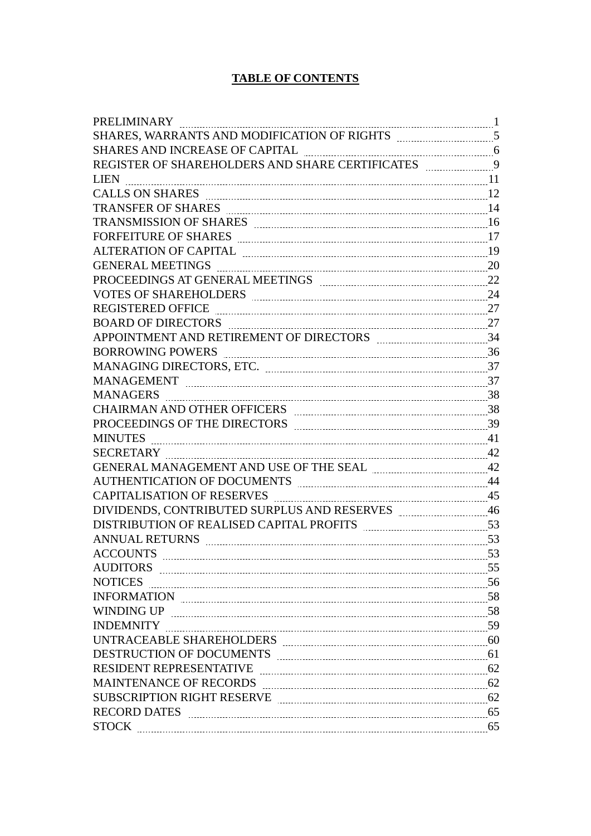## **TABLE OF CONTENTS**

| PRELIMINARY                                                                                                                                                                                                                    |  |
|--------------------------------------------------------------------------------------------------------------------------------------------------------------------------------------------------------------------------------|--|
| SHARES, WARRANTS AND MODIFICATION OF RIGHTS [[[[[[[[[[[[[[[[[]]]]]]]]]]                                                                                                                                                        |  |
| SHARES AND INCREASE OF CAPITAL <b>Engineerance and SHARES</b> AND INCREASE OF CAPITAL                                                                                                                                          |  |
|                                                                                                                                                                                                                                |  |
| LIEN                                                                                                                                                                                                                           |  |
|                                                                                                                                                                                                                                |  |
|                                                                                                                                                                                                                                |  |
|                                                                                                                                                                                                                                |  |
|                                                                                                                                                                                                                                |  |
| ALTERATION OF CAPITAL MARKET AND RESIDENCE ALTERATION OF CAPITAL                                                                                                                                                               |  |
|                                                                                                                                                                                                                                |  |
|                                                                                                                                                                                                                                |  |
| VOTES OF SHAREHOLDERS MARIEMAN 24                                                                                                                                                                                              |  |
| REGISTERED OFFICE 27                                                                                                                                                                                                           |  |
| BOARD OF DIRECTORS 27                                                                                                                                                                                                          |  |
| APPOINTMENT AND RETIREMENT OF DIRECTORS MALLET MANUSCRIPT 34                                                                                                                                                                   |  |
|                                                                                                                                                                                                                                |  |
|                                                                                                                                                                                                                                |  |
|                                                                                                                                                                                                                                |  |
|                                                                                                                                                                                                                                |  |
| CHAIRMAN AND OTHER OFFICERS MARKET AND THE R OFFICERS MARKET AND THE R OFFICERS                                                                                                                                                |  |
| PROCEEDINGS OF THE DIRECTORS MARKETING MANAGEMENT MANAGEMENT MARKET MARKET MARKET MARKET MARKET MARKET MARKET                                                                                                                  |  |
|                                                                                                                                                                                                                                |  |
| SECRETARY 22                                                                                                                                                                                                                   |  |
| GENERAL MANAGEMENT AND USE OF THE SEAL <b>MANUAL</b> 42                                                                                                                                                                        |  |
| AUTHENTICATION OF DOCUMENTS MARKET AND THE MILLION OF DOCUMENTS                                                                                                                                                                |  |
| CAPITALISATION OF RESERVES EXAMPLES AND THE MANUSCRIPTION OF RESERVES                                                                                                                                                          |  |
| DIVIDENDS, CONTRIBUTED SURPLUS AND RESERVES <b>MARKEY METAL ACTION</b>                                                                                                                                                         |  |
| DISTRIBUTION OF REALISED CAPITAL PROFITS Examination and 53                                                                                                                                                                    |  |
|                                                                                                                                                                                                                                |  |
| <b>ACCOUNTS</b>                                                                                                                                                                                                                |  |
|                                                                                                                                                                                                                                |  |
|                                                                                                                                                                                                                                |  |
|                                                                                                                                                                                                                                |  |
|                                                                                                                                                                                                                                |  |
|                                                                                                                                                                                                                                |  |
| UNTRACEABLE SHAREHOLDERS MARIE AND THE MARKET MARKET MARKET MARKET MARKET MARKET MARKET MARKET MARKET MARKET MA                                                                                                                |  |
| DESTRUCTION OF DOCUMENTS MARKET MARKET AND RESTRUCTION OF DOCUMENTS                                                                                                                                                            |  |
| RESIDENT REPRESENTATIVE MARIEURE ENTITYPE SERVICE SERVICE SERVICE SERVICE SERVICE SERVICE SERVICE SERVICE SERVICE SERVICE SERVICE SERVICE SERVICE SERVICE SERVICE SERVICE SERVICE SERVICE SERVICE SERVICE SERVICE SERVICE SERV |  |
| MAINTENANCE OF RECORDS EXAMPLE 2000 MAINTENANCE OF RECORDS                                                                                                                                                                     |  |
| SUBSCRIPTION RIGHT RESERVE <b>MARIE 2018</b> 52                                                                                                                                                                                |  |
|                                                                                                                                                                                                                                |  |
|                                                                                                                                                                                                                                |  |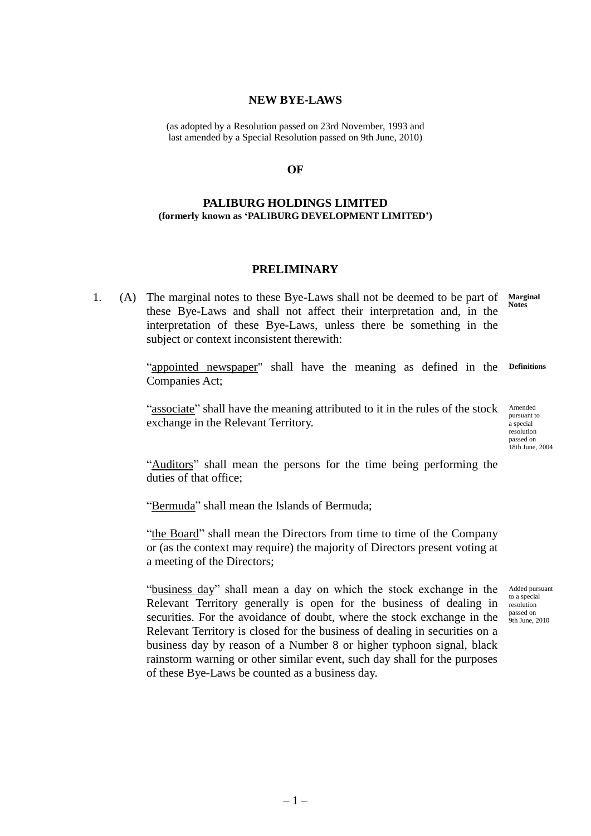#### **NEW BYE-LAWS**

(as adopted by a Resolution passed on 23rd November, 1993 and last amended by a Special Resolution passed on 9th June, 2010)

#### **OF**

#### **PALIBURG HOLDINGS LIMITED (formerly known as 'PALIBURG DEVELOPMENT LIMITED')**

### **PRELIMINARY**

<span id="page-24-0"></span>1. (A) The marginal notes to these Bye-Laws shall not be deemed to be part of these Bye-Laws and shall not affect their interpretation and, in the interpretation of these Bye-Laws, unless there be something in the subject or context inconsistent therewith: **Notes**

**Marginal** 

"appointed newspaper" shall have the meaning as defined in the **Definitions** Companies Act;

"associate" shall have the meaning attributed to it in the rules of the stock Amended exchange in the Relevant Territory.

pursuant to a special resolution passed on 18th June, 2004

"Auditors" shall mean the persons for the time being performing the duties of that office;

"Bermuda" shall mean the Islands of Bermuda;

"the Board" shall mean the Directors from time to time of the Company or (as the context may require) the majority of Directors present voting at a meeting of the Directors;

"business day" shall mean a day on which the stock exchange in the Relevant Territory generally is open for the business of dealing in securities. For the avoidance of doubt, where the stock exchange in the Relevant Territory is closed for the business of dealing in securities on a business day by reason of a Number 8 or higher typhoon signal, black rainstorm warning or other similar event, such day shall for the purposes of these Bye-Laws be counted as a business day.

Added pursuant to a special resolution passed on 9th June, 2010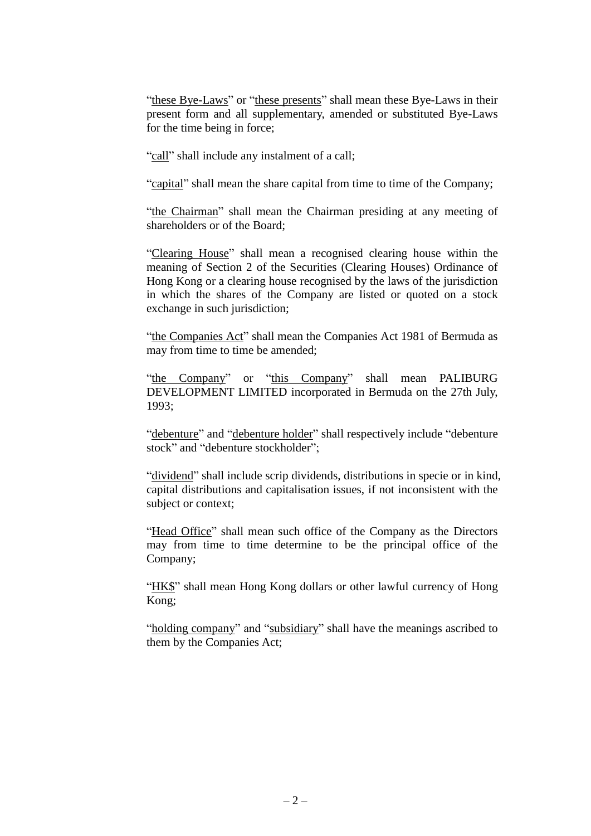"these Bye-Laws" or "these presents" shall mean these Bye-Laws in their present form and all supplementary, amended or substituted Bye-Laws for the time being in force;

"call" shall include any instalment of a call;

"capital" shall mean the share capital from time to time of the Company;

"the Chairman" shall mean the Chairman presiding at any meeting of shareholders or of the Board;

"Clearing House" shall mean a recognised clearing house within the meaning of Section 2 of the Securities (Clearing Houses) Ordinance of Hong Kong or a clearing house recognised by the laws of the jurisdiction in which the shares of the Company are listed or quoted on a stock exchange in such jurisdiction;

"the Companies Act" shall mean the Companies Act 1981 of Bermuda as may from time to time be amended;

"the Company" or "this Company" shall mean PALIBURG DEVELOPMENT LIMITED incorporated in Bermuda on the 27th July, 1993;

"debenture" and "debenture holder" shall respectively include "debenture" stock" and "debenture stockholder";

"dividend" shall include scrip dividends, distributions in specie or in kind, capital distributions and capitalisation issues, if not inconsistent with the subject or context;

"Head Office" shall mean such office of the Company as the Directors may from time to time determine to be the principal office of the Company;

"HK\$" shall mean Hong Kong dollars or other lawful currency of Hong Kong;

"holding company" and "subsidiary" shall have the meanings ascribed to them by the Companies Act;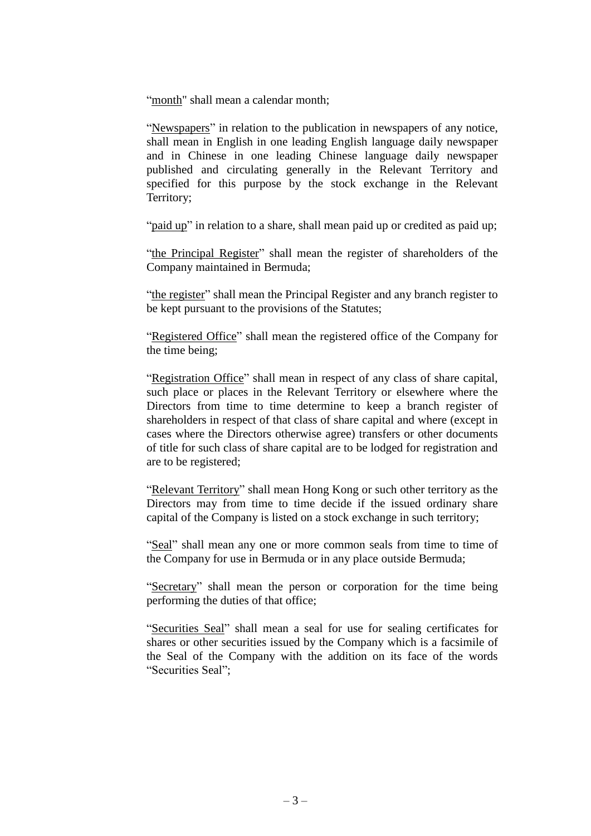"month" shall mean a calendar month;

"Newspapers" in relation to the publication in newspapers of any notice, shall mean in English in one leading English language daily newspaper and in Chinese in one leading Chinese language daily newspaper published and circulating generally in the Relevant Territory and specified for this purpose by the stock exchange in the Relevant Territory;

"paid up" in relation to a share, shall mean paid up or credited as paid up;

"the Principal Register" shall mean the register of shareholders of the Company maintained in Bermuda;

"the register" shall mean the Principal Register and any branch register to be kept pursuant to the provisions of the Statutes;

"Registered Office" shall mean the registered office of the Company for the time being;

"Registration Office" shall mean in respect of any class of share capital, such place or places in the Relevant Territory or elsewhere where the Directors from time to time determine to keep a branch register of shareholders in respect of that class of share capital and where (except in cases where the Directors otherwise agree) transfers or other documents of title for such class of share capital are to be lodged for registration and are to be registered;

"Relevant Territory" shall mean Hong Kong or such other territory as the Directors may from time to time decide if the issued ordinary share capital of the Company is listed on a stock exchange in such territory;

"Seal" shall mean any one or more common seals from time to time of the Company for use in Bermuda or in any place outside Bermuda;

"Secretary" shall mean the person or corporation for the time being performing the duties of that office;

"Securities Seal" shall mean a seal for use for sealing certificates for shares or other securities issued by the Company which is a facsimile of the Seal of the Company with the addition on its face of the words "Securities Seal";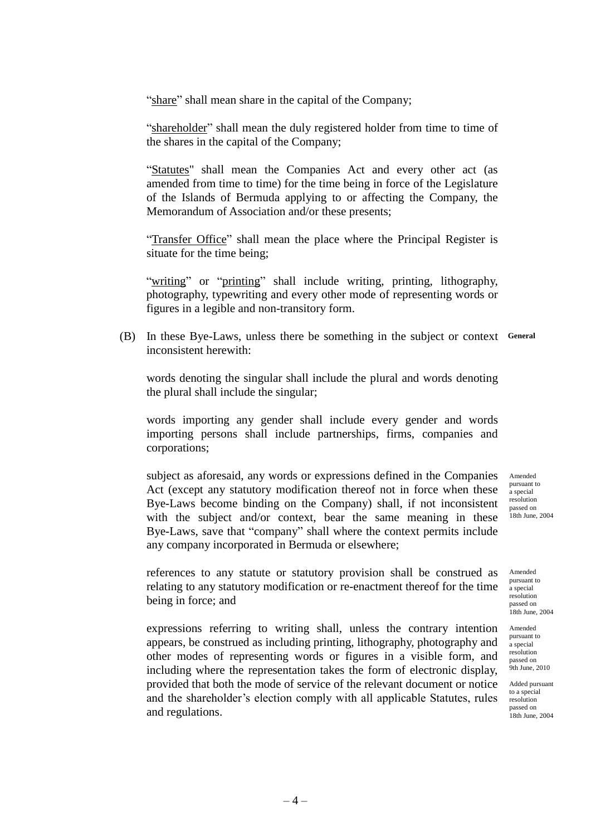"share" shall mean share in the capital of the Company;

"shareholder" shall mean the duly registered holder from time to time of the shares in the capital of the Company;

"Statutes" shall mean the Companies Act and every other act (as amended from time to time) for the time being in force of the Legislature of the Islands of Bermuda applying to or affecting the Company, the Memorandum of Association and/or these presents;

"Transfer Office" shall mean the place where the Principal Register is situate for the time being;

"writing" or "printing" shall include writing, printing, lithography, photography, typewriting and every other mode of representing words or figures in a legible and non-transitory form.

(B) In these Bye-Laws, unless there be something in the subject or context **General** inconsistent herewith:

words denoting the singular shall include the plural and words denoting the plural shall include the singular;

words importing any gender shall include every gender and words importing persons shall include partnerships, firms, companies and corporations;

subject as aforesaid, any words or expressions defined in the Companies Act (except any statutory modification thereof not in force when these Bye-Laws become binding on the Company) shall, if not inconsistent with the subject and/or context, bear the same meaning in these Bye-Laws, save that "company" shall where the context permits include any company incorporated in Bermuda or elsewhere;

references to any statute or statutory provision shall be construed as relating to any statutory modification or re-enactment thereof for the time being in force; and

expressions referring to writing shall, unless the contrary intention Amended appears, be construed as including printing, lithography, photography and other modes of representing words or figures in a visible form, and including where the representation takes the form of electronic display, provided that both the mode of service of the relevant document or notice and the shareholder's election comply with all applicable Statutes, rules and regulations.

Amended pursuant to a special resolution passed on 18th June, 2004

Amended pursuant to a special resolution passed on 18th June, 2004

pursuant to a special resolution passed on 9th June, 2010

Added pursuant to a special resolution passed on 18th June, 2004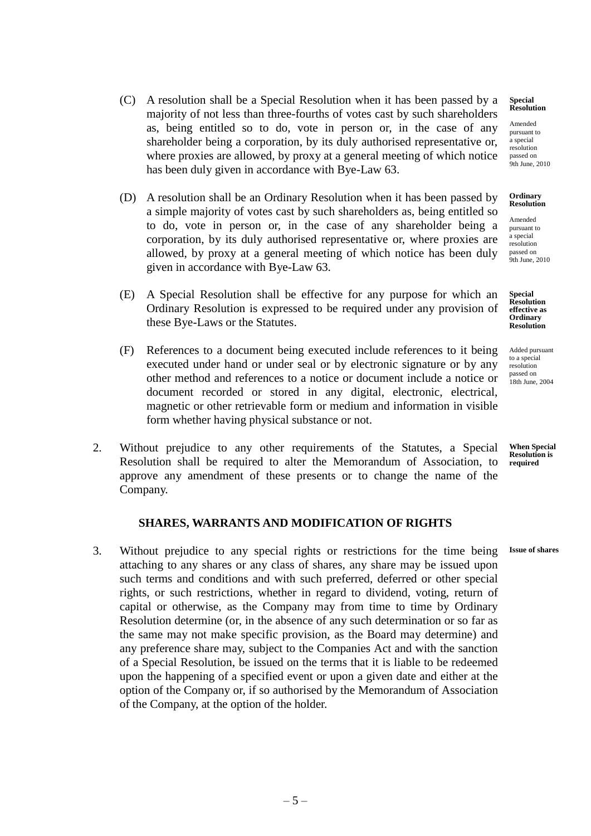- (C) A resolution shall be a Special Resolution when it has been passed by a majority of not less than three-fourths of votes cast by such shareholders as, being entitled so to do, vote in person or, in the case of any shareholder being a corporation, by its duly authorised representative or, where proxies are allowed, by proxy at a general meeting of which notice has been duly given in accordance with Bye-Law 63.
- (D) A resolution shall be an Ordinary Resolution when it has been passed by a simple majority of votes cast by such shareholders as, being entitled so to do, vote in person or, in the case of any shareholder being a corporation, by its duly authorised representative or, where proxies are allowed, by proxy at a general meeting of which notice has been duly given in accordance with Bye-Law 63.
- (E) A Special Resolution shall be effective for any purpose for which an Ordinary Resolution is expressed to be required under any provision of these Bye-Laws or the Statutes.
- (F) References to a document being executed include references to it being executed under hand or under seal or by electronic signature or by any other method and references to a notice or document include a notice or document recorded or stored in any digital, electronic, electrical, magnetic or other retrievable form or medium and information in visible form whether having physical substance or not.
- 2. Without prejudice to any other requirements of the Statutes, a Special Resolution shall be required to alter the Memorandum of Association, to approve any amendment of these presents or to change the name of the Company.

### **SHARES, WARRANTS AND MODIFICATION OF RIGHTS**

<span id="page-28-0"></span>3. Without prejudice to any special rights or restrictions for the time being attaching to any shares or any class of shares, any share may be issued upon such terms and conditions and with such preferred, deferred or other special rights, or such restrictions, whether in regard to dividend, voting, return of capital or otherwise, as the Company may from time to time by Ordinary Resolution determine (or, in the absence of any such determination or so far as the same may not make specific provision, as the Board may determine) and any preference share may, subject to the Companies Act and with the sanction of a Special Resolution, be issued on the terms that it is liable to be redeemed upon the happening of a specified event or upon a given date and either at the option of the Company or, if so authorised by the Memorandum of Association of the Company, at the option of the holder. **Issue of shares**

**Special Resolution**

Amended pursuant to a special resolution passed on 9th June, 2010

#### **Ordinary Resolution**

Amended pursuant to a special resolution passed on **9th June, 2010** 

**Special Resolution effective as Ordinary Resolution** 

Added pursuant to a special resolution passed on 18th June, 2004

**When Special Resolution is required**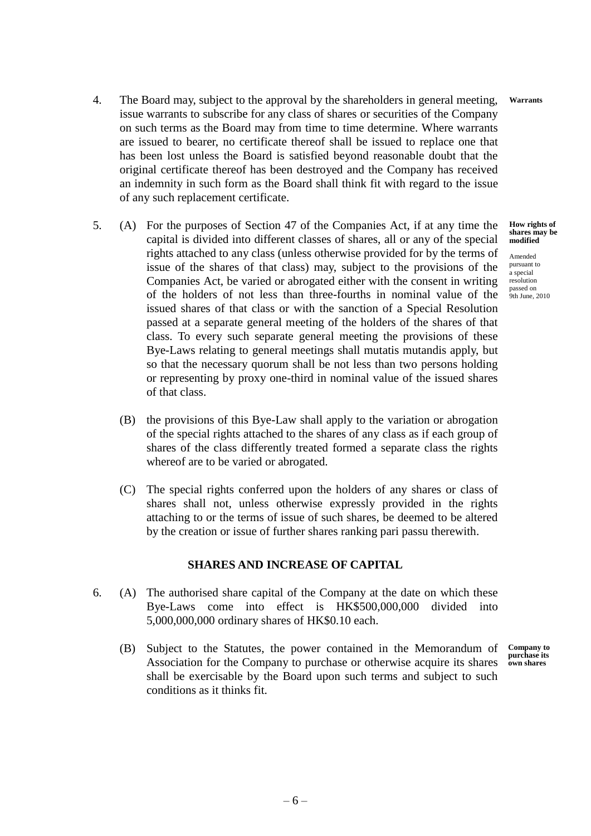- 4. The Board may, subject to the approval by the shareholders in general meeting, issue warrants to subscribe for any class of shares or securities of the Company on such terms as the Board may from time to time determine. Where warrants are issued to bearer, no certificate thereof shall be issued to replace one that has been lost unless the Board is satisfied beyond reasonable doubt that the original certificate thereof has been destroyed and the Company has received an indemnity in such form as the Board shall think fit with regard to the issue of any such replacement certificate. **Warrants**
- 5. (A) For the purposes of Section 47 of the Companies Act, if at any time the capital is divided into different classes of shares, all or any of the special rights attached to any class (unless otherwise provided for by the terms of issue of the shares of that class) may, subject to the provisions of the Companies Act, be varied or abrogated either with the consent in writing of the holders of not less than three-fourths in nominal value of the issued shares of that class or with the sanction of a Special Resolution passed at a separate general meeting of the holders of the shares of that class. To every such separate general meeting the provisions of these Bye-Laws relating to general meetings shall mutatis mutandis apply, but so that the necessary quorum shall be not less than two persons holding or representing by proxy one-third in nominal value of the issued shares of that class.
	- (B) the provisions of this Bye-Law shall apply to the variation or abrogation of the special rights attached to the shares of any class as if each group of shares of the class differently treated formed a separate class the rights whereof are to be varied or abrogated.
	- (C) The special rights conferred upon the holders of any shares or class of shares shall not, unless otherwise expressly provided in the rights attaching to or the terms of issue of such shares, be deemed to be altered by the creation or issue of further shares ranking pari passu therewith.

### **SHARES AND INCREASE OF CAPITAL**

- <span id="page-29-0"></span>6. (A) The authorised share capital of the Company at the date on which these Bye-Laws come into effect is HK\$500,000,000 divided into 5,000,000,000 ordinary shares of HK\$0.10 each.
	- (B) Subject to the Statutes, the power contained in the Memorandum of Association for the Company to purchase or otherwise acquire its shares shall be exercisable by the Board upon such terms and subject to such conditions as it thinks fit. **Company to purchase its own shares**

**How rights of shares may be modified**

Amended pursuant to a special resolution passed on 9th June, 2010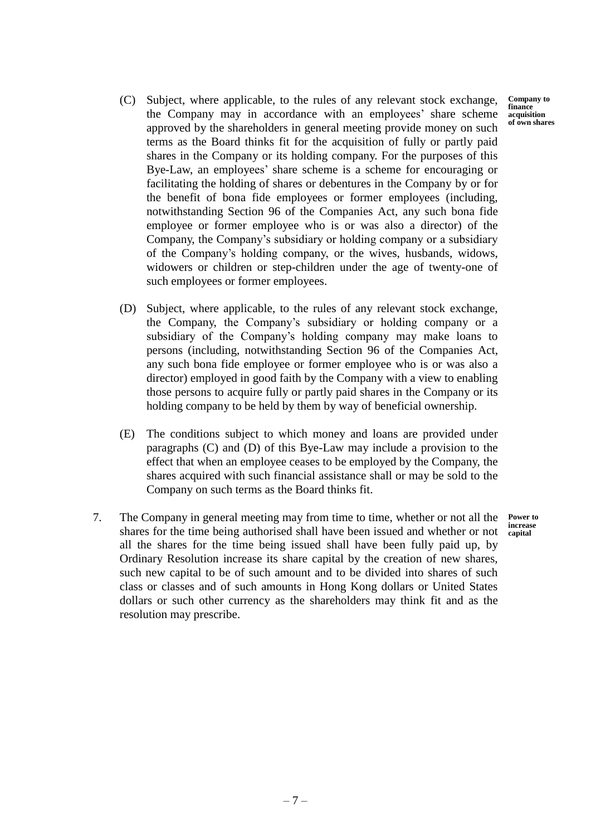- (C) Subject, where applicable, to the rules of any relevant stock exchange, the Company may in accordance with an employees' share scheme approved by the shareholders in general meeting provide money on such terms as the Board thinks fit for the acquisition of fully or partly paid shares in the Company or its holding company. For the purposes of this Bye-Law, an employees' share scheme is a scheme for encouraging or facilitating the holding of shares or debentures in the Company by or for the benefit of bona fide employees or former employees (including, notwithstanding Section 96 of the Companies Act, any such bona fide employee or former employee who is or was also a director) of the Company, the Company's subsidiary or holding company or a subsidiary of the Company's holding company, or the wives, husbands, widows, widowers or children or step-children under the age of twenty-one of such employees or former employees. **Company to finance acquisition of own shares**
- (D) Subject, where applicable, to the rules of any relevant stock exchange, the Company, the Company's subsidiary or holding company or a subsidiary of the Company's holding company may make loans to persons (including, notwithstanding Section 96 of the Companies Act, any such bona fide employee or former employee who is or was also a director) employed in good faith by the Company with a view to enabling those persons to acquire fully or partly paid shares in the Company or its holding company to be held by them by way of beneficial ownership.
- (E) The conditions subject to which money and loans are provided under paragraphs (C) and (D) of this Bye-Law may include a provision to the effect that when an employee ceases to be employed by the Company, the shares acquired with such financial assistance shall or may be sold to the Company on such terms as the Board thinks fit.
- 7. The Company in general meeting may from time to time, whether or not all the shares for the time being authorised shall have been issued and whether or not all the shares for the time being issued shall have been fully paid up, by Ordinary Resolution increase its share capital by the creation of new shares, such new capital to be of such amount and to be divided into shares of such class or classes and of such amounts in Hong Kong dollars or United States dollars or such other currency as the shareholders may think fit and as the resolution may prescribe.

**Power to increase capital**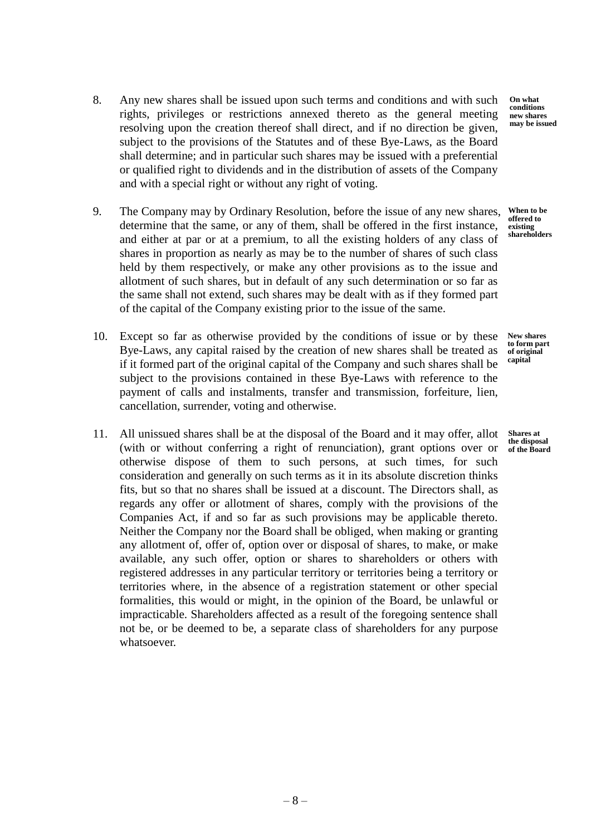- 8. Any new shares shall be issued upon such terms and conditions and with such rights, privileges or restrictions annexed thereto as the general meeting resolving upon the creation thereof shall direct, and if no direction be given, subject to the provisions of the Statutes and of these Bye-Laws, as the Board shall determine; and in particular such shares may be issued with a preferential or qualified right to dividends and in the distribution of assets of the Company and with a special right or without any right of voting.
- 9. The Company may by Ordinary Resolution, before the issue of any new shares, determine that the same, or any of them, shall be offered in the first instance, and either at par or at a premium, to all the existing holders of any class of shares in proportion as nearly as may be to the number of shares of such class held by them respectively, or make any other provisions as to the issue and allotment of such shares, but in default of any such determination or so far as the same shall not extend, such shares may be dealt with as if they formed part of the capital of the Company existing prior to the issue of the same.
- 10. Except so far as otherwise provided by the conditions of issue or by these Bye-Laws, any capital raised by the creation of new shares shall be treated as if it formed part of the original capital of the Company and such shares shall be subject to the provisions contained in these Bye-Laws with reference to the payment of calls and instalments, transfer and transmission, forfeiture, lien, cancellation, surrender, voting and otherwise.
- 11. All unissued shares shall be at the disposal of the Board and it may offer, allot (with or without conferring a right of renunciation), grant options over or otherwise dispose of them to such persons, at such times, for such consideration and generally on such terms as it in its absolute discretion thinks fits, but so that no shares shall be issued at a discount. The Directors shall, as regards any offer or allotment of shares, comply with the provisions of the Companies Act, if and so far as such provisions may be applicable thereto. Neither the Company nor the Board shall be obliged, when making or granting any allotment of, offer of, option over or disposal of shares, to make, or make available, any such offer, option or shares to shareholders or others with registered addresses in any particular territory or territories being a territory or territories where, in the absence of a registration statement or other special formalities, this would or might, in the opinion of the Board, be unlawful or impracticable. Shareholders affected as a result of the foregoing sentence shall not be, or be deemed to be, a separate class of shareholders for any purpose whatsoever.

**On what conditions new shares may be issued**

**When to be offered to existing shareholders**

**New shares to form part of original capital**

**Shares at the disposal of the Board**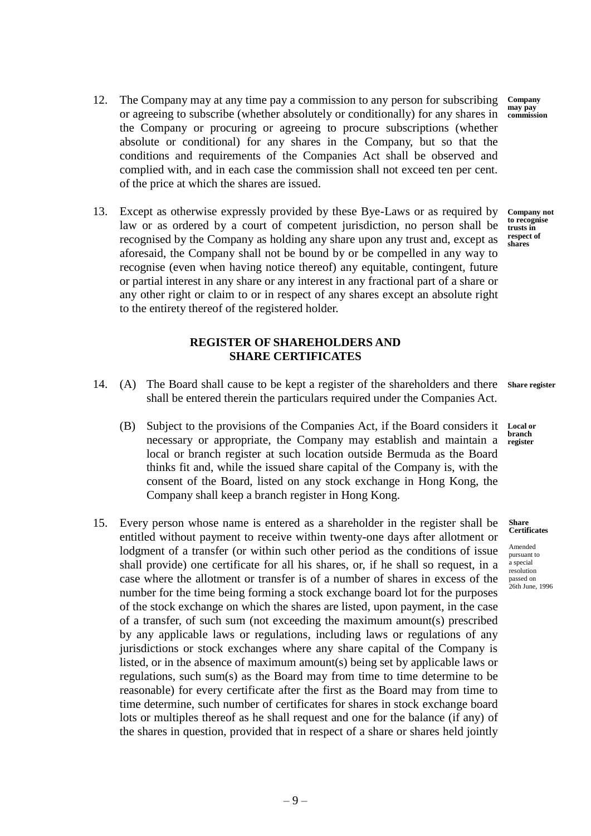- **REGISTER OF SHAREHOLDERS AND SHARE CERTIFICATES**
- <span id="page-32-0"></span>14. (A) The Board shall cause to be kept a register of the shareholders and there **Share register** shall be entered therein the particulars required under the Companies Act.
	- (B) Subject to the provisions of the Companies Act, if the Board considers it necessary or appropriate, the Company may establish and maintain a local or branch register at such location outside Bermuda as the Board thinks fit and, while the issued share capital of the Company is, with the consent of the Board, listed on any stock exchange in Hong Kong, the Company shall keep a branch register in Hong Kong.
- 15. Every person whose name is entered as a shareholder in the register shall be entitled without payment to receive within twenty-one days after allotment or lodgment of a transfer (or within such other period as the conditions of issue shall provide) one certificate for all his shares, or, if he shall so request, in a case where the allotment or transfer is of a number of shares in excess of the number for the time being forming a stock exchange board lot for the purposes of the stock exchange on which the shares are listed, upon payment, in the case of a transfer, of such sum (not exceeding the maximum amount(s) prescribed by any applicable laws or regulations, including laws or regulations of any jurisdictions or stock exchanges where any share capital of the Company is listed, or in the absence of maximum amount(s) being set by applicable laws or regulations, such sum(s) as the Board may from time to time determine to be reasonable) for every certificate after the first as the Board may from time to time determine, such number of certificates for shares in stock exchange board lots or multiples thereof as he shall request and one for the balance (if any) of the shares in question, provided that in respect of a share or shares held jointly
- 12. The Company may at any time pay a commission to any person for subscribing or agreeing to subscribe (whether absolutely or conditionally) for any shares in the Company or procuring or agreeing to procure subscriptions (whether absolute or conditional) for any shares in the Company, but so that the conditions and requirements of the Companies Act shall be observed and complied with, and in each case the commission shall not exceed ten per cent. of the price at which the shares are issued. **Company may pay**
- 13. Except as otherwise expressly provided by these Bye-Laws or as required by law or as ordered by a court of competent jurisdiction, no person shall be recognised by the Company as holding any share upon any trust and, except as aforesaid, the Company shall not be bound by or be compelled in any way to recognise (even when having notice thereof) any equitable, contingent, future or partial interest in any share or any interest in any fractional part of a share or any other right or claim to or in respect of any shares except an absolute right to the entirety thereof of the registered holder.

**commission**

**Company not to recognise trusts in respect of shares**

**Local or branch register**

**Share Certificates**

Amended pursuant to a special resolution passed on 26th June, 1996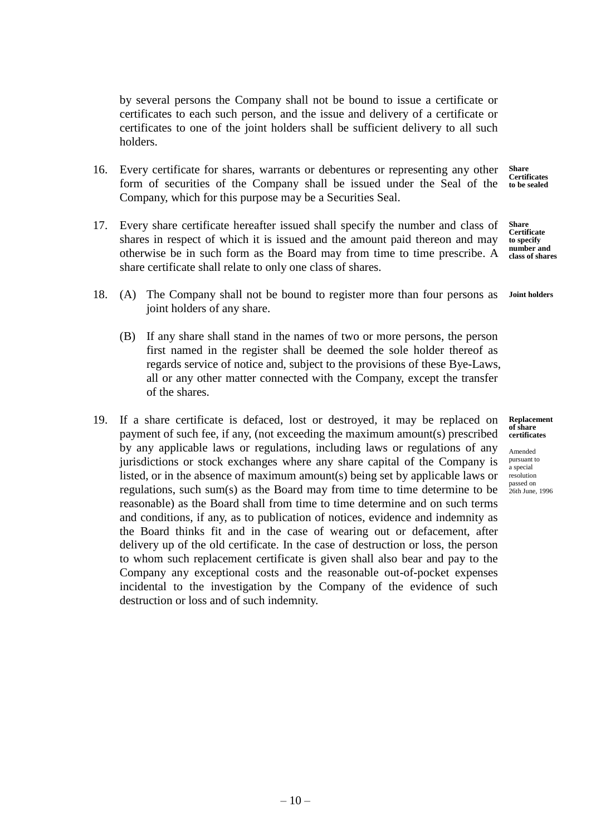by several persons the Company shall not be bound to issue a certificate or certificates to each such person, and the issue and delivery of a certificate or certificates to one of the joint holders shall be sufficient delivery to all such holders.

- 16. Every certificate for shares, warrants or debentures or representing any other form of securities of the Company shall be issued under the Seal of the Company, which for this purpose may be a Securities Seal. **Share Certificates to be sealed**
- 17. Every share certificate hereafter issued shall specify the number and class of shares in respect of which it is issued and the amount paid thereon and may otherwise be in such form as the Board may from time to time prescribe. A share certificate shall relate to only one class of shares. **Share Certificate to specify number and class of shares**
- 18. (A) The Company shall not be bound to register more than four persons as joint holders of any share. **Joint holders**
	- (B) If any share shall stand in the names of two or more persons, the person first named in the register shall be deemed the sole holder thereof as regards service of notice and, subject to the provisions of these Bye-Laws, all or any other matter connected with the Company, except the transfer of the shares.
- <span id="page-33-0"></span>19. If a share certificate is defaced, lost or destroyed, it may be replaced on payment of such fee, if any, (not exceeding the maximum amount(s) prescribed by any applicable laws or regulations, including laws or regulations of any jurisdictions or stock exchanges where any share capital of the Company is listed, or in the absence of maximum amount(s) being set by applicable laws or regulations, such sum(s) as the Board may from time to time determine to be reasonable) as the Board shall from time to time determine and on such terms and conditions, if any, as to publication of notices, evidence and indemnity as the Board thinks fit and in the case of wearing out or defacement, after delivery up of the old certificate. In the case of destruction or loss, the person to whom such replacement certificate is given shall also bear and pay to the Company any exceptional costs and the reasonable out-of-pocket expenses incidental to the investigation by the Company of the evidence of such destruction or loss and of such indemnity.

Amended pursuant to a special resolution passed on 26th June, 1996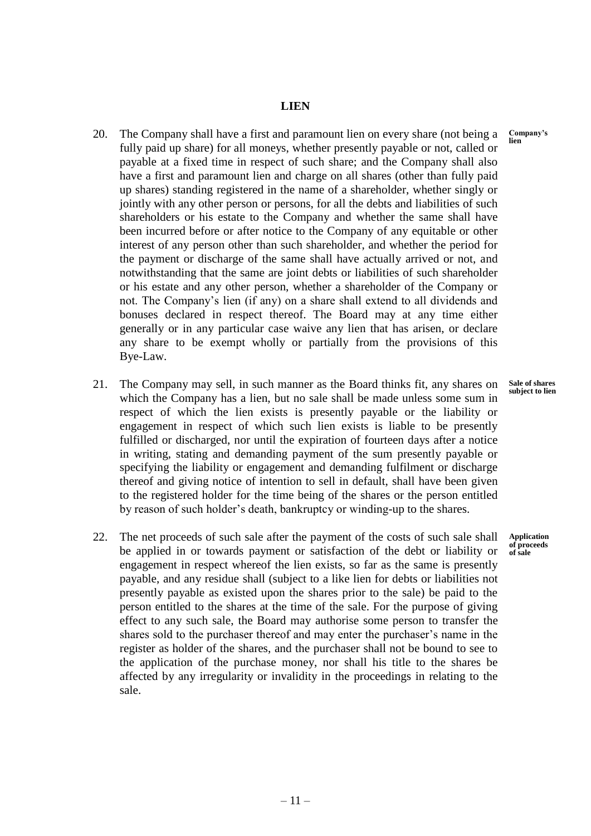#### **LIEN**

- 20. The Company shall have a first and paramount lien on every share (not being a fully paid up share) for all moneys, whether presently payable or not, called or payable at a fixed time in respect of such share; and the Company shall also have a first and paramount lien and charge on all shares (other than fully paid up shares) standing registered in the name of a shareholder, whether singly or jointly with any other person or persons, for all the debts and liabilities of such shareholders or his estate to the Company and whether the same shall have been incurred before or after notice to the Company of any equitable or other interest of any person other than such shareholder, and whether the period for the payment or discharge of the same shall have actually arrived or not, and notwithstanding that the same are joint debts or liabilities of such shareholder or his estate and any other person, whether a shareholder of the Company or not. The Company's lien (if any) on a share shall extend to all dividends and bonuses declared in respect thereof. The Board may at any time either generally or in any particular case waive any lien that has arisen, or declare any share to be exempt wholly or partially from the provisions of this Bye-Law. **Company's**
- 21. The Company may sell, in such manner as the Board thinks fit, any shares on which the Company has a lien, but no sale shall be made unless some sum in respect of which the lien exists is presently payable or the liability or engagement in respect of which such lien exists is liable to be presently fulfilled or discharged, nor until the expiration of fourteen days after a notice in writing, stating and demanding payment of the sum presently payable or specifying the liability or engagement and demanding fulfilment or discharge thereof and giving notice of intention to sell in default, shall have been given to the registered holder for the time being of the shares or the person entitled by reason of such holder's death, bankruptcy or winding-up to the shares.
- <span id="page-34-0"></span>22. The net proceeds of such sale after the payment of the costs of such sale shall be applied in or towards payment or satisfaction of the debt or liability or engagement in respect whereof the lien exists, so far as the same is presently payable, and any residue shall (subject to a like lien for debts or liabilities not presently payable as existed upon the shares prior to the sale) be paid to the person entitled to the shares at the time of the sale. For the purpose of giving effect to any such sale, the Board may authorise some person to transfer the shares sold to the purchaser thereof and may enter the purchaser's name in the register as holder of the shares, and the purchaser shall not be bound to see to the application of the purchase money, nor shall his title to the shares be affected by any irregularity or invalidity in the proceedings in relating to the sale.

**lien**

**Sale of shares subject to lien**

**Application of proceeds of sale**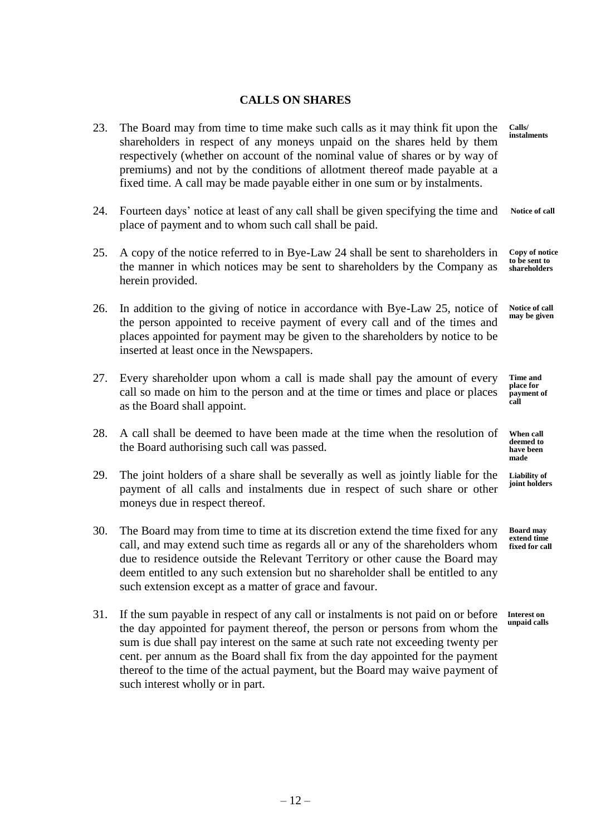## **CALLS ON SHARES**

- 23. The Board may from time to time make such calls as it may think fit upon the shareholders in respect of any moneys unpaid on the shares held by them respectively (whether on account of the nominal value of shares or by way of premiums) and not by the conditions of allotment thereof made payable at a fixed time. A call may be made payable either in one sum or by instalments. **Calls/**
- 24. Fourteen days' notice at least of any call shall be given specifying the time and place of payment and to whom such call shall be paid. **Notice of call**
- 25. A copy of the notice referred to in Bye-Law 24 shall be sent to shareholders in the manner in which notices may be sent to shareholders by the Company as herein provided. **Copy of notice to be sent to shareholders**
- 26. In addition to the giving of notice in accordance with Bye-Law 25, notice of the person appointed to receive payment of every call and of the times and places appointed for payment may be given to the shareholders by notice to be inserted at least once in the Newspapers.
- 27. Every shareholder upon whom a call is made shall pay the amount of every call so made on him to the person and at the time or times and place or places as the Board shall appoint. **call**
- 28. A call shall be deemed to have been made at the time when the resolution of the Board authorising such call was passed.
- 29. The joint holders of a share shall be severally as well as jointly liable for the payment of all calls and instalments due in respect of such share or other moneys due in respect thereof.
- 30. The Board may from time to time at its discretion extend the time fixed for any call, and may extend such time as regards all or any of the shareholders whom due to residence outside the Relevant Territory or other cause the Board may deem entitled to any such extension but no shareholder shall be entitled to any such extension except as a matter of grace and favour.
- 31. If the sum payable in respect of any call or instalments is not paid on or before the day appointed for payment thereof, the person or persons from whom the sum is due shall pay interest on the same at such rate not exceeding twenty per cent. per annum as the Board shall fix from the day appointed for the payment thereof to the time of the actual payment, but the Board may waive payment of such interest wholly or in part.

**instalments**

**Notice of call may be given**

**Time and place for payment of** 

**When call deemed to have been made**

**Liability of joint holders**

**Board may extend time fixed for call**

**Interest on unpaid calls**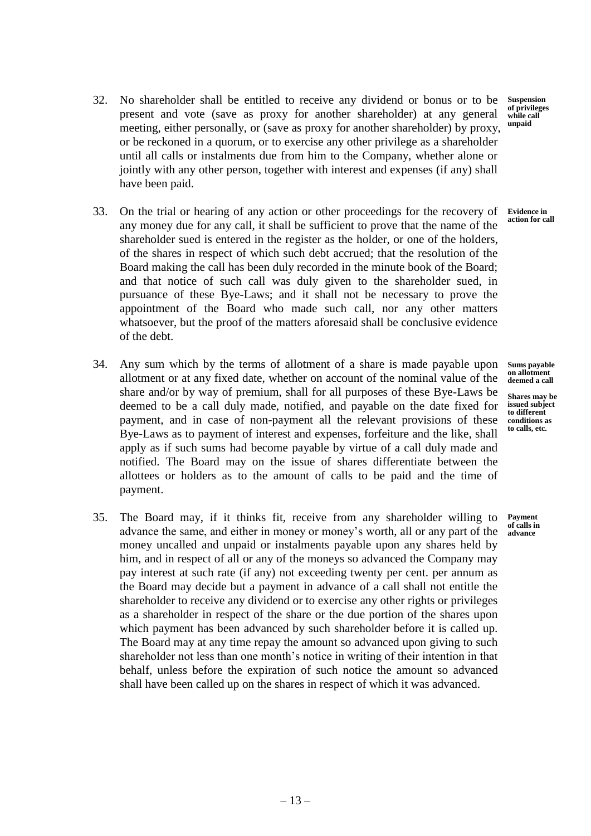- 32. No shareholder shall be entitled to receive any dividend or bonus or to be present and vote (save as proxy for another shareholder) at any general meeting, either personally, or (save as proxy for another shareholder) by proxy, or be reckoned in a quorum, or to exercise any other privilege as a shareholder until all calls or instalments due from him to the Company, whether alone or jointly with any other person, together with interest and expenses (if any) shall have been paid.
- 33. On the trial or hearing of any action or other proceedings for the recovery of any money due for any call, it shall be sufficient to prove that the name of the shareholder sued is entered in the register as the holder, or one of the holders, of the shares in respect of which such debt accrued; that the resolution of the Board making the call has been duly recorded in the minute book of the Board; and that notice of such call was duly given to the shareholder sued, in pursuance of these Bye-Laws; and it shall not be necessary to prove the appointment of the Board who made such call, nor any other matters whatsoever, but the proof of the matters aforesaid shall be conclusive evidence of the debt.
- 34. Any sum which by the terms of allotment of a share is made payable upon allotment or at any fixed date, whether on account of the nominal value of the share and/or by way of premium, shall for all purposes of these Bye-Laws be deemed to be a call duly made, notified, and payable on the date fixed for payment, and in case of non-payment all the relevant provisions of these Bye-Laws as to payment of interest and expenses, forfeiture and the like, shall apply as if such sums had become payable by virtue of a call duly made and notified. The Board may on the issue of shares differentiate between the allottees or holders as to the amount of calls to be paid and the time of payment.
- 35. The Board may, if it thinks fit, receive from any shareholder willing to advance the same, and either in money or money's worth, all or any part of the money uncalled and unpaid or instalments payable upon any shares held by him, and in respect of all or any of the moneys so advanced the Company may pay interest at such rate (if any) not exceeding twenty per cent. per annum as the Board may decide but a payment in advance of a call shall not entitle the shareholder to receive any dividend or to exercise any other rights or privileges as a shareholder in respect of the share or the due portion of the shares upon which payment has been advanced by such shareholder before it is called up. The Board may at any time repay the amount so advanced upon giving to such shareholder not less than one month's notice in writing of their intention in that behalf, unless before the expiration of such notice the amount so advanced shall have been called up on the shares in respect of which it was advanced.

**Suspension of privileges while call unpaid**

**Evidence in action for call**

**Sums payable on allotment deemed a call**

**Shares may be issued subject to different conditions as to calls, etc.** 

**Payment of calls in advance**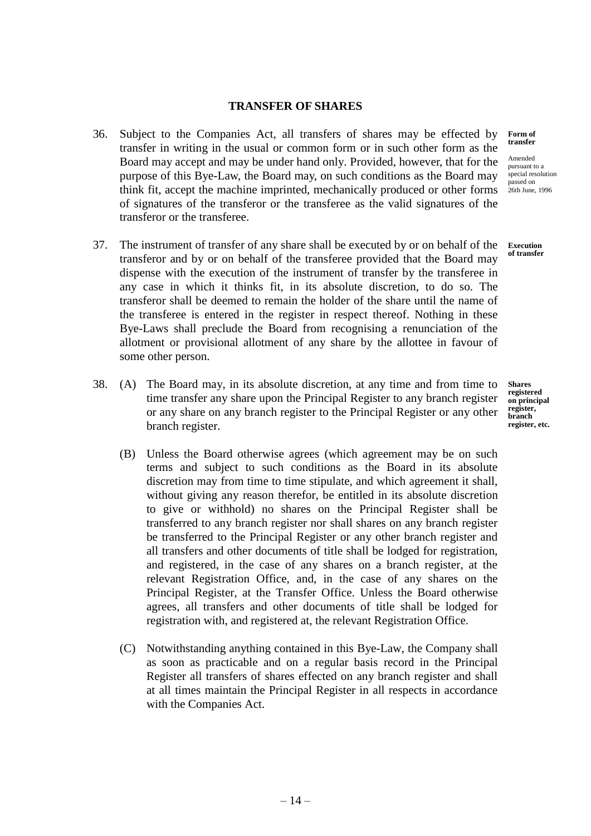## **TRANSFER OF SHARES**

- 36. Subject to the Companies Act, all transfers of shares may be effected by transfer in writing in the usual or common form or in such other form as the Board may accept and may be under hand only. Provided, however, that for the purpose of this Bye-Law, the Board may, on such conditions as the Board may think fit, accept the machine imprinted, mechanically produced or other forms of signatures of the transferor or the transferee as the valid signatures of the transferor or the transferee.
- 37. The instrument of transfer of any share shall be executed by or on behalf of the transferor and by or on behalf of the transferee provided that the Board may dispense with the execution of the instrument of transfer by the transferee in any case in which it thinks fit, in its absolute discretion, to do so. The transferor shall be deemed to remain the holder of the share until the name of the transferee is entered in the register in respect thereof. Nothing in these Bye-Laws shall preclude the Board from recognising a renunciation of the allotment or provisional allotment of any share by the allottee in favour of some other person.
- 38. (A) The Board may, in its absolute discretion, at any time and from time to time transfer any share upon the Principal Register to any branch register or any share on any branch register to the Principal Register or any other branch register.
	- (B) Unless the Board otherwise agrees (which agreement may be on such terms and subject to such conditions as the Board in its absolute discretion may from time to time stipulate, and which agreement it shall, without giving any reason therefor, be entitled in its absolute discretion to give or withhold) no shares on the Principal Register shall be transferred to any branch register nor shall shares on any branch register be transferred to the Principal Register or any other branch register and all transfers and other documents of title shall be lodged for registration, and registered, in the case of any shares on a branch register, at the relevant Registration Office, and, in the case of any shares on the Principal Register, at the Transfer Office. Unless the Board otherwise agrees, all transfers and other documents of title shall be lodged for registration with, and registered at, the relevant Registration Office.
	- (C) Notwithstanding anything contained in this Bye-Law, the Company shall as soon as practicable and on a regular basis record in the Principal Register all transfers of shares effected on any branch register and shall at all times maintain the Principal Register in all respects in accordance with the Companies Act.

#### **Form of transfer**

Amended pursuant to a special resolution passed on 26th June, 1996

**Execution of transfer**

**Shares registered on principal register, branch register, etc.**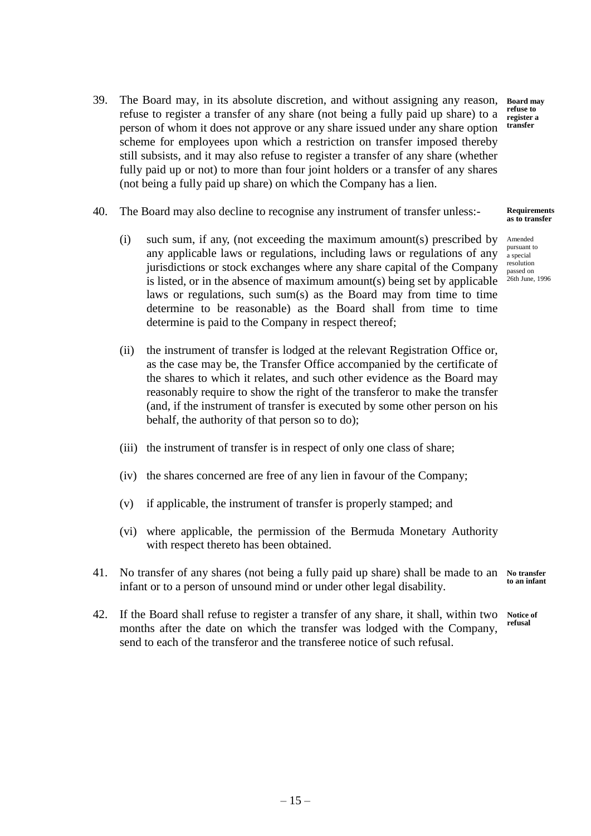- 39. The Board may, in its absolute discretion, and without assigning any reason, refuse to register a transfer of any share (not being a fully paid up share) to a person of whom it does not approve or any share issued under any share option scheme for employees upon which a restriction on transfer imposed thereby still subsists, and it may also refuse to register a transfer of any share (whether fully paid up or not) to more than four joint holders or a transfer of any shares (not being a fully paid up share) on which the Company has a lien. **Board may**
- 40. The Board may also decline to recognise any instrument of transfer unless:-
	- (i) such sum, if any, (not exceeding the maximum amount(s) prescribed by any applicable laws or regulations, including laws or regulations of any jurisdictions or stock exchanges where any share capital of the Company is listed, or in the absence of maximum amount(s) being set by applicable laws or regulations, such sum(s) as the Board may from time to time determine to be reasonable) as the Board shall from time to time determine is paid to the Company in respect thereof;
	- (ii) the instrument of transfer is lodged at the relevant Registration Office or, as the case may be, the Transfer Office accompanied by the certificate of the shares to which it relates, and such other evidence as the Board may reasonably require to show the right of the transferor to make the transfer (and, if the instrument of transfer is executed by some other person on his behalf, the authority of that person so to do);
	- (iii) the instrument of transfer is in respect of only one class of share;
	- (iv) the shares concerned are free of any lien in favour of the Company;
	- (v) if applicable, the instrument of transfer is properly stamped; and
	- (vi) where applicable, the permission of the Bermuda Monetary Authority with respect thereto has been obtained.
- 41. No transfer of any shares (not being a fully paid up share) shall be made to an **No transfer**  infant or to a person of unsound mind or under other legal disability. **to an infant**
- 42. If the Board shall refuse to register a transfer of any share, it shall, within two months after the date on which the transfer was lodged with the Company, send to each of the transferor and the transferee notice of such refusal. **Notice of refusal**

**refuse to register a transfer**

#### **Requirements as to transfer**

Amended pursuant to a special resolution passed on 26th June, 1996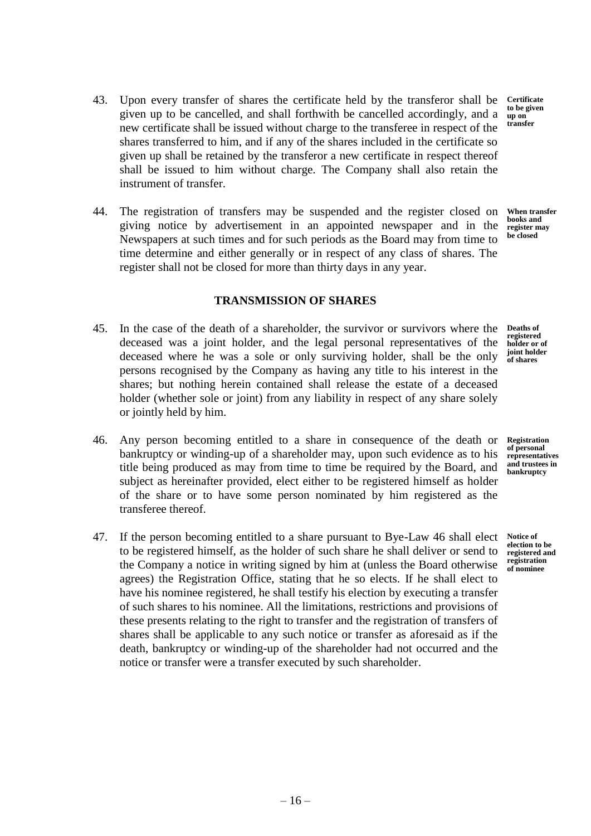- 43. Upon every transfer of shares the certificate held by the transferor shall be given up to be cancelled, and shall forthwith be cancelled accordingly, and a new certificate shall be issued without charge to the transferee in respect of the shares transferred to him, and if any of the shares included in the certificate so given up shall be retained by the transferor a new certificate in respect thereof shall be issued to him without charge. The Company shall also retain the instrument of transfer.
- 44. The registration of transfers may be suspended and the register closed on giving notice by advertisement in an appointed newspaper and in the Newspapers at such times and for such periods as the Board may from time to time determine and either generally or in respect of any class of shares. The register shall not be closed for more than thirty days in any year. **When transfer books and register may be closed**

# **TRANSMISSION OF SHARES**

- 45. In the case of the death of a shareholder, the survivor or survivors where the deceased was a joint holder, and the legal personal representatives of the deceased where he was a sole or only surviving holder, shall be the only persons recognised by the Company as having any title to his interest in the shares; but nothing herein contained shall release the estate of a deceased holder (whether sole or joint) from any liability in respect of any share solely or jointly held by him. **Deaths of**
- 46. Any person becoming entitled to a share in consequence of the death or bankruptcy or winding-up of a shareholder may, upon such evidence as to his title being produced as may from time to time be required by the Board, and subject as hereinafter provided, elect either to be registered himself as holder of the share or to have some person nominated by him registered as the transferee thereof.
- 47. If the person becoming entitled to a share pursuant to Bye-Law 46 shall elect to be registered himself, as the holder of such share he shall deliver or send to the Company a notice in writing signed by him at (unless the Board otherwise agrees) the Registration Office, stating that he so elects. If he shall elect to have his nominee registered, he shall testify his election by executing a transfer of such shares to his nominee. All the limitations, restrictions and provisions of these presents relating to the right to transfer and the registration of transfers of shares shall be applicable to any such notice or transfer as aforesaid as if the death, bankruptcy or winding-up of the shareholder had not occurred and the notice or transfer were a transfer executed by such shareholder.

**registered holder or of joint holder of shares**

**Registration of personal representatives and trustees in bankruptcy**

**Notice of election to be registered and registration of nominee**

**Certificate to be given up on transfer**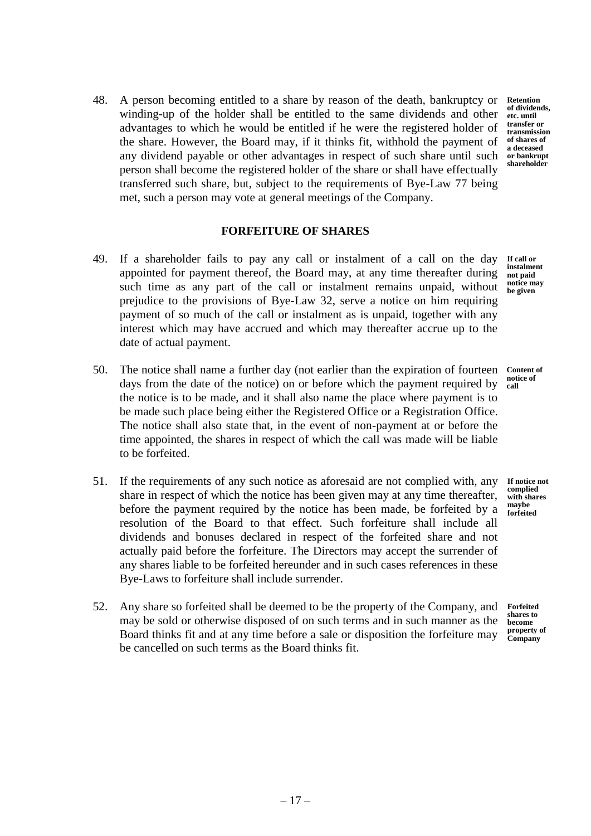48. A person becoming entitled to a share by reason of the death, bankruptcy or winding-up of the holder shall be entitled to the same dividends and other advantages to which he would be entitled if he were the registered holder of the share. However, the Board may, if it thinks fit, withhold the payment of any dividend payable or other advantages in respect of such share until such person shall become the registered holder of the share or shall have effectually transferred such share, but, subject to the requirements of Bye-Law 77 being met, such a person may vote at general meetings of the Company.

**Retention of dividends, etc. until transfer or transmission of shares of a deceased or bankrupt shareholder**

#### **FORFEITURE OF SHARES**

- 49. If a shareholder fails to pay any call or instalment of a call on the day appointed for payment thereof, the Board may, at any time thereafter during such time as any part of the call or instalment remains unpaid, without prejudice to the provisions of Bye-Law 32, serve a notice on him requiring payment of so much of the call or instalment as is unpaid, together with any interest which may have accrued and which may thereafter accrue up to the date of actual payment.
- 50. The notice shall name a further day (not earlier than the expiration of fourteen days from the date of the notice) on or before which the payment required by the notice is to be made, and it shall also name the place where payment is to be made such place being either the Registered Office or a Registration Office. The notice shall also state that, in the event of non-payment at or before the time appointed, the shares in respect of which the call was made will be liable to be forfeited. **call**
- 51. If the requirements of any such notice as aforesaid are not complied with, any share in respect of which the notice has been given may at any time thereafter, before the payment required by the notice has been made, be forfeited by a resolution of the Board to that effect. Such forfeiture shall include all dividends and bonuses declared in respect of the forfeited share and not actually paid before the forfeiture. The Directors may accept the surrender of any shares liable to be forfeited hereunder and in such cases references in these Bye-Laws to forfeiture shall include surrender.
- 52. Any share so forfeited shall be deemed to be the property of the Company, and may be sold or otherwise disposed of on such terms and in such manner as the Board thinks fit and at any time before a sale or disposition the forfeiture may be cancelled on such terms as the Board thinks fit.

**If call or instalment not paid notice may be given**

**Content of notice of** 

**If notice not complied with shares maybe forfeited**

**Forfeited shares to become property of Company**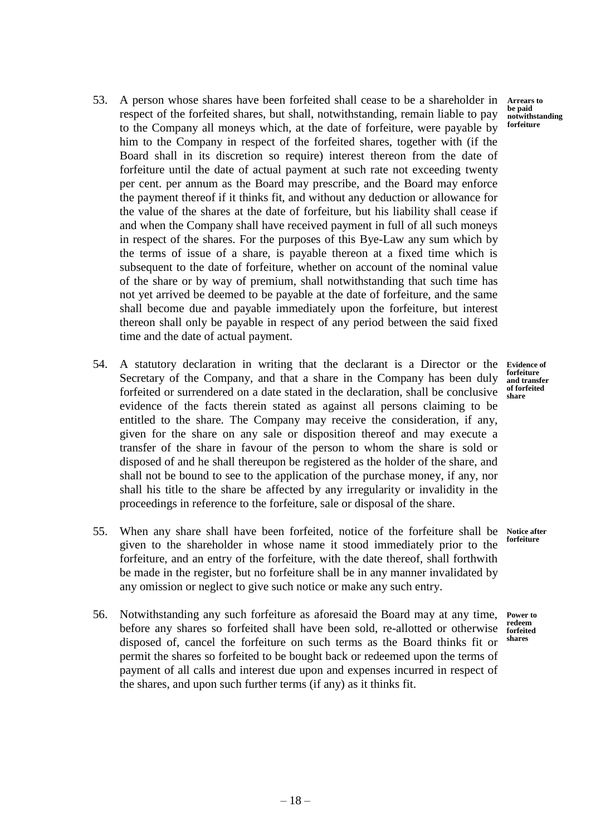- 53. A person whose shares have been forfeited shall cease to be a shareholder in respect of the forfeited shares, but shall, notwithstanding, remain liable to pay to the Company all moneys which, at the date of forfeiture, were payable by him to the Company in respect of the forfeited shares, together with (if the Board shall in its discretion so require) interest thereon from the date of forfeiture until the date of actual payment at such rate not exceeding twenty per cent. per annum as the Board may prescribe, and the Board may enforce the payment thereof if it thinks fit, and without any deduction or allowance for the value of the shares at the date of forfeiture, but his liability shall cease if and when the Company shall have received payment in full of all such moneys in respect of the shares. For the purposes of this Bye-Law any sum which by the terms of issue of a share, is payable thereon at a fixed time which is subsequent to the date of forfeiture, whether on account of the nominal value of the share or by way of premium, shall notwithstanding that such time has not yet arrived be deemed to be payable at the date of forfeiture, and the same shall become due and payable immediately upon the forfeiture, but interest thereon shall only be payable in respect of any period between the said fixed time and the date of actual payment.
- 54. A statutory declaration in writing that the declarant is a Director or the Secretary of the Company, and that a share in the Company has been duly forfeited or surrendered on a date stated in the declaration, shall be conclusive evidence of the facts therein stated as against all persons claiming to be entitled to the share. The Company may receive the consideration, if any, given for the share on any sale or disposition thereof and may execute a transfer of the share in favour of the person to whom the share is sold or disposed of and he shall thereupon be registered as the holder of the share, and shall not be bound to see to the application of the purchase money, if any, nor shall his title to the share be affected by any irregularity or invalidity in the proceedings in reference to the forfeiture, sale or disposal of the share.
- 55. When any share shall have been forfeited, notice of the forfeiture shall be given to the shareholder in whose name it stood immediately prior to the forfeiture, and an entry of the forfeiture, with the date thereof, shall forthwith be made in the register, but no forfeiture shall be in any manner invalidated by any omission or neglect to give such notice or make any such entry. **Notice after forfeiture**
- 56. Notwithstanding any such forfeiture as aforesaid the Board may at any time, before any shares so forfeited shall have been sold, re-allotted or otherwise disposed of, cancel the forfeiture on such terms as the Board thinks fit or permit the shares so forfeited to be bought back or redeemed upon the terms of payment of all calls and interest due upon and expenses incurred in respect of the shares, and upon such further terms (if any) as it thinks fit.

**Evidence of forfeiture and transfer of forfeited share**

**Power to redeem forfeited shares**

**Arrears to be paid notwithstanding forfeiture**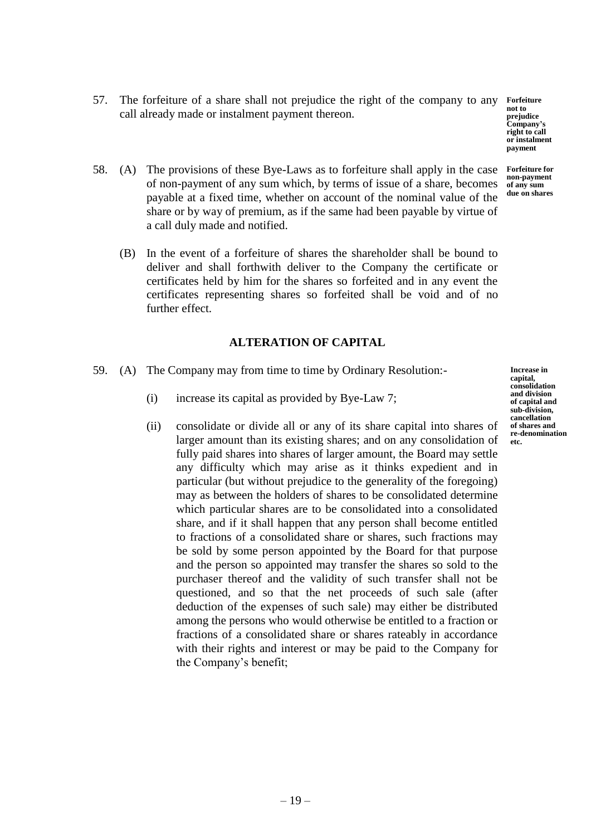57. The forfeiture of a share shall not prejudice the right of the company to any **Forfeiture** call already made or instalment payment thereon.

**not to prejudice Company's right to call or instalment payment**

- 58. (A) The provisions of these Bye-Laws as to forfeiture shall apply in the case of non-payment of any sum which, by terms of issue of a share, becomes payable at a fixed time, whether on account of the nominal value of the share or by way of premium, as if the same had been payable by virtue of a call duly made and notified. **Forfeiture for non-payment of any sum due on shares**
	- (B) In the event of a forfeiture of shares the shareholder shall be bound to deliver and shall forthwith deliver to the Company the certificate or certificates held by him for the shares so forfeited and in any event the certificates representing shares so forfeited shall be void and of no further effect.

# **ALTERATION OF CAPITAL**

- 59. (A) The Company may from time to time by Ordinary Resolution:-
	- (i) increase its capital as provided by Bye-Law 7;
	- (ii) consolidate or divide all or any of its share capital into shares of larger amount than its existing shares; and on any consolidation of fully paid shares into shares of larger amount, the Board may settle any difficulty which may arise as it thinks expedient and in particular (but without prejudice to the generality of the foregoing) may as between the holders of shares to be consolidated determine which particular shares are to be consolidated into a consolidated share, and if it shall happen that any person shall become entitled to fractions of a consolidated share or shares, such fractions may be sold by some person appointed by the Board for that purpose and the person so appointed may transfer the shares so sold to the purchaser thereof and the validity of such transfer shall not be questioned, and so that the net proceeds of such sale (after deduction of the expenses of such sale) may either be distributed among the persons who would otherwise be entitled to a fraction or fractions of a consolidated share or shares rateably in accordance with their rights and interest or may be paid to the Company for the Company's benefit;

**Increase in capital, consolidation and division of capital and sub-division, cancellation of shares and re-denomination etc.**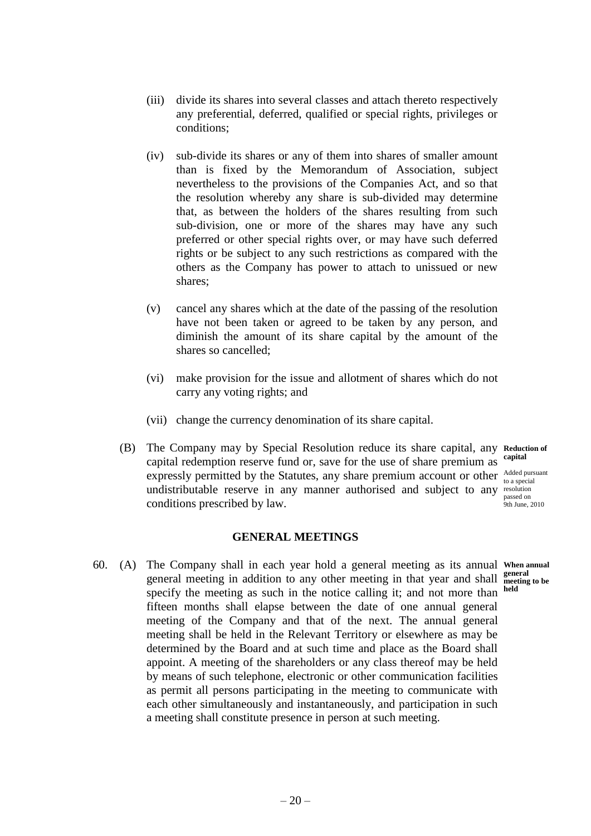- (iii) divide its shares into several classes and attach thereto respectively any preferential, deferred, qualified or special rights, privileges or conditions;
- (iv) sub-divide its shares or any of them into shares of smaller amount than is fixed by the Memorandum of Association, subject nevertheless to the provisions of the Companies Act, and so that the resolution whereby any share is sub-divided may determine that, as between the holders of the shares resulting from such sub-division, one or more of the shares may have any such preferred or other special rights over, or may have such deferred rights or be subject to any such restrictions as compared with the others as the Company has power to attach to unissued or new shares;
- (v) cancel any shares which at the date of the passing of the resolution have not been taken or agreed to be taken by any person, and diminish the amount of its share capital by the amount of the shares so cancelled;
- (vi) make provision for the issue and allotment of shares which do not carry any voting rights; and
- (vii) change the currency denomination of its share capital.
- (B) The Company may by Special Resolution reduce its share capital, any **Reduction of**  capital redemption reserve fund or, save for the use of share premium as expressly permitted by the Statutes, any share premium account or other  $\frac{\text{Added pursuit}}{\text{to a special}}$ undistributable reserve in any manner authorised and subject to any resolution conditions prescribed by law.

# **GENERAL MEETINGS**

60. (A) The Company shall in each year hold a general meeting as its annual **When annual**  general meeting in addition to any other meeting in that year and shall meeting specify the meeting as such in the notice calling it; and not more than held fifteen months shall elapse between the date of one annual general meeting of the Company and that of the next. The annual general meeting shall be held in the Relevant Territory or elsewhere as may be determined by the Board and at such time and place as the Board shall appoint. A meeting of the shareholders or any class thereof may be held by means of such telephone, electronic or other communication facilities as permit all persons participating in the meeting to communicate with each other simultaneously and instantaneously, and participation in such a meeting shall constitute presence in person at such meeting.

to a special passed on 9th June, 2010

**meeting to be**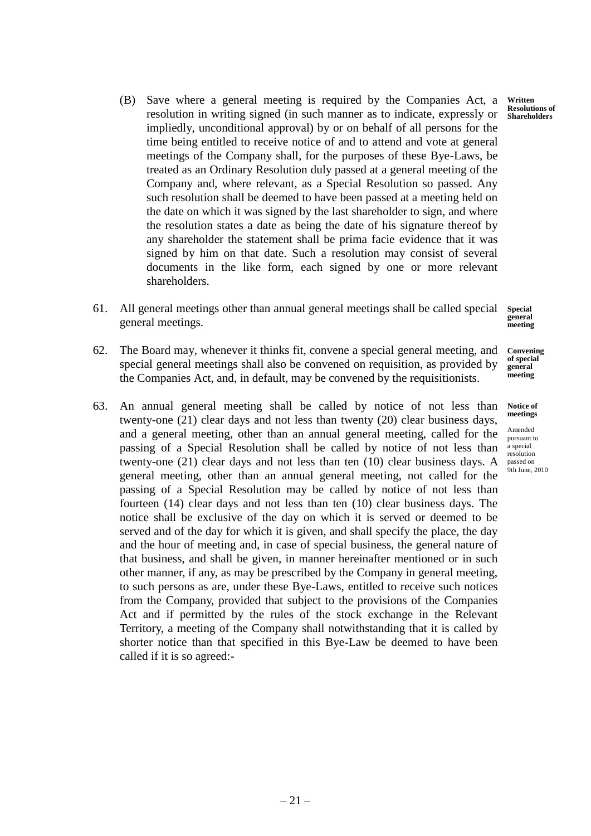- (B) Save where a general meeting is required by the Companies Act, a resolution in writing signed (in such manner as to indicate, expressly or impliedly, unconditional approval) by or on behalf of all persons for the time being entitled to receive notice of and to attend and vote at general meetings of the Company shall, for the purposes of these Bye-Laws, be treated as an Ordinary Resolution duly passed at a general meeting of the Company and, where relevant, as a Special Resolution so passed. Any such resolution shall be deemed to have been passed at a meeting held on the date on which it was signed by the last shareholder to sign, and where the resolution states a date as being the date of his signature thereof by any shareholder the statement shall be prima facie evidence that it was signed by him on that date. Such a resolution may consist of several documents in the like form, each signed by one or more relevant shareholders.
- 61. All general meetings other than annual general meetings shall be called special general meetings. **Special general**
- 62. The Board may, whenever it thinks fit, convene a special general meeting, and special general meetings shall also be convened on requisition, as provided by the Companies Act, and, in default, may be convened by the requisitionists. **Convening**
- 63. An annual general meeting shall be called by notice of not less than twenty-one (21) clear days and not less than twenty (20) clear business days, and a general meeting, other than an annual general meeting, called for the passing of a Special Resolution shall be called by notice of not less than twenty-one (21) clear days and not less than ten (10) clear business days. A general meeting, other than an annual general meeting, not called for the passing of a Special Resolution may be called by notice of not less than fourteen (14) clear days and not less than ten (10) clear business days. The notice shall be exclusive of the day on which it is served or deemed to be served and of the day for which it is given, and shall specify the place, the day and the hour of meeting and, in case of special business, the general nature of that business, and shall be given, in manner hereinafter mentioned or in such other manner, if any, as may be prescribed by the Company in general meeting, to such persons as are, under these Bye-Laws, entitled to receive such notices from the Company, provided that subject to the provisions of the Companies Act and if permitted by the rules of the stock exchange in the Relevant Territory, a meeting of the Company shall notwithstanding that it is called by shorter notice than that specified in this Bye-Law be deemed to have been called if it is so agreed:-

**Written Resolutions of Shareholders**

**meeting**

**of special general meeting**

**Notice of meetings**

Amended pursuant to a special resolution passed on 9th June, 2010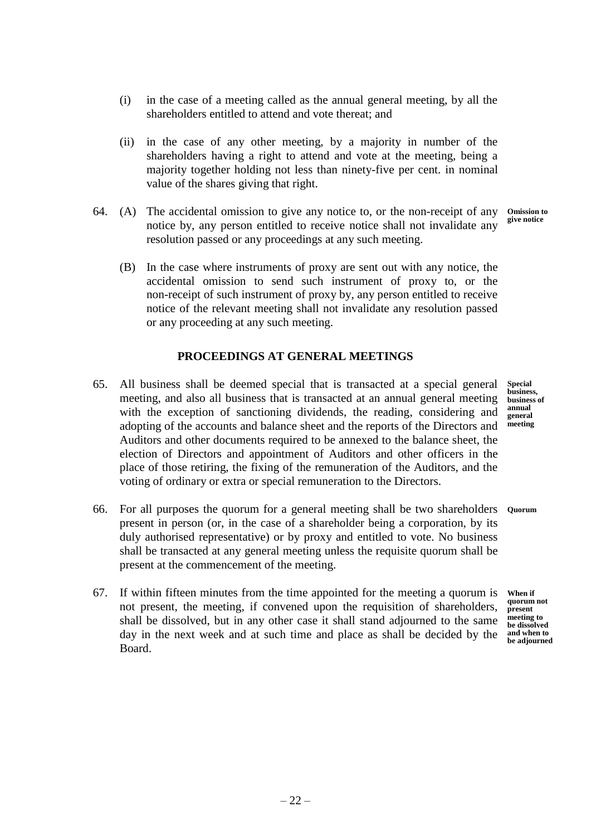- (i) in the case of a meeting called as the annual general meeting, by all the shareholders entitled to attend and vote thereat; and
- (ii) in the case of any other meeting, by a majority in number of the shareholders having a right to attend and vote at the meeting, being a majority together holding not less than ninety-five per cent. in nominal value of the shares giving that right.
- 64. (A) The accidental omission to give any notice to, or the non-receipt of any notice by, any person entitled to receive notice shall not invalidate any resolution passed or any proceedings at any such meeting. **Omission to give notice**
	- (B) In the case where instruments of proxy are sent out with any notice, the accidental omission to send such instrument of proxy to, or the non-receipt of such instrument of proxy by, any person entitled to receive notice of the relevant meeting shall not invalidate any resolution passed or any proceeding at any such meeting.

# **PROCEEDINGS AT GENERAL MEETINGS**

- 65. All business shall be deemed special that is transacted at a special general meeting, and also all business that is transacted at an annual general meeting with the exception of sanctioning dividends, the reading, considering and adopting of the accounts and balance sheet and the reports of the Directors and Auditors and other documents required to be annexed to the balance sheet, the election of Directors and appointment of Auditors and other officers in the place of those retiring, the fixing of the remuneration of the Auditors, and the voting of ordinary or extra or special remuneration to the Directors.
- 66. For all purposes the quorum for a general meeting shall be two shareholders **Quorum** present in person (or, in the case of a shareholder being a corporation, by its duly authorised representative) or by proxy and entitled to vote. No business shall be transacted at any general meeting unless the requisite quorum shall be present at the commencement of the meeting.
- 67. If within fifteen minutes from the time appointed for the meeting a quorum is not present, the meeting, if convened upon the requisition of shareholders, shall be dissolved, but in any other case it shall stand adjourned to the same day in the next week and at such time and place as shall be decided by the Board.

**Special business, business of annual general meeting**

**When if quorum not present meeting to be dissolved and when to be adjourned**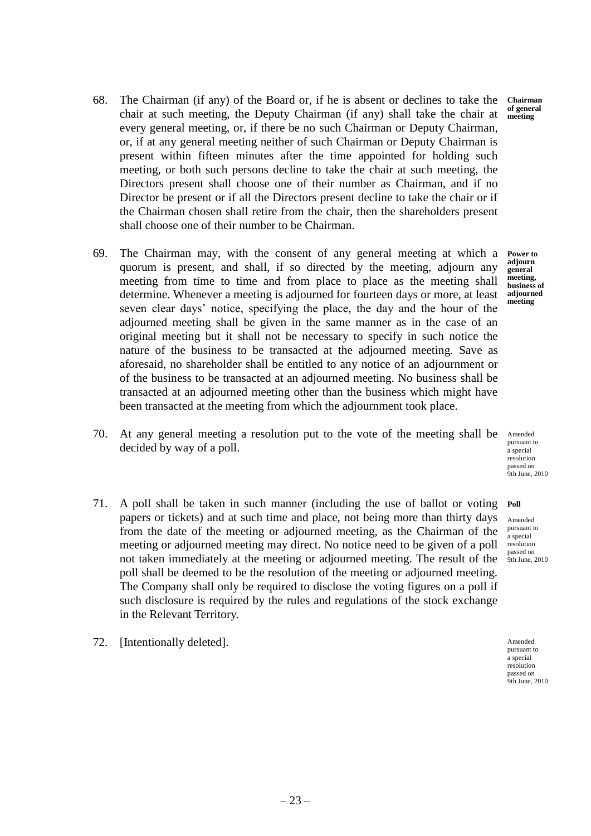68. The Chairman (if any) of the Board or, if he is absent or declines to take the chair at such meeting, the Deputy Chairman (if any) shall take the chair at every general meeting, or, if there be no such Chairman or Deputy Chairman, or, if at any general meeting neither of such Chairman or Deputy Chairman is present within fifteen minutes after the time appointed for holding such meeting, or both such persons decline to take the chair at such meeting, the Directors present shall choose one of their number as Chairman, and if no Director be present or if all the Directors present decline to take the chair or if the Chairman chosen shall retire from the chair, then the shareholders present shall choose one of their number to be Chairman.

- 69. The Chairman may, with the consent of any general meeting at which a quorum is present, and shall, if so directed by the meeting, adjourn any meeting from time to time and from place to place as the meeting shall determine. Whenever a meeting is adjourned for fourteen days or more, at least seven clear days' notice, specifying the place, the day and the hour of the adjourned meeting shall be given in the same manner as in the case of an original meeting but it shall not be necessary to specify in such notice the nature of the business to be transacted at the adjourned meeting. Save as aforesaid, no shareholder shall be entitled to any notice of an adjournment or of the business to be transacted at an adjourned meeting. No business shall be transacted at an adjourned meeting other than the business which might have been transacted at the meeting from which the adjournment took place.
- 70. At any general meeting a resolution put to the vote of the meeting shall be Amended decided by way of a poll.

The Company shall only be required to disclose the voting figures on a poll if such disclosure is required by the rules and regulations of the stock exchange

in the Relevant Territory.

72. [Intentionally deleted].

pursuant to a special resolution passed on **1**<br>9th June, 2010

71. A poll shall be taken in such manner (including the use of ballot or voting papers or tickets) and at such time and place, not being more than thirty days from the date of the meeting or adjourned meeting, as the Chairman of the meeting or adjourned meeting may direct. No notice need to be given of a poll not taken immediately at the meeting or adjourned meeting. The result of the poll shall be deemed to be the resolution of the meeting or adjourned meeting. Amended pursuant to a special resolution passed on 9th June, 2010

> Amended pursuant to a special resolution passed on 9th June, 2010

**Chairman of general meeting**

**Power to adjourn general meeting, business of adjourned meeting**

**Poll**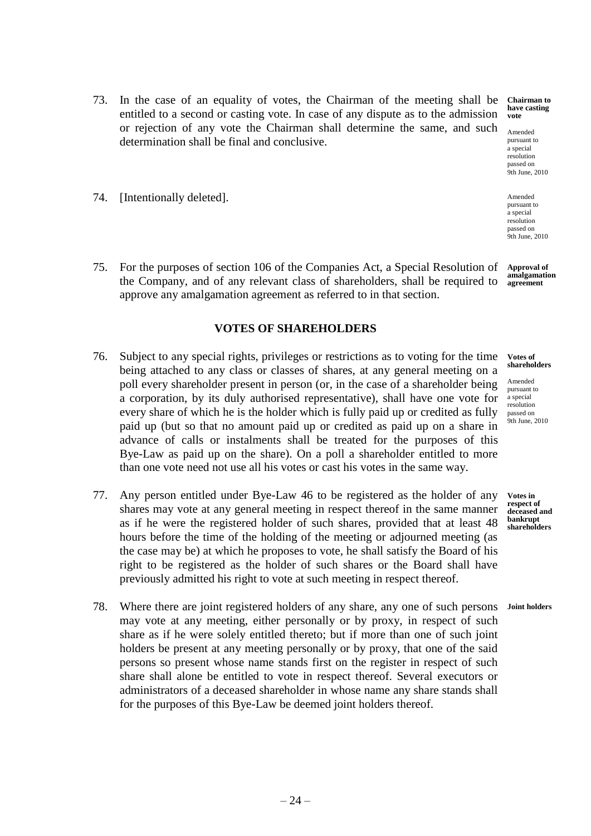- 73. In the case of an equality of votes, the Chairman of the meeting shall be entitled to a second or casting vote. In case of any dispute as to the admission or rejection of any vote the Chairman shall determine the same, and such determination shall be final and conclusive. **Chairman to have casting vote** Amended pursuant to a special
- 74. [Intentionally deleted].
- 75. For the purposes of section 106 of the Companies Act, a Special Resolution of the Company, and of any relevant class of shareholders, shall be required to approve any amalgamation agreement as referred to in that section. **Approval of amalgamation agreement**

### **VOTES OF SHAREHOLDERS**

- 76. Subject to any special rights, privileges or restrictions as to voting for the time being attached to any class or classes of shares, at any general meeting on a poll every shareholder present in person (or, in the case of a shareholder being a corporation, by its duly authorised representative), shall have one vote for every share of which he is the holder which is fully paid up or credited as fully paid up (but so that no amount paid up or credited as paid up on a share in advance of calls or instalments shall be treated for the purposes of this Bye-Law as paid up on the share). On a poll a shareholder entitled to more than one vote need not use all his votes or cast his votes in the same way.
- 77. Any person entitled under Bye-Law 46 to be registered as the holder of any shares may vote at any general meeting in respect thereof in the same manner as if he were the registered holder of such shares, provided that at least 48 hours before the time of the holding of the meeting or adjourned meeting (as the case may be) at which he proposes to vote, he shall satisfy the Board of his right to be registered as the holder of such shares or the Board shall have previously admitted his right to vote at such meeting in respect thereof.
- 78. Where there are joint registered holders of any share, any one of such persons may vote at any meeting, either personally or by proxy, in respect of such share as if he were solely entitled thereto; but if more than one of such joint holders be present at any meeting personally or by proxy, that one of the said persons so present whose name stands first on the register in respect of such share shall alone be entitled to vote in respect thereof. Several executors or administrators of a deceased shareholder in whose name any share stands shall for the purposes of this Bye-Law be deemed joint holders thereof.

**Votes of shareholders**

resolution passed on 9th June, 2010

Amended pursuant to a special resolution passed on 9th June, 2010

Amended pursuant to a special resolution passed on 9th June, 2010

**Votes in respect of deceased and bankrupt shareholders**

**Joint holders**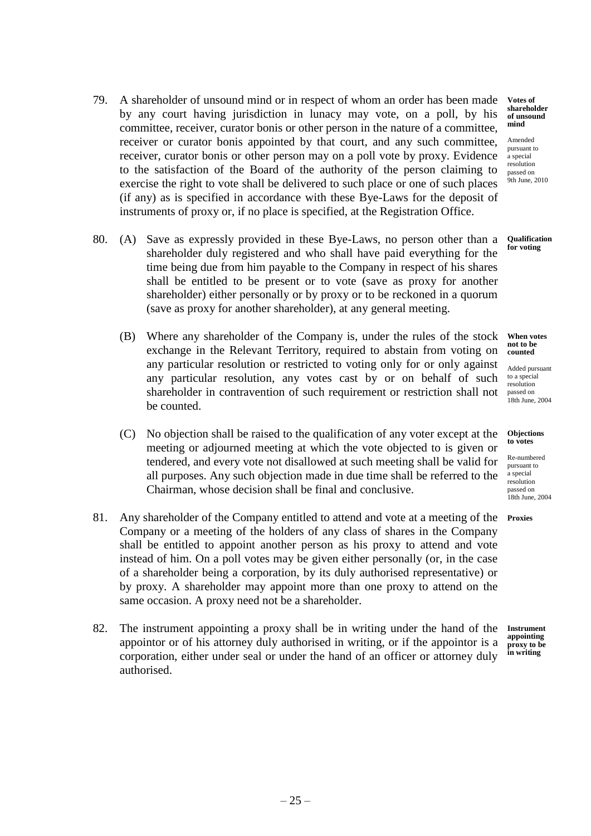- 79. A shareholder of unsound mind or in respect of whom an order has been made by any court having jurisdiction in lunacy may vote, on a poll, by his committee, receiver, curator bonis or other person in the nature of a committee, receiver or curator bonis appointed by that court, and any such committee, receiver, curator bonis or other person may on a poll vote by proxy. Evidence to the satisfaction of the Board of the authority of the person claiming to exercise the right to vote shall be delivered to such place or one of such places (if any) as is specified in accordance with these Bye-Laws for the deposit of instruments of proxy or, if no place is specified, at the Registration Office.
- 80. (A) Save as expressly provided in these Bye-Laws, no person other than a shareholder duly registered and who shall have paid everything for the time being due from him payable to the Company in respect of his shares shall be entitled to be present or to vote (save as proxy for another shareholder) either personally or by proxy or to be reckoned in a quorum (save as proxy for another shareholder), at any general meeting.
	- (B) Where any shareholder of the Company is, under the rules of the stock exchange in the Relevant Territory, required to abstain from voting on any particular resolution or restricted to voting only for or only against any particular resolution, any votes cast by or on behalf of such shareholder in contravention of such requirement or restriction shall not be counted.
	- (C) No objection shall be raised to the qualification of any voter except at the meeting or adjourned meeting at which the vote objected to is given or tendered, and every vote not disallowed at such meeting shall be valid for all purposes. Any such objection made in due time shall be referred to the Chairman, whose decision shall be final and conclusive.
- 81. Any shareholder of the Company entitled to attend and vote at a meeting of the **Proxies** Company or a meeting of the holders of any class of shares in the Company shall be entitled to appoint another person as his proxy to attend and vote instead of him. On a poll votes may be given either personally (or, in the case of a shareholder being a corporation, by its duly authorised representative) or by proxy. A shareholder may appoint more than one proxy to attend on the same occasion. A proxy need not be a shareholder.
- 82. The instrument appointing a proxy shall be in writing under the hand of the appointor or of his attorney duly authorised in writing, or if the appointor is a corporation, either under seal or under the hand of an officer or attorney duly authorised.

**Votes of shareholder of unsound mind**

Amended pursuant to a special resolution passed on 9th June, 2010

**Qualification for voting**

**When votes not to be counted**

Added pursuant to a special resolution passed on 18th June, 2004

#### **Objections to votes**

Re-numbered pursuant to a special resolution passed on 18th June, 2004

**Instrument appointing proxy to be in writing**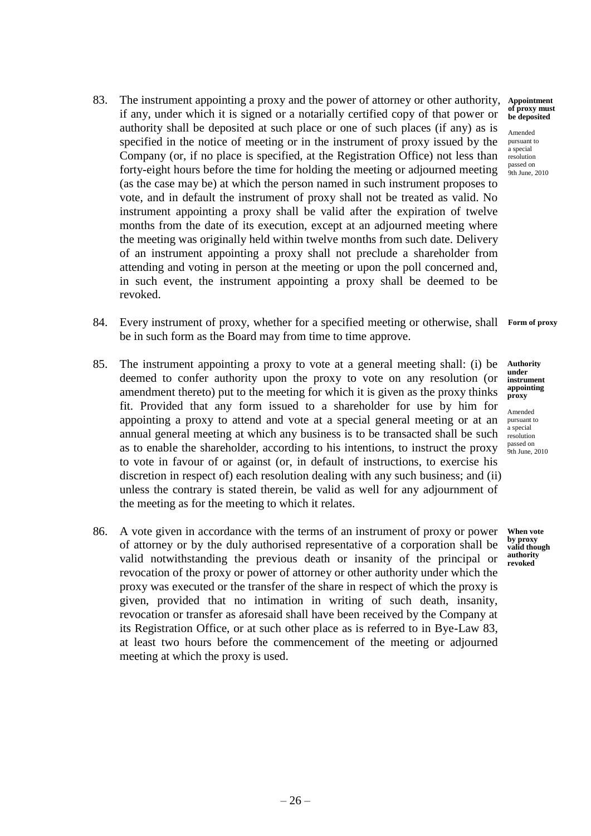- 83. The instrument appointing a proxy and the power of attorney or other authority, if any, under which it is signed or a notarially certified copy of that power or authority shall be deposited at such place or one of such places (if any) as is specified in the notice of meeting or in the instrument of proxy issued by the Company (or, if no place is specified, at the Registration Office) not less than forty-eight hours before the time for holding the meeting or adjourned meeting (as the case may be) at which the person named in such instrument proposes to vote, and in default the instrument of proxy shall not be treated as valid. No instrument appointing a proxy shall be valid after the expiration of twelve months from the date of its execution, except at an adjourned meeting where the meeting was originally held within twelve months from such date. Delivery of an instrument appointing a proxy shall not preclude a shareholder from attending and voting in person at the meeting or upon the poll concerned and, in such event, the instrument appointing a proxy shall be deemed to be revoked.
- 84. Every instrument of proxy, whether for a specified meeting or otherwise, shall **Form of proxy**be in such form as the Board may from time to time approve.
- 85. The instrument appointing a proxy to vote at a general meeting shall: (i) be deemed to confer authority upon the proxy to vote on any resolution (or amendment thereto) put to the meeting for which it is given as the proxy thinks fit. Provided that any form issued to a shareholder for use by him for appointing a proxy to attend and vote at a special general meeting or at an annual general meeting at which any business is to be transacted shall be such as to enable the shareholder, according to his intentions, to instruct the proxy to vote in favour of or against (or, in default of instructions, to exercise his discretion in respect of) each resolution dealing with any such business; and (ii) unless the contrary is stated therein, be valid as well for any adjournment of the meeting as for the meeting to which it relates.
- 86. A vote given in accordance with the terms of an instrument of proxy or power of attorney or by the duly authorised representative of a corporation shall be valid notwithstanding the previous death or insanity of the principal or revocation of the proxy or power of attorney or other authority under which the proxy was executed or the transfer of the share in respect of which the proxy is given, provided that no intimation in writing of such death, insanity, revocation or transfer as aforesaid shall have been received by the Company at its Registration Office, or at such other place as is referred to in Bye-Law 83, at least two hours before the commencement of the meeting or adjourned meeting at which the proxy is used.

**Appointment of proxy must be deposited**

Amended pursuant to .<br>a special resolution passed on 9th June, 2010

**Authority under instrument appointing proxy**

Amended pursuant to a special resolution passed on 9th June, 2010

**When vote by proxy valid though authority revoked**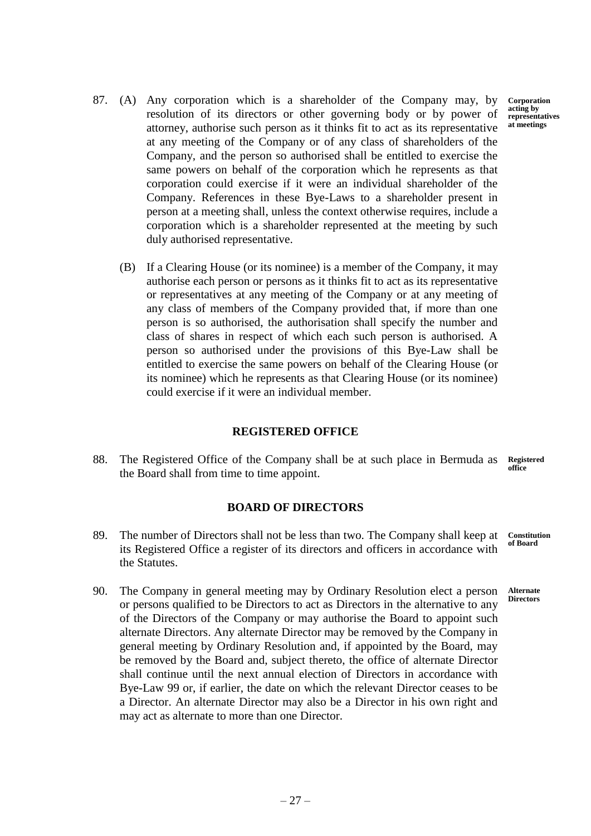**Corporation acting by representatives at meetings**

- 87. (A) Any corporation which is a shareholder of the Company may, by resolution of its directors or other governing body or by power of attorney, authorise such person as it thinks fit to act as its representative at any meeting of the Company or of any class of shareholders of the Company, and the person so authorised shall be entitled to exercise the same powers on behalf of the corporation which he represents as that corporation could exercise if it were an individual shareholder of the Company. References in these Bye-Laws to a shareholder present in person at a meeting shall, unless the context otherwise requires, include a corporation which is a shareholder represented at the meeting by such duly authorised representative.
	- (B) If a Clearing House (or its nominee) is a member of the Company, it may authorise each person or persons as it thinks fit to act as its representative or representatives at any meeting of the Company or at any meeting of any class of members of the Company provided that, if more than one person is so authorised, the authorisation shall specify the number and class of shares in respect of which each such person is authorised. A person so authorised under the provisions of this Bye-Law shall be entitled to exercise the same powers on behalf of the Clearing House (or its nominee) which he represents as that Clearing House (or its nominee) could exercise if it were an individual member.

# **REGISTERED OFFICE**

88. The Registered Office of the Company shall be at such place in Bermuda as the Board shall from time to time appoint. **Registered office**

# **BOARD OF DIRECTORS**

- 89. The number of Directors shall not be less than two. The Company shall keep at its Registered Office a register of its directors and officers in accordance with the Statutes. **Constitution of Board**
- 90. The Company in general meeting may by Ordinary Resolution elect a person or persons qualified to be Directors to act as Directors in the alternative to any of the Directors of the Company or may authorise the Board to appoint such alternate Directors. Any alternate Director may be removed by the Company in general meeting by Ordinary Resolution and, if appointed by the Board, may be removed by the Board and, subject thereto, the office of alternate Director shall continue until the next annual election of Directors in accordance with Bye-Law 99 or, if earlier, the date on which the relevant Director ceases to be a Director. An alternate Director may also be a Director in his own right and may act as alternate to more than one Director. **Alternate Directors**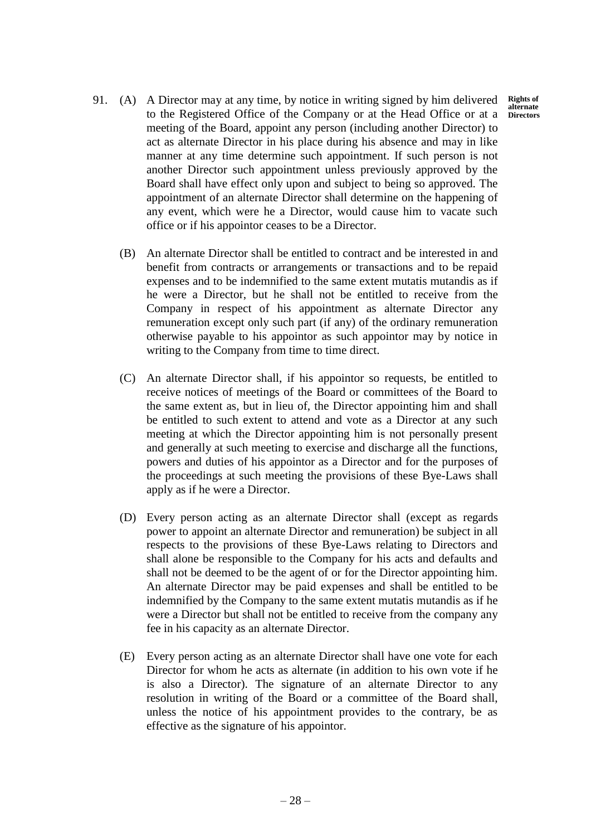**Rights of alternate Directors**

- 91. (A) A Director may at any time, by notice in writing signed by him delivered to the Registered Office of the Company or at the Head Office or at a meeting of the Board, appoint any person (including another Director) to act as alternate Director in his place during his absence and may in like manner at any time determine such appointment. If such person is not another Director such appointment unless previously approved by the Board shall have effect only upon and subject to being so approved. The appointment of an alternate Director shall determine on the happening of any event, which were he a Director, would cause him to vacate such office or if his appointor ceases to be a Director.
	- (B) An alternate Director shall be entitled to contract and be interested in and benefit from contracts or arrangements or transactions and to be repaid expenses and to be indemnified to the same extent mutatis mutandis as if he were a Director, but he shall not be entitled to receive from the Company in respect of his appointment as alternate Director any remuneration except only such part (if any) of the ordinary remuneration otherwise payable to his appointor as such appointor may by notice in writing to the Company from time to time direct.
	- (C) An alternate Director shall, if his appointor so requests, be entitled to receive notices of meetings of the Board or committees of the Board to the same extent as, but in lieu of, the Director appointing him and shall be entitled to such extent to attend and vote as a Director at any such meeting at which the Director appointing him is not personally present and generally at such meeting to exercise and discharge all the functions, powers and duties of his appointor as a Director and for the purposes of the proceedings at such meeting the provisions of these Bye-Laws shall apply as if he were a Director.
	- (D) Every person acting as an alternate Director shall (except as regards power to appoint an alternate Director and remuneration) be subject in all respects to the provisions of these Bye-Laws relating to Directors and shall alone be responsible to the Company for his acts and defaults and shall not be deemed to be the agent of or for the Director appointing him. An alternate Director may be paid expenses and shall be entitled to be indemnified by the Company to the same extent mutatis mutandis as if he were a Director but shall not be entitled to receive from the company any fee in his capacity as an alternate Director.
	- (E) Every person acting as an alternate Director shall have one vote for each Director for whom he acts as alternate (in addition to his own vote if he is also a Director). The signature of an alternate Director to any resolution in writing of the Board or a committee of the Board shall, unless the notice of his appointment provides to the contrary, be as effective as the signature of his appointor.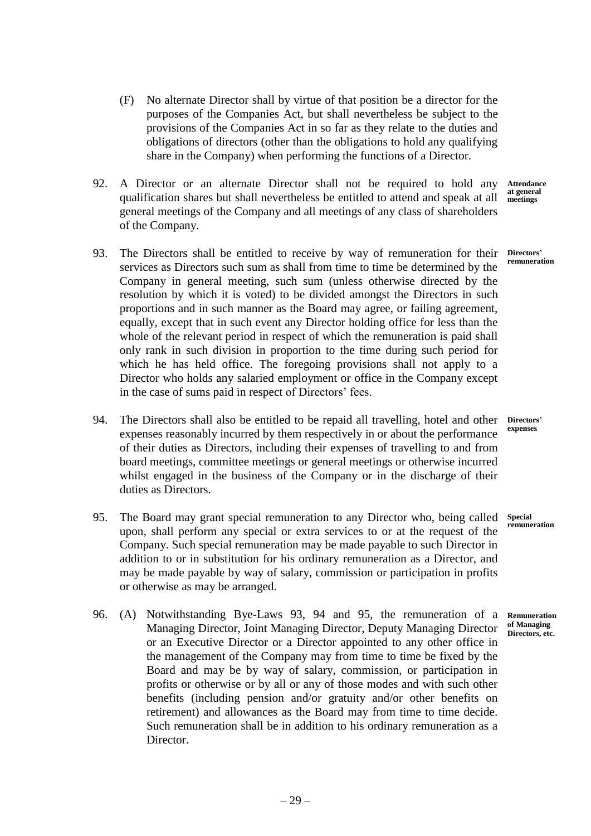- (F) No alternate Director shall by virtue of that position be a director for the purposes of the Companies Act, but shall nevertheless be subject to the provisions of the Companies Act in so far as they relate to the duties and obligations of directors (other than the obligations to hold any qualifying share in the Company) when performing the functions of a Director.
- 92. A Director or an alternate Director shall not be required to hold any qualification shares but shall nevertheless be entitled to attend and speak at all general meetings of the Company and all meetings of any class of shareholders of the Company.
- 93. The Directors shall be entitled to receive by way of remuneration for their services as Directors such sum as shall from time to time be determined by the Company in general meeting, such sum (unless otherwise directed by the resolution by which it is voted) to be divided amongst the Directors in such proportions and in such manner as the Board may agree, or failing agreement, equally, except that in such event any Director holding office for less than the whole of the relevant period in respect of which the remuneration is paid shall only rank in such division in proportion to the time during such period for which he has held office. The foregoing provisions shall not apply to a Director who holds any salaried employment or office in the Company except in the case of sums paid in respect of Directors' fees.
- 94. The Directors shall also be entitled to be repaid all travelling, hotel and other expenses reasonably incurred by them respectively in or about the performance of their duties as Directors, including their expenses of travelling to and from board meetings, committee meetings or general meetings or otherwise incurred whilst engaged in the business of the Company or in the discharge of their duties as Directors. **Directors'**
- 95. The Board may grant special remuneration to any Director who, being called upon, shall perform any special or extra services to or at the request of the Company. Such special remuneration may be made payable to such Director in addition to or in substitution for his ordinary remuneration as a Director, and may be made payable by way of salary, commission or participation in profits or otherwise as may be arranged. **Special**
- 96. (A) Notwithstanding Bye-Laws 93, 94 and 95, the remuneration of a Managing Director, Joint Managing Director, Deputy Managing Director or an Executive Director or a Director appointed to any other office in the management of the Company may from time to time be fixed by the Board and may be by way of salary, commission, or participation in profits or otherwise or by all or any of those modes and with such other benefits (including pension and/or gratuity and/or other benefits on retirement) and allowances as the Board may from time to time decide. Such remuneration shall be in addition to his ordinary remuneration as a Director.

**Attendance at general meetings**

**Directors' remuneration**

**expenses**

**remuneration**

**Remuneration of Managing Directors, etc.**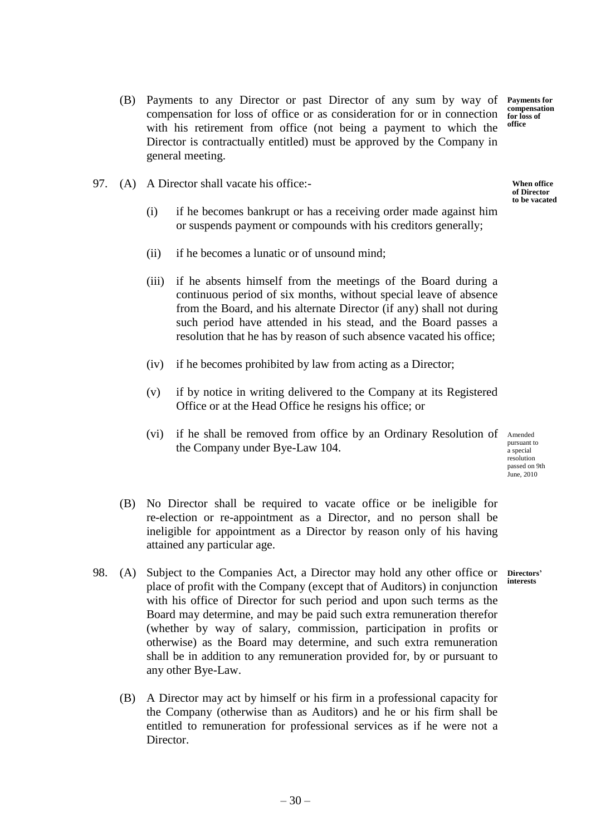- (B) Payments to any Director or past Director of any sum by way of compensation for loss of office or as consideration for or in connection with his retirement from office (not being a payment to which the Director is contractually entitled) must be approved by the Company in general meeting. **Payments for compensation for loss of office**
- 97. (A) A Director shall vacate his office:-
	- (i) if he becomes bankrupt or has a receiving order made against him or suspends payment or compounds with his creditors generally;
	- (ii) if he becomes a lunatic or of unsound mind;
	- (iii) if he absents himself from the meetings of the Board during a continuous period of six months, without special leave of absence from the Board, and his alternate Director (if any) shall not during such period have attended in his stead, and the Board passes a resolution that he has by reason of such absence vacated his office;
	- (iv) if he becomes prohibited by law from acting as a Director;
	- (v) if by notice in writing delivered to the Company at its Registered Office or at the Head Office he resigns his office; or
	- (vi) if he shall be removed from office by an Ordinary Resolution of Amended the Company under Bye-Law 104.

pursuant to a special resolution passed on 9th *June*, 2010

- (B) No Director shall be required to vacate office or be ineligible for re-election or re-appointment as a Director, and no person shall be ineligible for appointment as a Director by reason only of his having attained any particular age.
- 98. (A) Subject to the Companies Act, a Director may hold any other office or place of profit with the Company (except that of Auditors) in conjunction with his office of Director for such period and upon such terms as the Board may determine, and may be paid such extra remuneration therefor (whether by way of salary, commission, participation in profits or otherwise) as the Board may determine, and such extra remuneration shall be in addition to any remuneration provided for, by or pursuant to any other Bye-Law. **Directors' interests**
	- (B) A Director may act by himself or his firm in a professional capacity for the Company (otherwise than as Auditors) and he or his firm shall be entitled to remuneration for professional services as if he were not a Director.

**When office** 

**of Director to be vacated**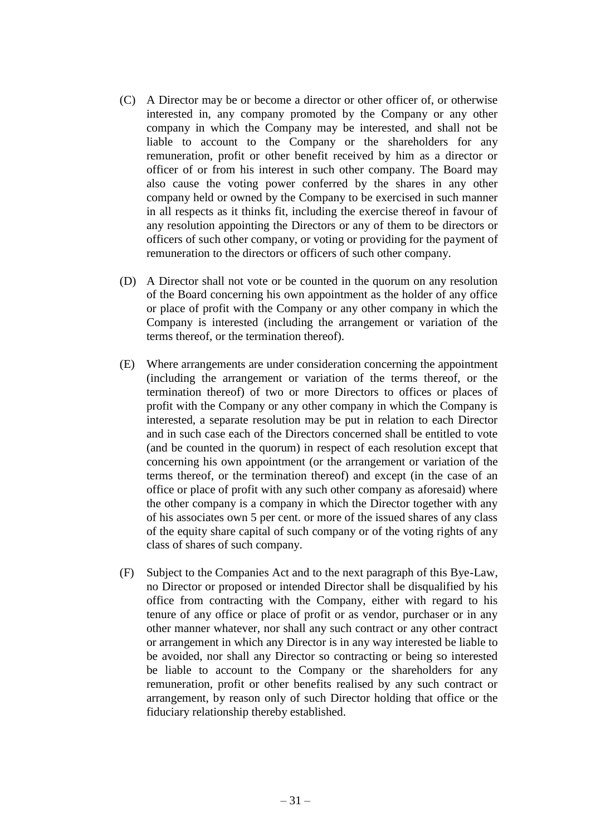- (C) A Director may be or become a director or other officer of, or otherwise interested in, any company promoted by the Company or any other company in which the Company may be interested, and shall not be liable to account to the Company or the shareholders for any remuneration, profit or other benefit received by him as a director or officer of or from his interest in such other company. The Board may also cause the voting power conferred by the shares in any other company held or owned by the Company to be exercised in such manner in all respects as it thinks fit, including the exercise thereof in favour of any resolution appointing the Directors or any of them to be directors or officers of such other company, or voting or providing for the payment of remuneration to the directors or officers of such other company.
- (D) A Director shall not vote or be counted in the quorum on any resolution of the Board concerning his own appointment as the holder of any office or place of profit with the Company or any other company in which the Company is interested (including the arrangement or variation of the terms thereof, or the termination thereof).
- (E) Where arrangements are under consideration concerning the appointment (including the arrangement or variation of the terms thereof, or the termination thereof) of two or more Directors to offices or places of profit with the Company or any other company in which the Company is interested, a separate resolution may be put in relation to each Director and in such case each of the Directors concerned shall be entitled to vote (and be counted in the quorum) in respect of each resolution except that concerning his own appointment (or the arrangement or variation of the terms thereof, or the termination thereof) and except (in the case of an office or place of profit with any such other company as aforesaid) where the other company is a company in which the Director together with any of his associates own 5 per cent. or more of the issued shares of any class of the equity share capital of such company or of the voting rights of any class of shares of such company.
- (F) Subject to the Companies Act and to the next paragraph of this Bye-Law, no Director or proposed or intended Director shall be disqualified by his office from contracting with the Company, either with regard to his tenure of any office or place of profit or as vendor, purchaser or in any other manner whatever, nor shall any such contract or any other contract or arrangement in which any Director is in any way interested be liable to be avoided, nor shall any Director so contracting or being so interested be liable to account to the Company or the shareholders for any remuneration, profit or other benefits realised by any such contract or arrangement, by reason only of such Director holding that office or the fiduciary relationship thereby established.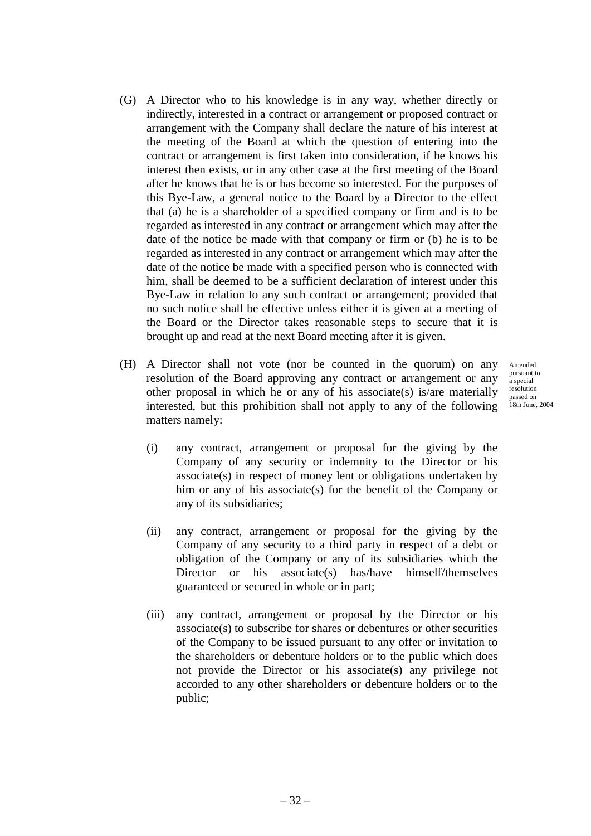- (G) A Director who to his knowledge is in any way, whether directly or indirectly, interested in a contract or arrangement or proposed contract or arrangement with the Company shall declare the nature of his interest at the meeting of the Board at which the question of entering into the contract or arrangement is first taken into consideration, if he knows his interest then exists, or in any other case at the first meeting of the Board after he knows that he is or has become so interested. For the purposes of this Bye-Law, a general notice to the Board by a Director to the effect that (a) he is a shareholder of a specified company or firm and is to be regarded as interested in any contract or arrangement which may after the date of the notice be made with that company or firm or (b) he is to be regarded as interested in any contract or arrangement which may after the date of the notice be made with a specified person who is connected with him, shall be deemed to be a sufficient declaration of interest under this Bye-Law in relation to any such contract or arrangement; provided that no such notice shall be effective unless either it is given at a meeting of the Board or the Director takes reasonable steps to secure that it is brought up and read at the next Board meeting after it is given.
- (H) A Director shall not vote (nor be counted in the quorum) on any resolution of the Board approving any contract or arrangement or any other proposal in which he or any of his associate(s) is/are materially interested, but this prohibition shall not apply to any of the following matters namely:

Amended pursuant to a special resolution passed on 18th June, 2004

- (i) any contract, arrangement or proposal for the giving by the Company of any security or indemnity to the Director or his associate(s) in respect of money lent or obligations undertaken by him or any of his associate(s) for the benefit of the Company or any of its subsidiaries;
- (ii) any contract, arrangement or proposal for the giving by the Company of any security to a third party in respect of a debt or obligation of the Company or any of its subsidiaries which the Director or his associate(s) has/have himself/themselves guaranteed or secured in whole or in part;
- (iii) any contract, arrangement or proposal by the Director or his associate(s) to subscribe for shares or debentures or other securities of the Company to be issued pursuant to any offer or invitation to the shareholders or debenture holders or to the public which does not provide the Director or his associate(s) any privilege not accorded to any other shareholders or debenture holders or to the public;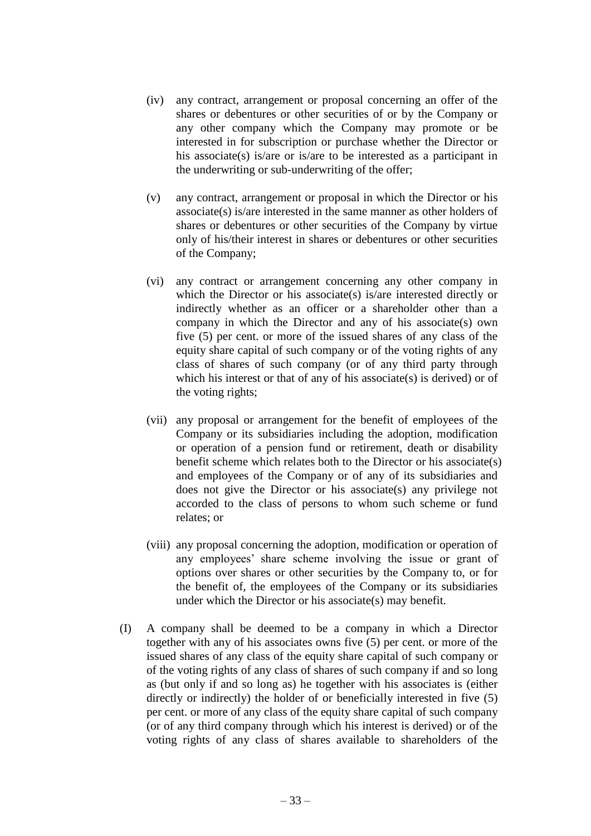- (iv) any contract, arrangement or proposal concerning an offer of the shares or debentures or other securities of or by the Company or any other company which the Company may promote or be interested in for subscription or purchase whether the Director or his associate(s) is/are or is/are to be interested as a participant in the underwriting or sub-underwriting of the offer;
- (v) any contract, arrangement or proposal in which the Director or his associate(s) is/are interested in the same manner as other holders of shares or debentures or other securities of the Company by virtue only of his/their interest in shares or debentures or other securities of the Company;
- (vi) any contract or arrangement concerning any other company in which the Director or his associate(s) is/are interested directly or indirectly whether as an officer or a shareholder other than a company in which the Director and any of his associate(s) own five (5) per cent. or more of the issued shares of any class of the equity share capital of such company or of the voting rights of any class of shares of such company (or of any third party through which his interest or that of any of his associate(s) is derived) or of the voting rights;
- (vii) any proposal or arrangement for the benefit of employees of the Company or its subsidiaries including the adoption, modification or operation of a pension fund or retirement, death or disability benefit scheme which relates both to the Director or his associate(s) and employees of the Company or of any of its subsidiaries and does not give the Director or his associate(s) any privilege not accorded to the class of persons to whom such scheme or fund relates; or
- (viii) any proposal concerning the adoption, modification or operation of any employees' share scheme involving the issue or grant of options over shares or other securities by the Company to, or for the benefit of, the employees of the Company or its subsidiaries under which the Director or his associate(s) may benefit.
- (I) A company shall be deemed to be a company in which a Director together with any of his associates owns five (5) per cent. or more of the issued shares of any class of the equity share capital of such company or of the voting rights of any class of shares of such company if and so long as (but only if and so long as) he together with his associates is (either directly or indirectly) the holder of or beneficially interested in five (5) per cent. or more of any class of the equity share capital of such company (or of any third company through which his interest is derived) or of the voting rights of any class of shares available to shareholders of the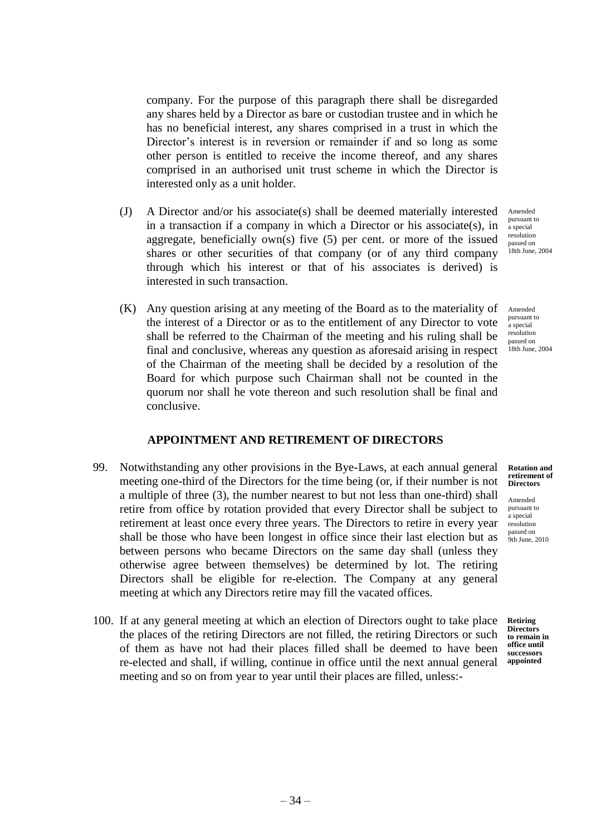company. For the purpose of this paragraph there shall be disregarded any shares held by a Director as bare or custodian trustee and in which he has no beneficial interest, any shares comprised in a trust in which the Director's interest is in reversion or remainder if and so long as some other person is entitled to receive the income thereof, and any shares comprised in an authorised unit trust scheme in which the Director is interested only as a unit holder.

- (J) A Director and/or his associate(s) shall be deemed materially interested in a transaction if a company in which a Director or his associate(s), in aggregate, beneficially own(s) five (5) per cent. or more of the issued shares or other securities of that company (or of any third company through which his interest or that of his associates is derived) is interested in such transaction. Amended pursuant to a special resolution
- (K) Any question arising at any meeting of the Board as to the materiality of the interest of a Director or as to the entitlement of any Director to vote shall be referred to the Chairman of the meeting and his ruling shall be final and conclusive, whereas any question as aforesaid arising in respect of the Chairman of the meeting shall be decided by a resolution of the Board for which purpose such Chairman shall not be counted in the quorum nor shall he vote thereon and such resolution shall be final and conclusive.

# **APPOINTMENT AND RETIREMENT OF DIRECTORS**

- 99. Notwithstanding any other provisions in the Bye-Laws, at each annual general meeting one-third of the Directors for the time being (or, if their number is not a multiple of three (3), the number nearest to but not less than one-third) shall retire from office by rotation provided that every Director shall be subject to retirement at least once every three years. The Directors to retire in every year shall be those who have been longest in office since their last election but as between persons who became Directors on the same day shall (unless they otherwise agree between themselves) be determined by lot. The retiring Directors shall be eligible for re-election. The Company at any general meeting at which any Directors retire may fill the vacated offices.
- 100. If at any general meeting at which an election of Directors ought to take place the places of the retiring Directors are not filled, the retiring Directors or such of them as have not had their places filled shall be deemed to have been re-elected and shall, if willing, continue in office until the next annual general meeting and so on from year to year until their places are filled, unless:-

passed on 18th June, 2004

Amended pursuant to a special resolution passed on 18th June, 2004

**Rotation and retirement of Directors**

Amended pursuant to a special resolution passed on 9th June, 2010

**Retiring Directors to remain in office until successors appointed**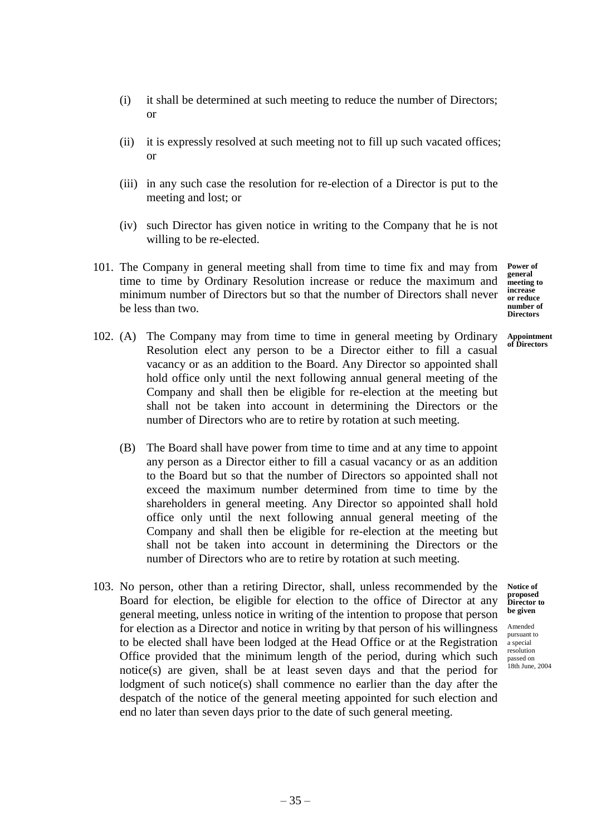- (i) it shall be determined at such meeting to reduce the number of Directors; or
- (ii) it is expressly resolved at such meeting not to fill up such vacated offices; or
- (iii) in any such case the resolution for re-election of a Director is put to the meeting and lost; or
- (iv) such Director has given notice in writing to the Company that he is not willing to be re-elected.
- 101. The Company in general meeting shall from time to time fix and may from time to time by Ordinary Resolution increase or reduce the maximum and minimum number of Directors but so that the number of Directors shall never be less than two.

**Power of general meeting to increase or reduce number of Directors**

- **Appointment of Directors**
- 102. (A) The Company may from time to time in general meeting by Ordinary Resolution elect any person to be a Director either to fill a casual vacancy or as an addition to the Board. Any Director so appointed shall hold office only until the next following annual general meeting of the Company and shall then be eligible for re-election at the meeting but shall not be taken into account in determining the Directors or the number of Directors who are to retire by rotation at such meeting.
	- (B) The Board shall have power from time to time and at any time to appoint any person as a Director either to fill a casual vacancy or as an addition to the Board but so that the number of Directors so appointed shall not exceed the maximum number determined from time to time by the shareholders in general meeting. Any Director so appointed shall hold office only until the next following annual general meeting of the Company and shall then be eligible for re-election at the meeting but shall not be taken into account in determining the Directors or the number of Directors who are to retire by rotation at such meeting.
- 103. No person, other than a retiring Director, shall, unless recommended by the Board for election, be eligible for election to the office of Director at any general meeting, unless notice in writing of the intention to propose that person for election as a Director and notice in writing by that person of his willingness to be elected shall have been lodged at the Head Office or at the Registration Office provided that the minimum length of the period, during which such notice(s) are given, shall be at least seven days and that the period for lodgment of such notice(s) shall commence no earlier than the day after the despatch of the notice of the general meeting appointed for such election and end no later than seven days prior to the date of such general meeting.

**Notice of proposed Director to be given**

Amended pursuant to a special resolution passed on 18th June, 2004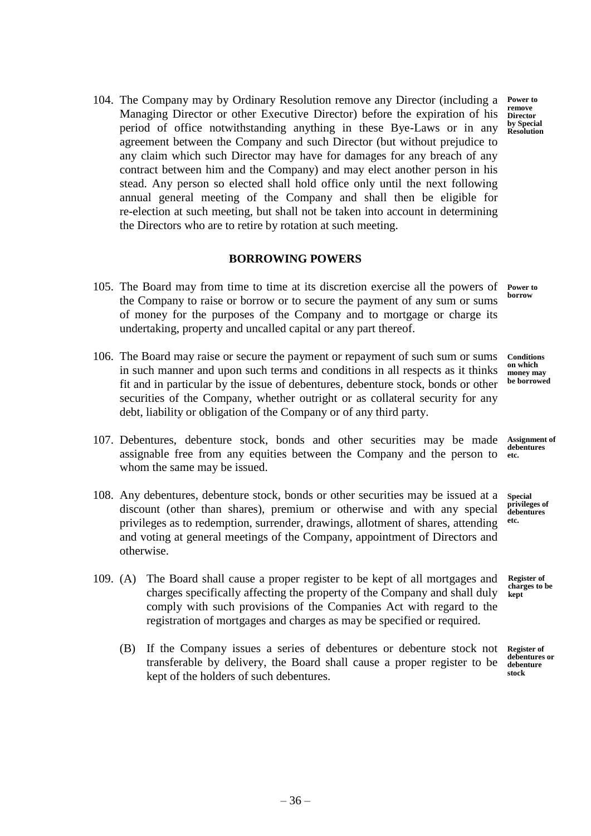104. The Company may by Ordinary Resolution remove any Director (including a Managing Director or other Executive Director) before the expiration of his period of office notwithstanding anything in these Bye-Laws or in any agreement between the Company and such Director (but without prejudice to any claim which such Director may have for damages for any breach of any contract between him and the Company) and may elect another person in his stead. Any person so elected shall hold office only until the next following annual general meeting of the Company and shall then be eligible for re-election at such meeting, but shall not be taken into account in determining the Directors who are to retire by rotation at such meeting. **Power to Director** 

# **BORROWING POWERS**

- 105. The Board may from time to time at its discretion exercise all the powers of the Company to raise or borrow or to secure the payment of any sum or sums of money for the purposes of the Company and to mortgage or charge its undertaking, property and uncalled capital or any part thereof. **Power to borrow**
- 106. The Board may raise or secure the payment or repayment of such sum or sums in such manner and upon such terms and conditions in all respects as it thinks fit and in particular by the issue of debentures, debenture stock, bonds or other securities of the Company, whether outright or as collateral security for any debt, liability or obligation of the Company or of any third party.
- 107. Debentures, debenture stock, bonds and other securities may be made assignable free from any equities between the Company and the person to whom the same may be issued. **etc.**
- 108. Any debentures, debenture stock, bonds or other securities may be issued at a discount (other than shares), premium or otherwise and with any special privileges as to redemption, surrender, drawings, allotment of shares, attending and voting at general meetings of the Company, appointment of Directors and otherwise.
- 109. (A) The Board shall cause a proper register to be kept of all mortgages and charges specifically affecting the property of the Company and shall duly comply with such provisions of the Companies Act with regard to the registration of mortgages and charges as may be specified or required.
	- (B) If the Company issues a series of debentures or debenture stock not transferable by delivery, the Board shall cause a proper register to be kept of the holders of such debentures. **stock**

**remove** 

**by Special Resolution**

**Conditions on which money may be borrowed**

**Assignment of debentures** 

**Special privileges of debentures etc.**

**Register of charges to be kept**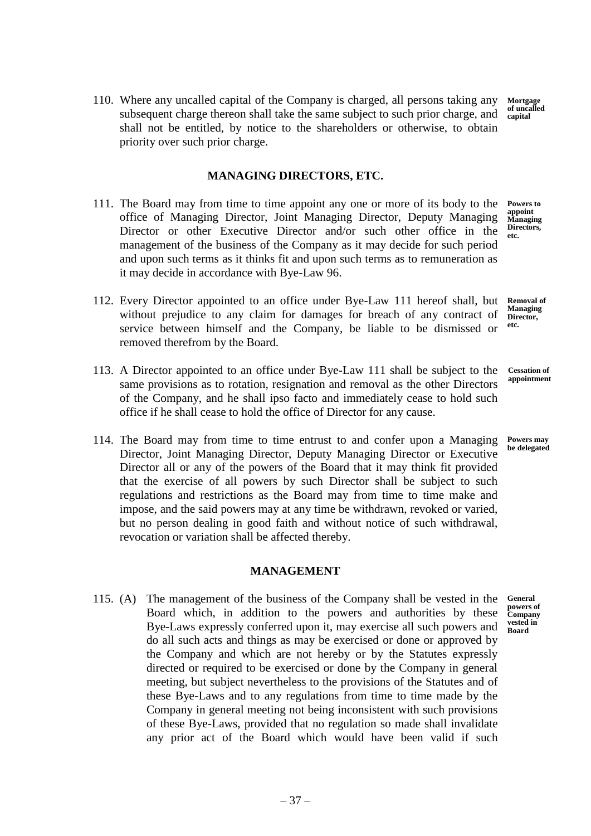110. Where any uncalled capital of the Company is charged, all persons taking any subsequent charge thereon shall take the same subject to such prior charge, and shall not be entitled, by notice to the shareholders or otherwise, to obtain priority over such prior charge. **Mortgage of uncalled capital**

# **MANAGING DIRECTORS, ETC.**

- 111. The Board may from time to time appoint any one or more of its body to the office of Managing Director, Joint Managing Director, Deputy Managing Director or other Executive Director and/or such other office in the management of the business of the Company as it may decide for such period and upon such terms as it thinks fit and upon such terms as to remuneration as it may decide in accordance with Bye-Law 96.
- 112. Every Director appointed to an office under Bye-Law 111 hereof shall, but without prejudice to any claim for damages for breach of any contract of service between himself and the Company, be liable to be dismissed or removed therefrom by the Board. **etc.**
- 113. A Director appointed to an office under Bye-Law 111 shall be subject to the same provisions as to rotation, resignation and removal as the other Directors of the Company, and he shall ipso facto and immediately cease to hold such office if he shall cease to hold the office of Director for any cause.
- 114. The Board may from time to time entrust to and confer upon a Managing Director, Joint Managing Director, Deputy Managing Director or Executive Director all or any of the powers of the Board that it may think fit provided that the exercise of all powers by such Director shall be subject to such regulations and restrictions as the Board may from time to time make and impose, and the said powers may at any time be withdrawn, revoked or varied, but no person dealing in good faith and without notice of such withdrawal, revocation or variation shall be affected thereby.

### **MANAGEMENT**

115. (A) The management of the business of the Company shall be vested in the Board which, in addition to the powers and authorities by these Bye-Laws expressly conferred upon it, may exercise all such powers and do all such acts and things as may be exercised or done or approved by the Company and which are not hereby or by the Statutes expressly directed or required to be exercised or done by the Company in general meeting, but subject nevertheless to the provisions of the Statutes and of these Bye-Laws and to any regulations from time to time made by the Company in general meeting not being inconsistent with such provisions of these Bye-Laws, provided that no regulation so made shall invalidate any prior act of the Board which would have been valid if such

**Powers to appoint Managing Directors, etc.**

**Removal of Managing**  Director,

**Cessation of appointment**

**Powers may be delegated**

**General powers of Company vested in Board**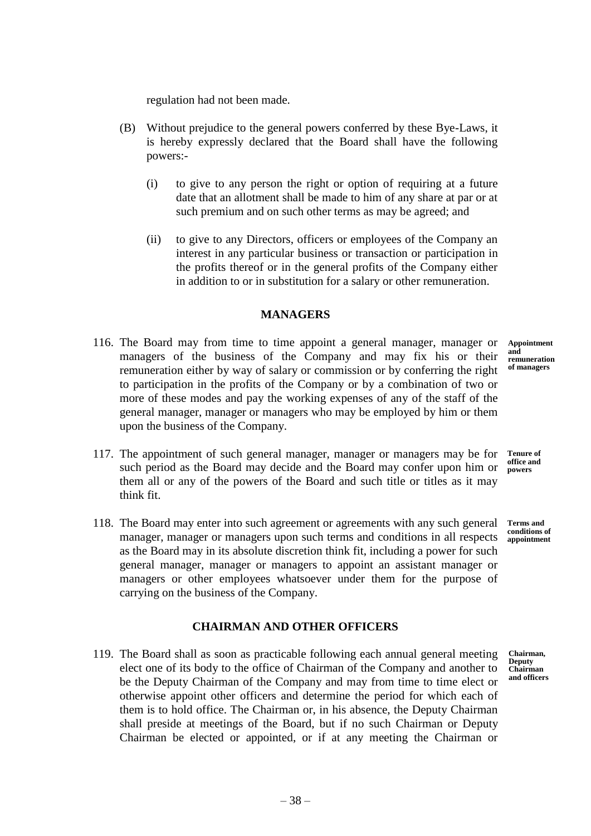regulation had not been made.

- (B) Without prejudice to the general powers conferred by these Bye-Laws, it is hereby expressly declared that the Board shall have the following powers:-
	- (i) to give to any person the right or option of requiring at a future date that an allotment shall be made to him of any share at par or at such premium and on such other terms as may be agreed; and
	- (ii) to give to any Directors, officers or employees of the Company an interest in any particular business or transaction or participation in the profits thereof or in the general profits of the Company either in addition to or in substitution for a salary or other remuneration.

# **MANAGERS**

- 116. The Board may from time to time appoint a general manager, manager or managers of the business of the Company and may fix his or their remuneration either by way of salary or commission or by conferring the right to participation in the profits of the Company or by a combination of two or more of these modes and pay the working expenses of any of the staff of the general manager, manager or managers who may be employed by him or them upon the business of the Company.
- 117. The appointment of such general manager, manager or managers may be for such period as the Board may decide and the Board may confer upon him or them all or any of the powers of the Board and such title or titles as it may think fit.
- 118. The Board may enter into such agreement or agreements with any such general manager, manager or managers upon such terms and conditions in all respects **appointment** as the Board may in its absolute discretion think fit, including a power for such general manager, manager or managers to appoint an assistant manager or managers or other employees whatsoever under them for the purpose of carrying on the business of the Company.

# **CHAIRMAN AND OTHER OFFICERS**

119. The Board shall as soon as practicable following each annual general meeting elect one of its body to the office of Chairman of the Company and another to be the Deputy Chairman of the Company and may from time to time elect or otherwise appoint other officers and determine the period for which each of them is to hold office. The Chairman or, in his absence, the Deputy Chairman shall preside at meetings of the Board, but if no such Chairman or Deputy Chairman be elected or appointed, or if at any meeting the Chairman or

**Appointment and remuneration of managers**

**Tenure of office and powers**

**Terms and conditions of** 

**Chairman, Deputy Chairman and officers**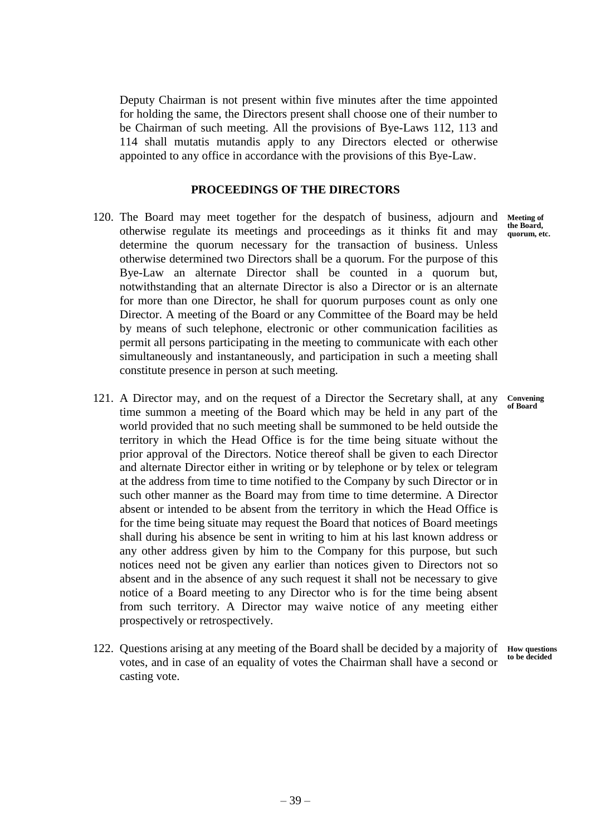Deputy Chairman is not present within five minutes after the time appointed for holding the same, the Directors present shall choose one of their number to be Chairman of such meeting. All the provisions of Bye-Laws 112, 113 and 114 shall mutatis mutandis apply to any Directors elected or otherwise appointed to any office in accordance with the provisions of this Bye-Law.

## **PROCEEDINGS OF THE DIRECTORS**

- 120. The Board may meet together for the despatch of business, adjourn and otherwise regulate its meetings and proceedings as it thinks fit and may the Board, determine the quorum necessary for the transaction of business. Unless otherwise determined two Directors shall be a quorum. For the purpose of this Bye-Law an alternate Director shall be counted in a quorum but, notwithstanding that an alternate Director is also a Director or is an alternate for more than one Director, he shall for quorum purposes count as only one Director. A meeting of the Board or any Committee of the Board may be held by means of such telephone, electronic or other communication facilities as permit all persons participating in the meeting to communicate with each other simultaneously and instantaneously, and participation in such a meeting shall constitute presence in person at such meeting.
- 121. A Director may, and on the request of a Director the Secretary shall, at any time summon a meeting of the Board which may be held in any part of the world provided that no such meeting shall be summoned to be held outside the territory in which the Head Office is for the time being situate without the prior approval of the Directors. Notice thereof shall be given to each Director and alternate Director either in writing or by telephone or by telex or telegram at the address from time to time notified to the Company by such Director or in such other manner as the Board may from time to time determine. A Director absent or intended to be absent from the territory in which the Head Office is for the time being situate may request the Board that notices of Board meetings shall during his absence be sent in writing to him at his last known address or any other address given by him to the Company for this purpose, but such notices need not be given any earlier than notices given to Directors not so absent and in the absence of any such request it shall not be necessary to give notice of a Board meeting to any Director who is for the time being absent from such territory. A Director may waive notice of any meeting either prospectively or retrospectively.
- 122. Questions arising at any meeting of the Board shall be decided by a majority of votes, and in case of an equality of votes the Chairman shall have a second or casting vote.

**Meeting of quorum, etc.**

**Convening of Board**

**How questions to be decided**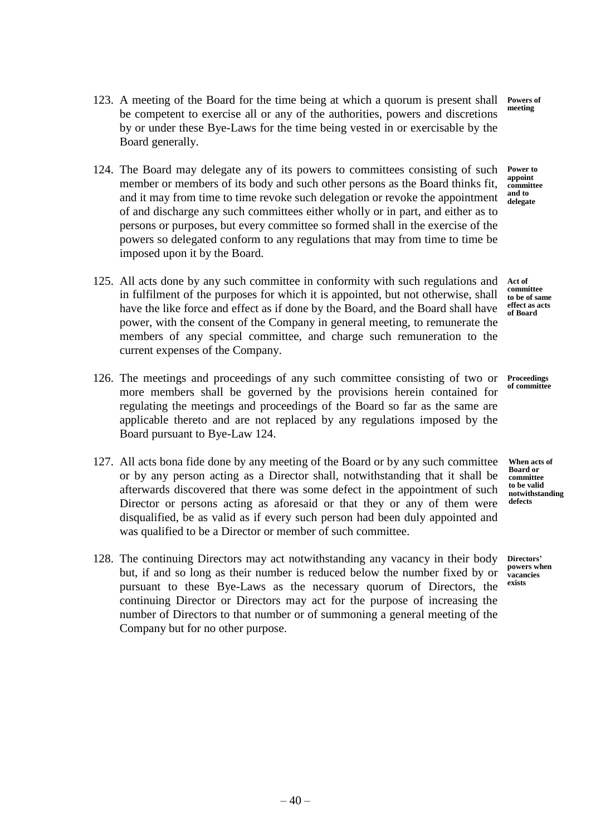- 123. A meeting of the Board for the time being at which a quorum is present shall be competent to exercise all or any of the authorities, powers and discretions by or under these Bye-Laws for the time being vested in or exercisable by the Board generally. **Powers of meeting**
- 124. The Board may delegate any of its powers to committees consisting of such member or members of its body and such other persons as the Board thinks fit, and it may from time to time revoke such delegation or revoke the appointment of and discharge any such committees either wholly or in part, and either as to persons or purposes, but every committee so formed shall in the exercise of the powers so delegated conform to any regulations that may from time to time be imposed upon it by the Board. **Power to appoint committee and to delegate**
- 125. All acts done by any such committee in conformity with such regulations and in fulfilment of the purposes for which it is appointed, but not otherwise, shall have the like force and effect as if done by the Board, and the Board shall have power, with the consent of the Company in general meeting, to remunerate the members of any special committee, and charge such remuneration to the current expenses of the Company.
- 126. The meetings and proceedings of any such committee consisting of two or more members shall be governed by the provisions herein contained for regulating the meetings and proceedings of the Board so far as the same are applicable thereto and are not replaced by any regulations imposed by the Board pursuant to Bye-Law 124.
- 127. All acts bona fide done by any meeting of the Board or by any such committee or by any person acting as a Director shall, notwithstanding that it shall be afterwards discovered that there was some defect in the appointment of such Director or persons acting as aforesaid or that they or any of them were disqualified, be as valid as if every such person had been duly appointed and was qualified to be a Director or member of such committee.
- 128. The continuing Directors may act notwithstanding any vacancy in their body but, if and so long as their number is reduced below the number fixed by or pursuant to these Bye-Laws as the necessary quorum of Directors, the continuing Director or Directors may act for the purpose of increasing the number of Directors to that number or of summoning a general meeting of the Company but for no other purpose.

**Act of committee**

**to be of same effect as acts of Board**

**Proceedings of committee**

**When acts of Board or committee to be valid notwithstanding defects**

**Directors' powers when vacancies exists**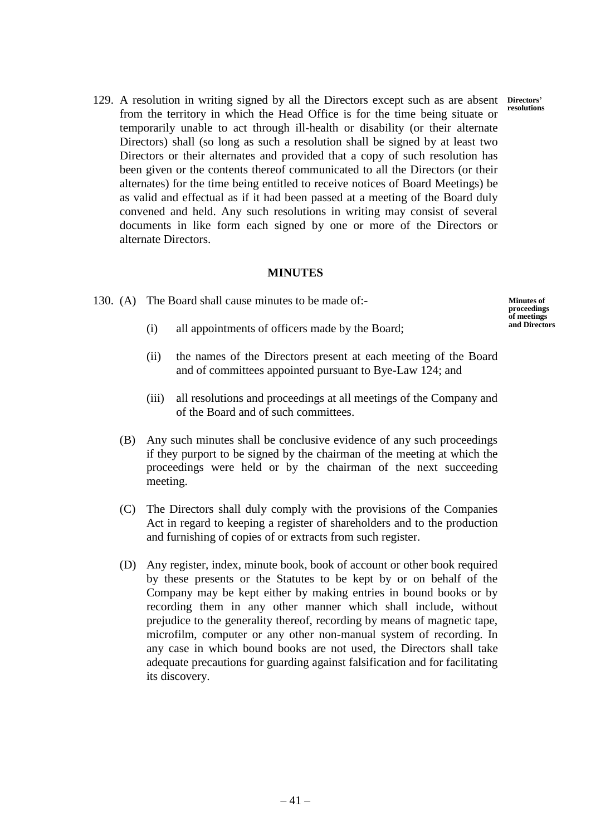129. A resolution in writing signed by all the Directors except such as are absent from the territory in which the Head Office is for the time being situate or temporarily unable to act through ill-health or disability (or their alternate Directors) shall (so long as such a resolution shall be signed by at least two Directors or their alternates and provided that a copy of such resolution has been given or the contents thereof communicated to all the Directors (or their alternates) for the time being entitled to receive notices of Board Meetings) be as valid and effectual as if it had been passed at a meeting of the Board duly convened and held. Any such resolutions in writing may consist of several documents in like form each signed by one or more of the Directors or alternate Directors.

# **MINUTES**

- 130. (A) The Board shall cause minutes to be made of:- **Minutes of proceedings**
	- (i) all appointments of officers made by the Board;
	- (ii) the names of the Directors present at each meeting of the Board and of committees appointed pursuant to Bye-Law 124; and
	- (iii) all resolutions and proceedings at all meetings of the Company and of the Board and of such committees.
	- (B) Any such minutes shall be conclusive evidence of any such proceedings if they purport to be signed by the chairman of the meeting at which the proceedings were held or by the chairman of the next succeeding meeting.
	- (C) The Directors shall duly comply with the provisions of the Companies Act in regard to keeping a register of shareholders and to the production and furnishing of copies of or extracts from such register.
	- (D) Any register, index, minute book, book of account or other book required by these presents or the Statutes to be kept by or on behalf of the Company may be kept either by making entries in bound books or by recording them in any other manner which shall include, without prejudice to the generality thereof, recording by means of magnetic tape, microfilm, computer or any other non-manual system of recording. In any case in which bound books are not used, the Directors shall take adequate precautions for guarding against falsification and for facilitating its discovery.

**Directors' resolutions**

**of meetings and Directors**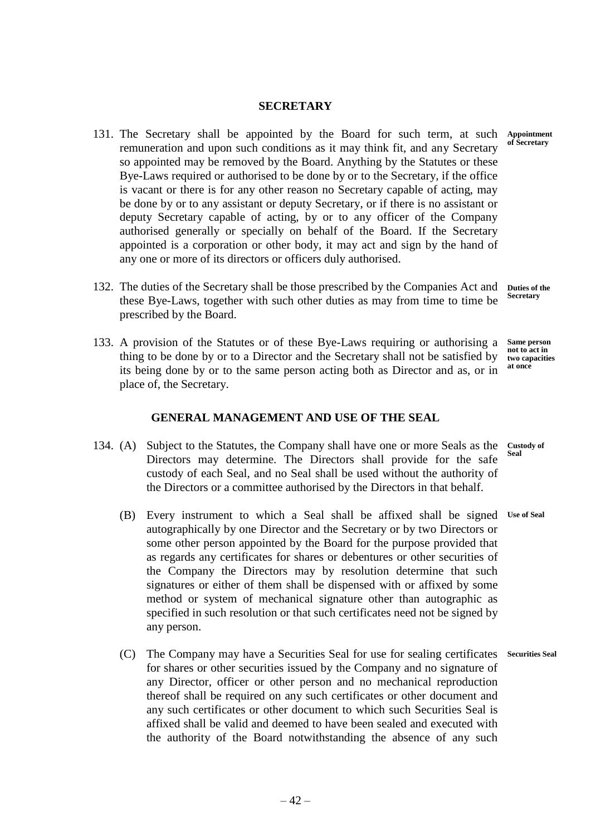#### **SECRETARY**

- 131. The Secretary shall be appointed by the Board for such term, at such remuneration and upon such conditions as it may think fit, and any Secretary so appointed may be removed by the Board. Anything by the Statutes or these Bye-Laws required or authorised to be done by or to the Secretary, if the office is vacant or there is for any other reason no Secretary capable of acting, may be done by or to any assistant or deputy Secretary, or if there is no assistant or deputy Secretary capable of acting, by or to any officer of the Company authorised generally or specially on behalf of the Board. If the Secretary appointed is a corporation or other body, it may act and sign by the hand of any one or more of its directors or officers duly authorised.
- 132. The duties of the Secretary shall be those prescribed by the Companies Act and these Bye-Laws, together with such other duties as may from time to time be prescribed by the Board. **Duties of the Secretary**
- 133. A provision of the Statutes or of these Bye-Laws requiring or authorising a thing to be done by or to a Director and the Secretary shall not be satisfied by its being done by or to the same person acting both as Director and as, or in place of, the Secretary. **Same person not to act in two capacities at once**

# **GENERAL MANAGEMENT AND USE OF THE SEAL**

- 134. (A) Subject to the Statutes, the Company shall have one or more Seals as the Directors may determine. The Directors shall provide for the safe custody of each Seal, and no Seal shall be used without the authority of the Directors or a committee authorised by the Directors in that behalf. **Custody of Seal**
	- (B) Every instrument to which a Seal shall be affixed shall be signed **Use of Seal**autographically by one Director and the Secretary or by two Directors or some other person appointed by the Board for the purpose provided that as regards any certificates for shares or debentures or other securities of the Company the Directors may by resolution determine that such signatures or either of them shall be dispensed with or affixed by some method or system of mechanical signature other than autographic as specified in such resolution or that such certificates need not be signed by any person.
	- (C) The Company may have a Securities Seal for use for sealing certificates for shares or other securities issued by the Company and no signature of any Director, officer or other person and no mechanical reproduction thereof shall be required on any such certificates or other document and any such certificates or other document to which such Securities Seal is affixed shall be valid and deemed to have been sealed and executed with the authority of the Board notwithstanding the absence of any such **Securities Seal**

**Appointment of Secretary**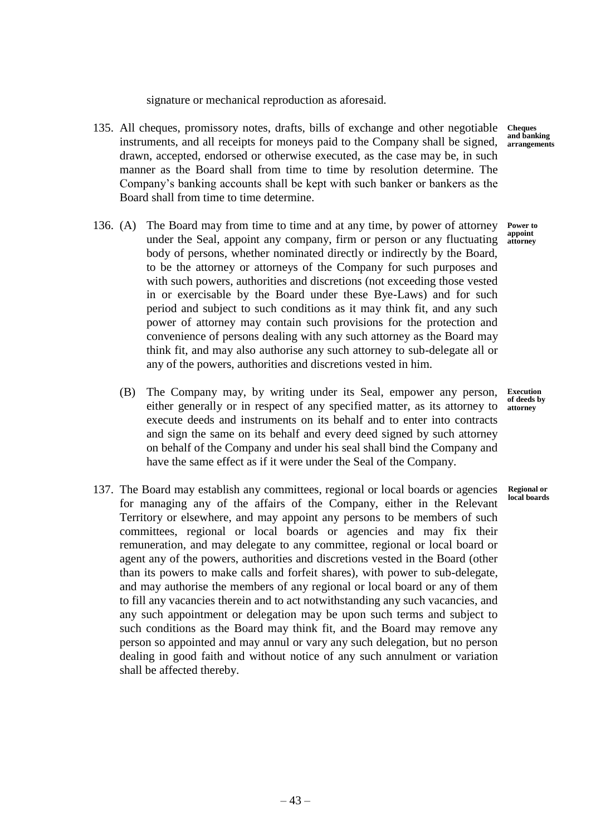signature or mechanical reproduction as aforesaid.

- 135. All cheques, promissory notes, drafts, bills of exchange and other negotiable **Cheques**  instruments, and all receipts for moneys paid to the Company shall be signed, drawn, accepted, endorsed or otherwise executed, as the case may be, in such manner as the Board shall from time to time by resolution determine. The Company's banking accounts shall be kept with such banker or bankers as the Board shall from time to time determine.
- 136. (A) The Board may from time to time and at any time, by power of attorney under the Seal, appoint any company, firm or person or any fluctuating body of persons, whether nominated directly or indirectly by the Board, to be the attorney or attorneys of the Company for such purposes and with such powers, authorities and discretions (not exceeding those vested in or exercisable by the Board under these Bye-Laws) and for such period and subject to such conditions as it may think fit, and any such power of attorney may contain such provisions for the protection and convenience of persons dealing with any such attorney as the Board may think fit, and may also authorise any such attorney to sub-delegate all or any of the powers, authorities and discretions vested in him.
	- (B) The Company may, by writing under its Seal, empower any person, either generally or in respect of any specified matter, as its attorney to execute deeds and instruments on its behalf and to enter into contracts and sign the same on its behalf and every deed signed by such attorney on behalf of the Company and under his seal shall bind the Company and have the same effect as if it were under the Seal of the Company.
- 137. The Board may establish any committees, regional or local boards or agencies for managing any of the affairs of the Company, either in the Relevant Territory or elsewhere, and may appoint any persons to be members of such committees, regional or local boards or agencies and may fix their remuneration, and may delegate to any committee, regional or local board or agent any of the powers, authorities and discretions vested in the Board (other than its powers to make calls and forfeit shares), with power to sub-delegate, and may authorise the members of any regional or local board or any of them to fill any vacancies therein and to act notwithstanding any such vacancies, and any such appointment or delegation may be upon such terms and subject to such conditions as the Board may think fit, and the Board may remove any person so appointed and may annul or vary any such delegation, but no person dealing in good faith and without notice of any such annulment or variation shall be affected thereby.

**and banking arrangements**

**Power to appoint attorney**

**Execution of deeds by attorney**

**Regional or local boards**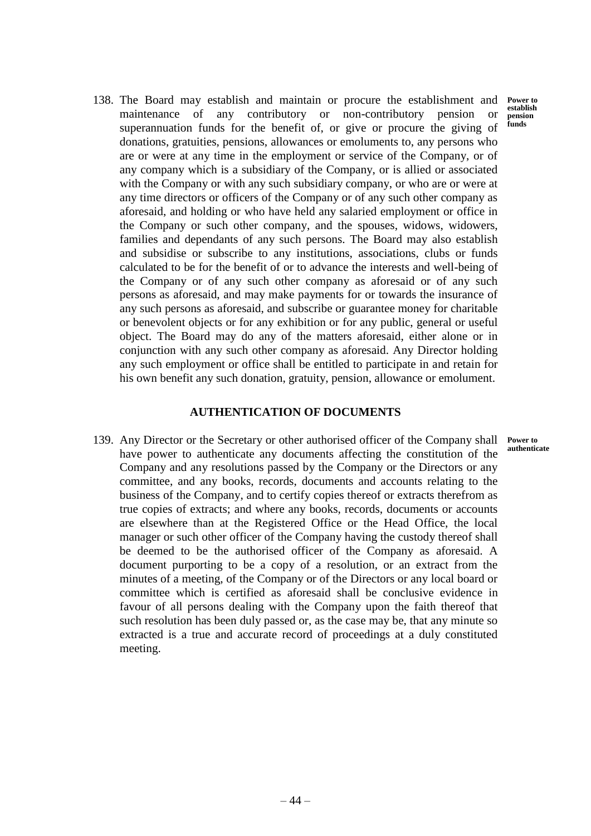**Power to establish pension funds**

138. The Board may establish and maintain or procure the establishment and maintenance of any contributory or non-contributory pension or superannuation funds for the benefit of, or give or procure the giving of donations, gratuities, pensions, allowances or emoluments to, any persons who are or were at any time in the employment or service of the Company, or of any company which is a subsidiary of the Company, or is allied or associated with the Company or with any such subsidiary company, or who are or were at any time directors or officers of the Company or of any such other company as aforesaid, and holding or who have held any salaried employment or office in the Company or such other company, and the spouses, widows, widowers, families and dependants of any such persons. The Board may also establish and subsidise or subscribe to any institutions, associations, clubs or funds calculated to be for the benefit of or to advance the interests and well-being of the Company or of any such other company as aforesaid or of any such persons as aforesaid, and may make payments for or towards the insurance of any such persons as aforesaid, and subscribe or guarantee money for charitable or benevolent objects or for any exhibition or for any public, general or useful object. The Board may do any of the matters aforesaid, either alone or in conjunction with any such other company as aforesaid. Any Director holding any such employment or office shall be entitled to participate in and retain for his own benefit any such donation, gratuity, pension, allowance or emolument.

## **AUTHENTICATION OF DOCUMENTS**

139. Any Director or the Secretary or other authorised officer of the Company shall have power to authenticate any documents affecting the constitution of the Company and any resolutions passed by the Company or the Directors or any committee, and any books, records, documents and accounts relating to the business of the Company, and to certify copies thereof or extracts therefrom as true copies of extracts; and where any books, records, documents or accounts are elsewhere than at the Registered Office or the Head Office, the local manager or such other officer of the Company having the custody thereof shall be deemed to be the authorised officer of the Company as aforesaid. A document purporting to be a copy of a resolution, or an extract from the minutes of a meeting, of the Company or of the Directors or any local board or committee which is certified as aforesaid shall be conclusive evidence in favour of all persons dealing with the Company upon the faith thereof that such resolution has been duly passed or, as the case may be, that any minute so extracted is a true and accurate record of proceedings at a duly constituted meeting. **Power to authenticate**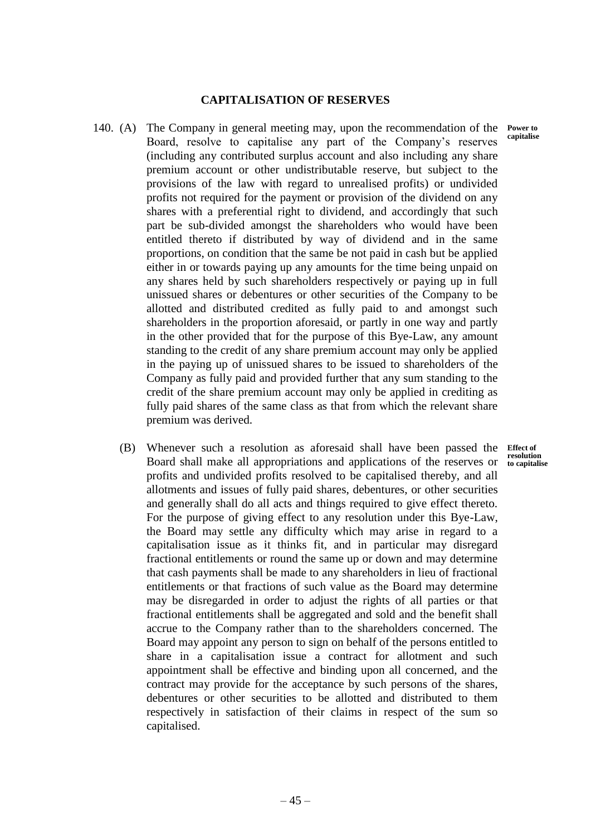### **CAPITALISATION OF RESERVES**

- 140. (A) The Company in general meeting may, upon the recommendation of the Board, resolve to capitalise any part of the Company's reserves (including any contributed surplus account and also including any share premium account or other undistributable reserve, but subject to the provisions of the law with regard to unrealised profits) or undivided profits not required for the payment or provision of the dividend on any shares with a preferential right to dividend, and accordingly that such part be sub-divided amongst the shareholders who would have been entitled thereto if distributed by way of dividend and in the same proportions, on condition that the same be not paid in cash but be applied either in or towards paying up any amounts for the time being unpaid on any shares held by such shareholders respectively or paying up in full unissued shares or debentures or other securities of the Company to be allotted and distributed credited as fully paid to and amongst such shareholders in the proportion aforesaid, or partly in one way and partly in the other provided that for the purpose of this Bye-Law, any amount standing to the credit of any share premium account may only be applied in the paying up of unissued shares to be issued to shareholders of the Company as fully paid and provided further that any sum standing to the credit of the share premium account may only be applied in crediting as fully paid shares of the same class as that from which the relevant share premium was derived.
	- (B) Whenever such a resolution as aforesaid shall have been passed the Board shall make all appropriations and applications of the reserves or profits and undivided profits resolved to be capitalised thereby, and all allotments and issues of fully paid shares, debentures, or other securities and generally shall do all acts and things required to give effect thereto. For the purpose of giving effect to any resolution under this Bye-Law, the Board may settle any difficulty which may arise in regard to a capitalisation issue as it thinks fit, and in particular may disregard fractional entitlements or round the same up or down and may determine that cash payments shall be made to any shareholders in lieu of fractional entitlements or that fractions of such value as the Board may determine may be disregarded in order to adjust the rights of all parties or that fractional entitlements shall be aggregated and sold and the benefit shall accrue to the Company rather than to the shareholders concerned. The Board may appoint any person to sign on behalf of the persons entitled to share in a capitalisation issue a contract for allotment and such appointment shall be effective and binding upon all concerned, and the contract may provide for the acceptance by such persons of the shares, debentures or other securities to be allotted and distributed to them respectively in satisfaction of their claims in respect of the sum so capitalised. **Effect of resolution to capitalise**

**Power to capitalise**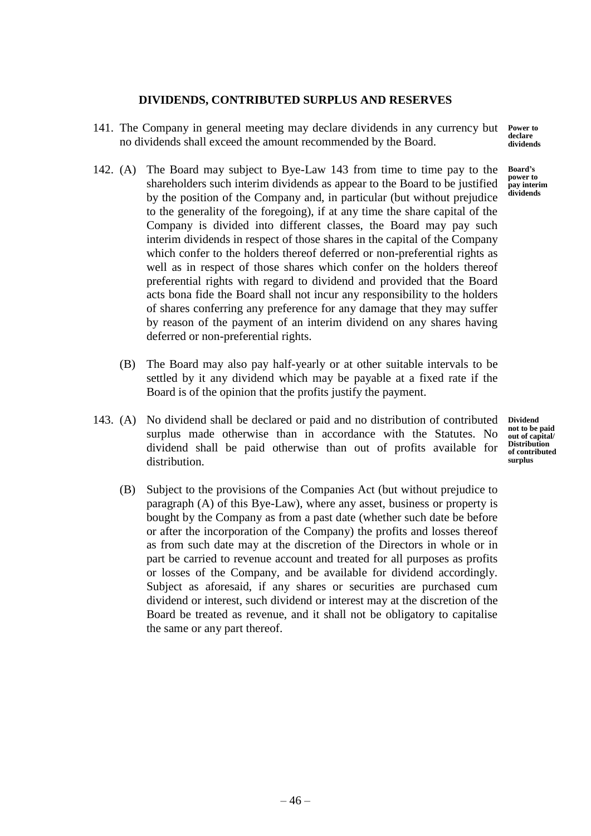# **DIVIDENDS, CONTRIBUTED SURPLUS AND RESERVES**

- 141. The Company in general meeting may declare dividends in any currency but no dividends shall exceed the amount recommended by the Board.
- 142. (A) The Board may subject to Bye-Law 143 from time to time pay to the shareholders such interim dividends as appear to the Board to be justified by the position of the Company and, in particular (but without prejudice to the generality of the foregoing), if at any time the share capital of the Company is divided into different classes, the Board may pay such interim dividends in respect of those shares in the capital of the Company which confer to the holders thereof deferred or non-preferential rights as well as in respect of those shares which confer on the holders thereof preferential rights with regard to dividend and provided that the Board acts bona fide the Board shall not incur any responsibility to the holders of shares conferring any preference for any damage that they may suffer by reason of the payment of an interim dividend on any shares having deferred or non-preferential rights.
	- (B) The Board may also pay half-yearly or at other suitable intervals to be settled by it any dividend which may be payable at a fixed rate if the Board is of the opinion that the profits justify the payment.
- 143. (A) No dividend shall be declared or paid and no distribution of contributed surplus made otherwise than in accordance with the Statutes. No dividend shall be paid otherwise than out of profits available for distribution.
	- **Dividend not to be paid out of capital/ Distribution of contributed surplus**
	- (B) Subject to the provisions of the Companies Act (but without prejudice to paragraph (A) of this Bye-Law), where any asset, business or property is bought by the Company as from a past date (whether such date be before or after the incorporation of the Company) the profits and losses thereof as from such date may at the discretion of the Directors in whole or in part be carried to revenue account and treated for all purposes as profits or losses of the Company, and be available for dividend accordingly. Subject as aforesaid, if any shares or securities are purchased cum dividend or interest, such dividend or interest may at the discretion of the Board be treated as revenue, and it shall not be obligatory to capitalise the same or any part thereof.

**Power to declare dividends**

**Board's power to pay interim dividends**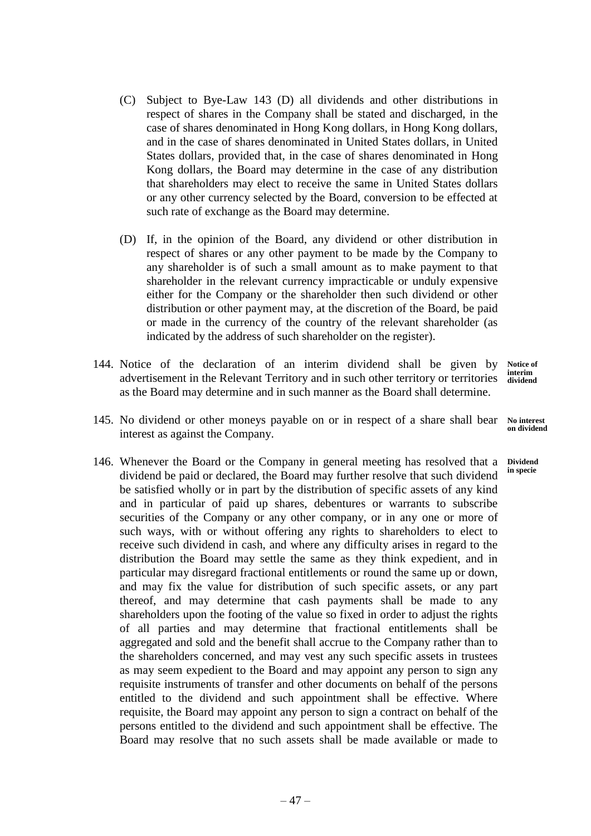- (C) Subject to Bye-Law 143 (D) all dividends and other distributions in respect of shares in the Company shall be stated and discharged, in the case of shares denominated in Hong Kong dollars, in Hong Kong dollars, and in the case of shares denominated in United States dollars, in United States dollars, provided that, in the case of shares denominated in Hong Kong dollars, the Board may determine in the case of any distribution that shareholders may elect to receive the same in United States dollars or any other currency selected by the Board, conversion to be effected at such rate of exchange as the Board may determine.
- (D) If, in the opinion of the Board, any dividend or other distribution in respect of shares or any other payment to be made by the Company to any shareholder is of such a small amount as to make payment to that shareholder in the relevant currency impracticable or unduly expensive either for the Company or the shareholder then such dividend or other distribution or other payment may, at the discretion of the Board, be paid or made in the currency of the country of the relevant shareholder (as indicated by the address of such shareholder on the register).
- 144. Notice of the declaration of an interim dividend shall be given by advertisement in the Relevant Territory and in such other territory or territories as the Board may determine and in such manner as the Board shall determine. **Notice of interim dividend**
- 145. No dividend or other moneys payable on or in respect of a share shall bear interest as against the Company. **No interest**
- 146. Whenever the Board or the Company in general meeting has resolved that a **Dividend**  dividend be paid or declared, the Board may further resolve that such dividend be satisfied wholly or in part by the distribution of specific assets of any kind and in particular of paid up shares, debentures or warrants to subscribe securities of the Company or any other company, or in any one or more of such ways, with or without offering any rights to shareholders to elect to receive such dividend in cash, and where any difficulty arises in regard to the distribution the Board may settle the same as they think expedient, and in particular may disregard fractional entitlements or round the same up or down, and may fix the value for distribution of such specific assets, or any part thereof, and may determine that cash payments shall be made to any shareholders upon the footing of the value so fixed in order to adjust the rights of all parties and may determine that fractional entitlements shall be aggregated and sold and the benefit shall accrue to the Company rather than to the shareholders concerned, and may vest any such specific assets in trustees as may seem expedient to the Board and may appoint any person to sign any requisite instruments of transfer and other documents on behalf of the persons entitled to the dividend and such appointment shall be effective. Where requisite, the Board may appoint any person to sign a contract on behalf of the persons entitled to the dividend and such appointment shall be effective. The Board may resolve that no such assets shall be made available or made to

**on dividend**

**in specie**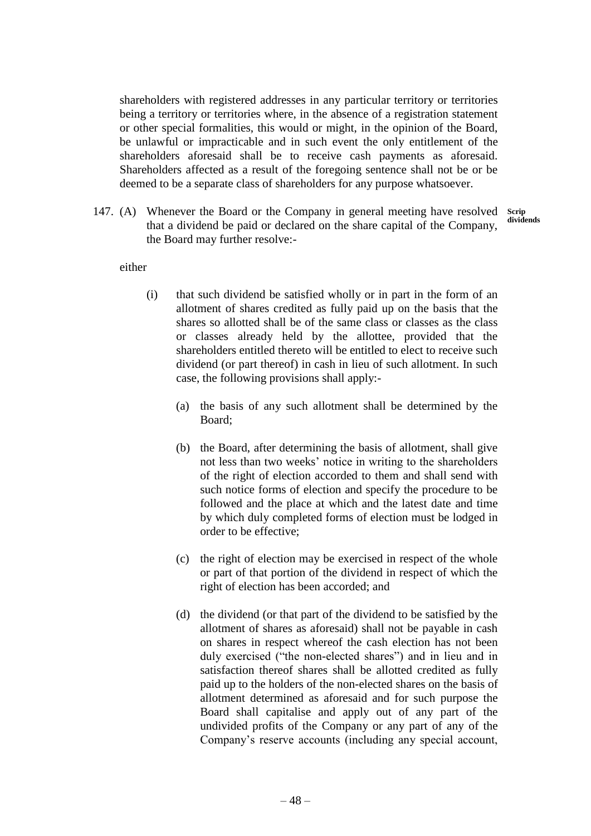shareholders with registered addresses in any particular territory or territories being a territory or territories where, in the absence of a registration statement or other special formalities, this would or might, in the opinion of the Board, be unlawful or impracticable and in such event the only entitlement of the shareholders aforesaid shall be to receive cash payments as aforesaid. Shareholders affected as a result of the foregoing sentence shall not be or be deemed to be a separate class of shareholders for any purpose whatsoever.

147. (A) Whenever the Board or the Company in general meeting have resolved that a dividend be paid or declared on the share capital of the Company, the Board may further resolve:- **Scrip dividends**

either

- (i) that such dividend be satisfied wholly or in part in the form of an allotment of shares credited as fully paid up on the basis that the shares so allotted shall be of the same class or classes as the class or classes already held by the allottee, provided that the shareholders entitled thereto will be entitled to elect to receive such dividend (or part thereof) in cash in lieu of such allotment. In such case, the following provisions shall apply:-
	- (a) the basis of any such allotment shall be determined by the Board;
	- (b) the Board, after determining the basis of allotment, shall give not less than two weeks' notice in writing to the shareholders of the right of election accorded to them and shall send with such notice forms of election and specify the procedure to be followed and the place at which and the latest date and time by which duly completed forms of election must be lodged in order to be effective;
	- (c) the right of election may be exercised in respect of the whole or part of that portion of the dividend in respect of which the right of election has been accorded; and
	- (d) the dividend (or that part of the dividend to be satisfied by the allotment of shares as aforesaid) shall not be payable in cash on shares in respect whereof the cash election has not been duly exercised ("the non-elected shares") and in lieu and in satisfaction thereof shares shall be allotted credited as fully paid up to the holders of the non-elected shares on the basis of allotment determined as aforesaid and for such purpose the Board shall capitalise and apply out of any part of the undivided profits of the Company or any part of any of the Company's reserve accounts (including any special account,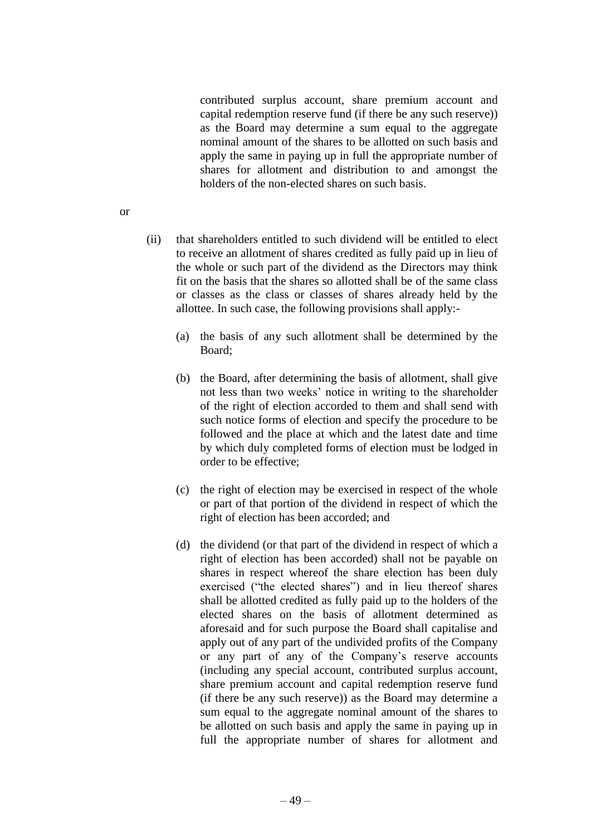contributed surplus account, share premium account and capital redemption reserve fund (if there be any such reserve)) as the Board may determine a sum equal to the aggregate nominal amount of the shares to be allotted on such basis and apply the same in paying up in full the appropriate number of shares for allotment and distribution to and amongst the holders of the non-elected shares on such basis.

- (ii) that shareholders entitled to such dividend will be entitled to elect to receive an allotment of shares credited as fully paid up in lieu of the whole or such part of the dividend as the Directors may think fit on the basis that the shares so allotted shall be of the same class or classes as the class or classes of shares already held by the allottee. In such case, the following provisions shall apply:-
	- (a) the basis of any such allotment shall be determined by the Board;
	- (b) the Board, after determining the basis of allotment, shall give not less than two weeks' notice in writing to the shareholder of the right of election accorded to them and shall send with such notice forms of election and specify the procedure to be followed and the place at which and the latest date and time by which duly completed forms of election must be lodged in order to be effective;
	- (c) the right of election may be exercised in respect of the whole or part of that portion of the dividend in respect of which the right of election has been accorded; and
	- (d) the dividend (or that part of the dividend in respect of which a right of election has been accorded) shall not be payable on shares in respect whereof the share election has been duly exercised ("the elected shares") and in lieu thereof shares shall be allotted credited as fully paid up to the holders of the elected shares on the basis of allotment determined as aforesaid and for such purpose the Board shall capitalise and apply out of any part of the undivided profits of the Company or any part of any of the Company's reserve accounts (including any special account, contributed surplus account, share premium account and capital redemption reserve fund (if there be any such reserve)) as the Board may determine a sum equal to the aggregate nominal amount of the shares to be allotted on such basis and apply the same in paying up in full the appropriate number of shares for allotment and

or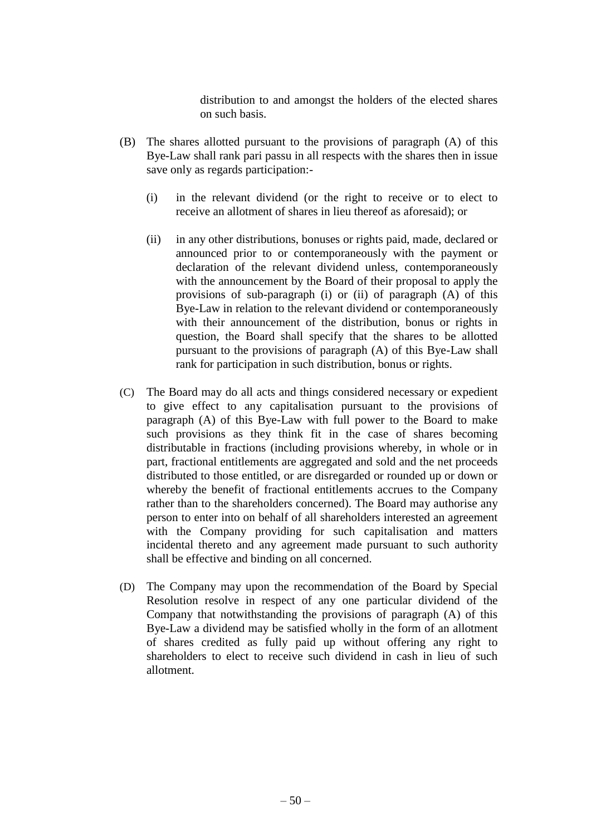distribution to and amongst the holders of the elected shares on such basis.

- (B) The shares allotted pursuant to the provisions of paragraph (A) of this Bye-Law shall rank pari passu in all respects with the shares then in issue save only as regards participation:-
	- (i) in the relevant dividend (or the right to receive or to elect to receive an allotment of shares in lieu thereof as aforesaid); or
	- (ii) in any other distributions, bonuses or rights paid, made, declared or announced prior to or contemporaneously with the payment or declaration of the relevant dividend unless, contemporaneously with the announcement by the Board of their proposal to apply the provisions of sub-paragraph (i) or (ii) of paragraph (A) of this Bye-Law in relation to the relevant dividend or contemporaneously with their announcement of the distribution, bonus or rights in question, the Board shall specify that the shares to be allotted pursuant to the provisions of paragraph (A) of this Bye-Law shall rank for participation in such distribution, bonus or rights.
- (C) The Board may do all acts and things considered necessary or expedient to give effect to any capitalisation pursuant to the provisions of paragraph (A) of this Bye-Law with full power to the Board to make such provisions as they think fit in the case of shares becoming distributable in fractions (including provisions whereby, in whole or in part, fractional entitlements are aggregated and sold and the net proceeds distributed to those entitled, or are disregarded or rounded up or down or whereby the benefit of fractional entitlements accrues to the Company rather than to the shareholders concerned). The Board may authorise any person to enter into on behalf of all shareholders interested an agreement with the Company providing for such capitalisation and matters incidental thereto and any agreement made pursuant to such authority shall be effective and binding on all concerned.
- (D) The Company may upon the recommendation of the Board by Special Resolution resolve in respect of any one particular dividend of the Company that notwithstanding the provisions of paragraph (A) of this Bye-Law a dividend may be satisfied wholly in the form of an allotment of shares credited as fully paid up without offering any right to shareholders to elect to receive such dividend in cash in lieu of such allotment.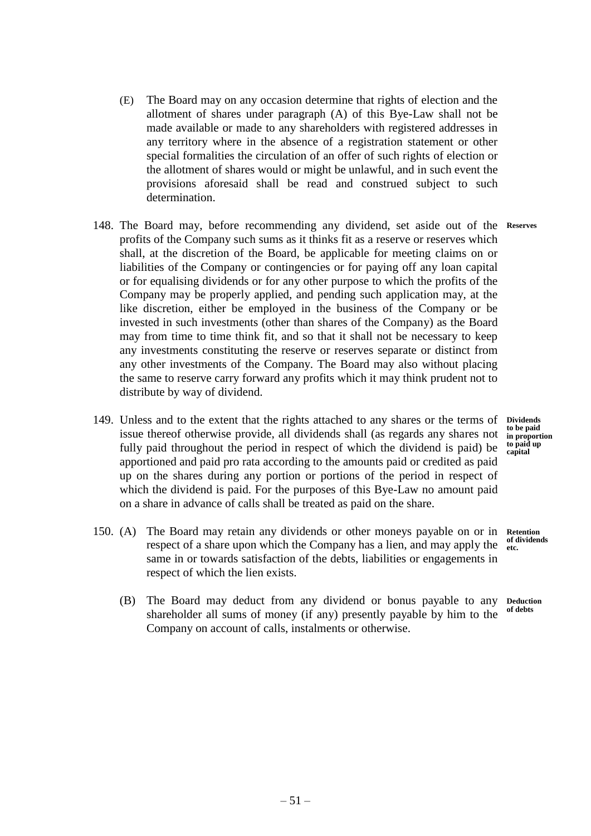- (E) The Board may on any occasion determine that rights of election and the allotment of shares under paragraph (A) of this Bye-Law shall not be made available or made to any shareholders with registered addresses in any territory where in the absence of a registration statement or other special formalities the circulation of an offer of such rights of election or the allotment of shares would or might be unlawful, and in such event the provisions aforesaid shall be read and construed subject to such determination.
- 148. The Board may, before recommending any dividend, set aside out of the **Reserves** profits of the Company such sums as it thinks fit as a reserve or reserves which shall, at the discretion of the Board, be applicable for meeting claims on or liabilities of the Company or contingencies or for paying off any loan capital or for equalising dividends or for any other purpose to which the profits of the Company may be properly applied, and pending such application may, at the like discretion, either be employed in the business of the Company or be invested in such investments (other than shares of the Company) as the Board may from time to time think fit, and so that it shall not be necessary to keep any investments constituting the reserve or reserves separate or distinct from any other investments of the Company. The Board may also without placing the same to reserve carry forward any profits which it may think prudent not to distribute by way of dividend.
- 149. Unless and to the extent that the rights attached to any shares or the terms of **Dividends** issue thereof otherwise provide, all dividends shall (as regards any shares not fully paid throughout the period in respect of which the dividend is paid) be apportioned and paid pro rata according to the amounts paid or credited as paid up on the shares during any portion or portions of the period in respect of which the dividend is paid. For the purposes of this Bye-Law no amount paid on a share in advance of calls shall be treated as paid on the share.
- 150. (A) The Board may retain any dividends or other moneys payable on or in **Retention**  respect of a share upon which the Company has a lien, and may apply the same in or towards satisfaction of the debts, liabilities or engagements in respect of which the lien exists. **etc.**
	- (B) The Board may deduct from any dividend or bonus payable to any shareholder all sums of money (if any) presently payable by him to the Company on account of calls, instalments or otherwise. **Deduction of debts**

**to be paid in proportion to paid up capital**

**of dividends**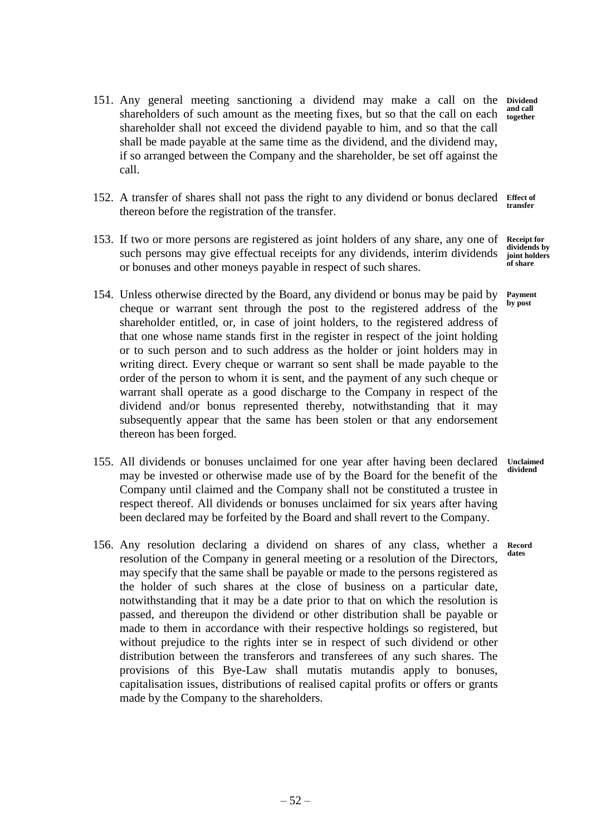- 151. Any general meeting sanctioning a dividend may make a call on the **Dividend**  shareholders of such amount as the meeting fixes, but so that the call on each and call shareholder shall not exceed the dividend payable to him, and so that the call shall be made payable at the same time as the dividend, and the dividend may, if so arranged between the Company and the shareholder, be set off against the call. **together**
- 152. A transfer of shares shall not pass the right to any dividend or bonus declared **Effect of**  thereon before the registration of the transfer. **transfer**
- 153. If two or more persons are registered as joint holders of any share, any one of such persons may give effectual receipts for any dividends, interim dividends or bonuses and other moneys payable in respect of such shares. **joint holders of share**
- 154. Unless otherwise directed by the Board, any dividend or bonus may be paid by cheque or warrant sent through the post to the registered address of the shareholder entitled, or, in case of joint holders, to the registered address of that one whose name stands first in the register in respect of the joint holding or to such person and to such address as the holder or joint holders may in writing direct. Every cheque or warrant so sent shall be made payable to the order of the person to whom it is sent, and the payment of any such cheque or warrant shall operate as a good discharge to the Company in respect of the dividend and/or bonus represented thereby, notwithstanding that it may subsequently appear that the same has been stolen or that any endorsement thereon has been forged.
- 155. All dividends or bonuses unclaimed for one year after having been declared may be invested or otherwise made use of by the Board for the benefit of the Company until claimed and the Company shall not be constituted a trustee in respect thereof. All dividends or bonuses unclaimed for six years after having been declared may be forfeited by the Board and shall revert to the Company. **Unclaimed dividend**
- 156. Any resolution declaring a dividend on shares of any class, whether a resolution of the Company in general meeting or a resolution of the Directors, may specify that the same shall be payable or made to the persons registered as the holder of such shares at the close of business on a particular date, notwithstanding that it may be a date prior to that on which the resolution is passed, and thereupon the dividend or other distribution shall be payable or made to them in accordance with their respective holdings so registered, but without prejudice to the rights inter se in respect of such dividend or other distribution between the transferors and transferees of any such shares. The provisions of this Bye-Law shall mutatis mutandis apply to bonuses, capitalisation issues, distributions of realised capital profits or offers or grants made by the Company to the shareholders. **Record dates**

**Receipt for dividends by** 

**Payment by post**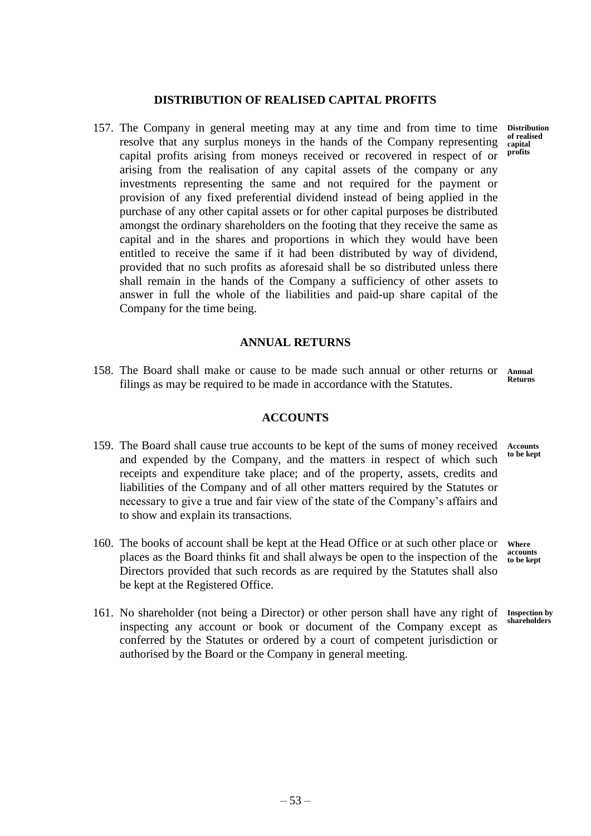# **DISTRIBUTION OF REALISED CAPITAL PROFITS**

157. The Company in general meeting may at any time and from time to time resolve that any surplus moneys in the hands of the Company representing capital profits arising from moneys received or recovered in respect of or arising from the realisation of any capital assets of the company or any investments representing the same and not required for the payment or provision of any fixed preferential dividend instead of being applied in the purchase of any other capital assets or for other capital purposes be distributed amongst the ordinary shareholders on the footing that they receive the same as capital and in the shares and proportions in which they would have been entitled to receive the same if it had been distributed by way of dividend, provided that no such profits as aforesaid shall be so distributed unless there shall remain in the hands of the Company a sufficiency of other assets to answer in full the whole of the liabilities and paid-up share capital of the Company for the time being.

# **ANNUAL RETURNS**

158. The Board shall make or cause to be made such annual or other returns or Annual filings as may be required to be made in accordance with the Statutes. **Returns**

# **ACCOUNTS**

- 159. The Board shall cause true accounts to be kept of the sums of money received and expended by the Company, and the matters in respect of which such receipts and expenditure take place; and of the property, assets, credits and liabilities of the Company and of all other matters required by the Statutes or necessary to give a true and fair view of the state of the Company's affairs and to show and explain its transactions. **Accounts to be kept**
- 160. The books of account shall be kept at the Head Office or at such other place or places as the Board thinks fit and shall always be open to the inspection of the Directors provided that such records as are required by the Statutes shall also be kept at the Registered Office. **Where**
- 161. No shareholder (not being a Director) or other person shall have any right of inspecting any account or book or document of the Company except as conferred by the Statutes or ordered by a court of competent jurisdiction or authorised by the Board or the Company in general meeting.

**Distribution of realised capital profits**

**accounts to be kept**

**Inspection by shareholders**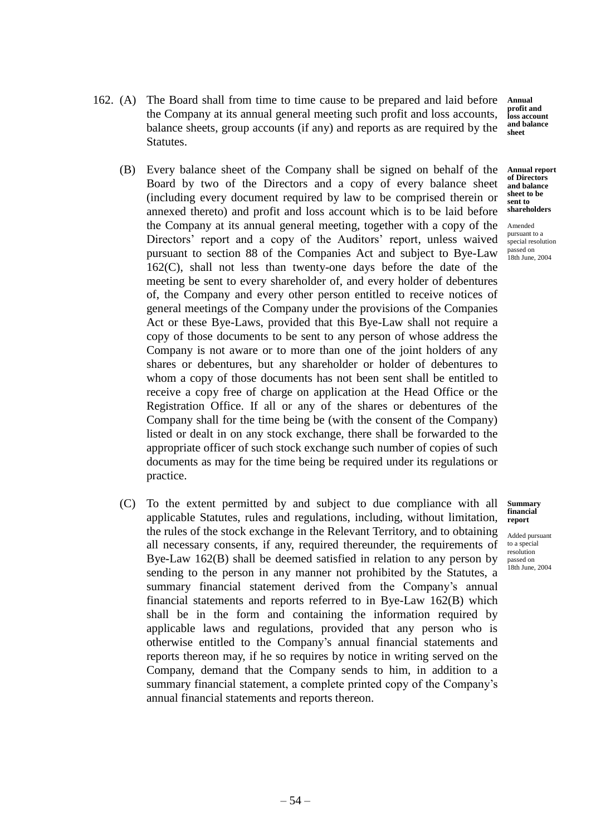162. (A) The Board shall from time to time cause to be prepared and laid before the Company at its annual general meeting such profit and loss accounts, balance sheets, group accounts (if any) and reports as are required by the Statutes.

**Annual profit and loss account and balance sheet**

- (B) Every balance sheet of the Company shall be signed on behalf of the Board by two of the Directors and a copy of every balance sheet (including every document required by law to be comprised therein or annexed thereto) and profit and loss account which is to be laid before the Company at its annual general meeting, together with a copy of the Directors' report and a copy of the Auditors' report, unless waived pursuant to section 88 of the Companies Act and subject to Bye-Law 162(C), shall not less than twenty-one days before the date of the meeting be sent to every shareholder of, and every holder of debentures of, the Company and every other person entitled to receive notices of general meetings of the Company under the provisions of the Companies Act or these Bye-Laws, provided that this Bye-Law shall not require a copy of those documents to be sent to any person of whose address the Company is not aware or to more than one of the joint holders of any shares or debentures, but any shareholder or holder of debentures to whom a copy of those documents has not been sent shall be entitled to receive a copy free of charge on application at the Head Office or the Registration Office. If all or any of the shares or debentures of the Company shall for the time being be (with the consent of the Company) listed or dealt in on any stock exchange, there shall be forwarded to the appropriate officer of such stock exchange such number of copies of such documents as may for the time being be required under its regulations or practice. **Annual report**
- (C) To the extent permitted by and subject to due compliance with all applicable Statutes, rules and regulations, including, without limitation, the rules of the stock exchange in the Relevant Territory, and to obtaining all necessary consents, if any, required thereunder, the requirements of Bye-Law 162(B) shall be deemed satisfied in relation to any person by sending to the person in any manner not prohibited by the Statutes, a summary financial statement derived from the Company's annual financial statements and reports referred to in Bye-Law 162(B) which shall be in the form and containing the information required by applicable laws and regulations, provided that any person who is otherwise entitled to the Company's annual financial statements and reports thereon may, if he so requires by notice in writing served on the Company, demand that the Company sends to him, in addition to a summary financial statement, a complete printed copy of the Company's annual financial statements and reports thereon.

**of Directors and balance sheet to be sent to shareholders**

Amended pursuant to a special resolution passed on 18th June, 2004

**Summary financial report**

Added pursuant to a special resolution passed on 18th June, 2004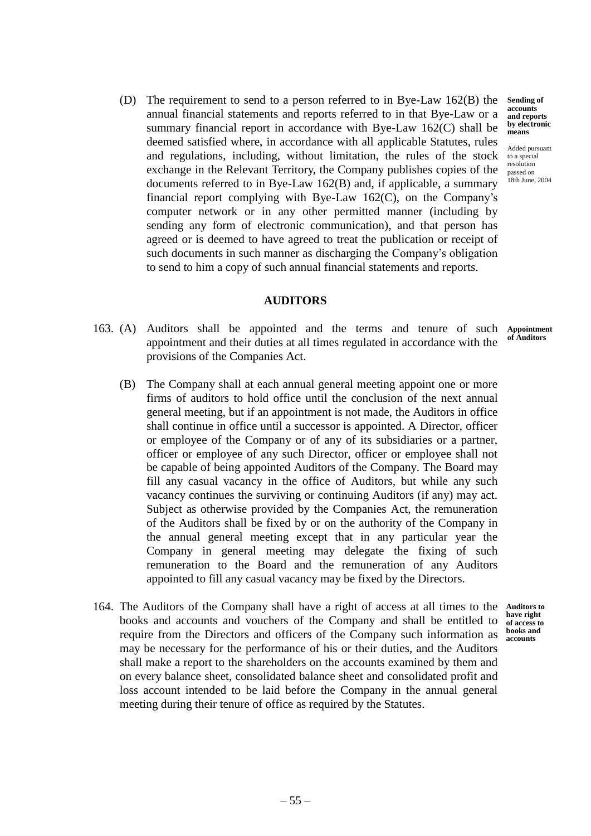annual financial statements and reports referred to in that Bye-Law or a summary financial report in accordance with Bye-Law 162(C) shall be deemed satisfied where, in accordance with all applicable Statutes, rules and regulations, including, without limitation, the rules of the stock exchange in the Relevant Territory, the Company publishes copies of the documents referred to in Bye-Law 162(B) and, if applicable, a summary financial report complying with Bye-Law 162(C), on the Company's computer network or in any other permitted manner (including by sending any form of electronic communication), and that person has agreed or is deemed to have agreed to treat the publication or receipt of such documents in such manner as discharging the Company's obligation to send to him a copy of such annual financial statements and reports.

(D) The requirement to send to a person referred to in Bye-Law 162(B) the

# **AUDITORS**

- 163. (A) Auditors shall be appointed and the terms and tenure of such appointment and their duties at all times regulated in accordance with the provisions of the Companies Act.
	- (B) The Company shall at each annual general meeting appoint one or more firms of auditors to hold office until the conclusion of the next annual general meeting, but if an appointment is not made, the Auditors in office shall continue in office until a successor is appointed. A Director, officer or employee of the Company or of any of its subsidiaries or a partner, officer or employee of any such Director, officer or employee shall not be capable of being appointed Auditors of the Company. The Board may fill any casual vacancy in the office of Auditors, but while any such vacancy continues the surviving or continuing Auditors (if any) may act. Subject as otherwise provided by the Companies Act, the remuneration of the Auditors shall be fixed by or on the authority of the Company in the annual general meeting except that in any particular year the Company in general meeting may delegate the fixing of such remuneration to the Board and the remuneration of any Auditors appointed to fill any casual vacancy may be fixed by the Directors.
- 164. The Auditors of the Company shall have a right of access at all times to the books and accounts and vouchers of the Company and shall be entitled to require from the Directors and officers of the Company such information as may be necessary for the performance of his or their duties, and the Auditors shall make a report to the shareholders on the accounts examined by them and on every balance sheet, consolidated balance sheet and consolidated profit and loss account intended to be laid before the Company in the annual general meeting during their tenure of office as required by the Statutes.

**Sending of accounts and reports by electronic means**

Added pursuant to a special resolution passed on 18th June, 2004

**Appointment of Auditors**

**Auditors to have right of access to books and accounts**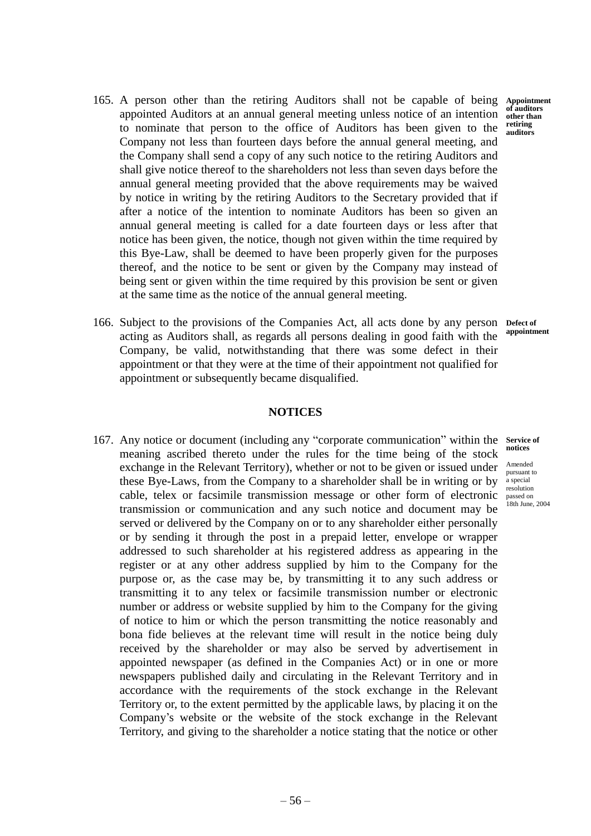- 165. A person other than the retiring Auditors shall not be capable of being appointed Auditors at an annual general meeting unless notice of an intention to nominate that person to the office of Auditors has been given to the Company not less than fourteen days before the annual general meeting, and the Company shall send a copy of any such notice to the retiring Auditors and shall give notice thereof to the shareholders not less than seven days before the annual general meeting provided that the above requirements may be waived by notice in writing by the retiring Auditors to the Secretary provided that if after a notice of the intention to nominate Auditors has been so given an annual general meeting is called for a date fourteen days or less after that notice has been given, the notice, though not given within the time required by this Bye-Law, shall be deemed to have been properly given for the purposes thereof, and the notice to be sent or given by the Company may instead of being sent or given within the time required by this provision be sent or given at the same time as the notice of the annual general meeting.
- 166. Subject to the provisions of the Companies Act, all acts done by any person acting as Auditors shall, as regards all persons dealing in good faith with the Company, be valid, notwithstanding that there was some defect in their appointment or that they were at the time of their appointment not qualified for appointment or subsequently became disqualified. **Defect of**

**Appointment of auditors other than retiring auditors**

**appointment**

## **NOTICES**

167. Any notice or document (including any "corporate communication" within the service of meaning ascribed thereto under the rules for the time being of the stock exchange in the Relevant Territory), whether or not to be given or issued under these Bye-Laws, from the Company to a shareholder shall be in writing or by cable, telex or facsimile transmission message or other form of electronic transmission or communication and any such notice and document may be served or delivered by the Company on or to any shareholder either personally or by sending it through the post in a prepaid letter, envelope or wrapper addressed to such shareholder at his registered address as appearing in the register or at any other address supplied by him to the Company for the purpose or, as the case may be, by transmitting it to any such address or transmitting it to any telex or facsimile transmission number or electronic number or address or website supplied by him to the Company for the giving of notice to him or which the person transmitting the notice reasonably and bona fide believes at the relevant time will result in the notice being duly received by the shareholder or may also be served by advertisement in appointed newspaper (as defined in the Companies Act) or in one or more newspapers published daily and circulating in the Relevant Territory and in accordance with the requirements of the stock exchange in the Relevant Territory or, to the extent permitted by the applicable laws, by placing it on the Company's website or the website of the stock exchange in the Relevant Territory, and giving to the shareholder a notice stating that the notice or other

**notices**

Amended pursuant to a special resolution passed on 18th June, 2004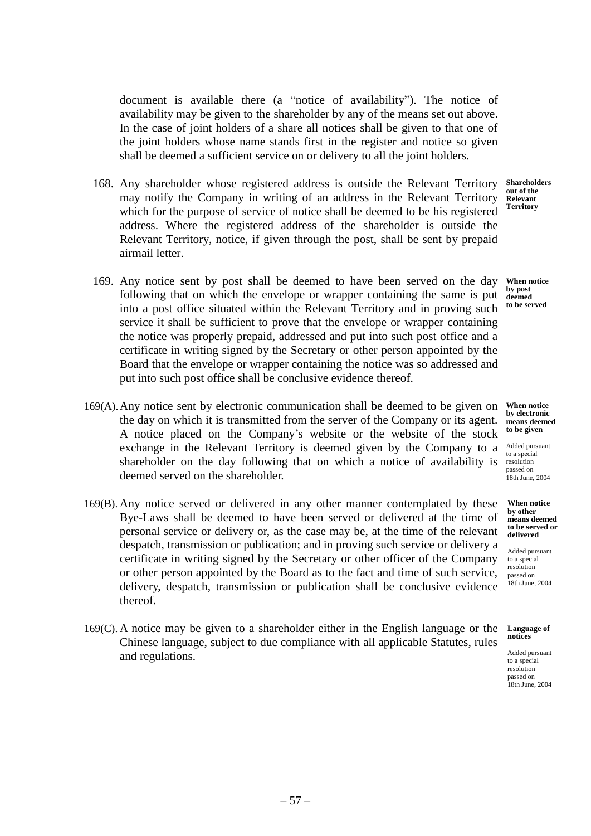document is available there (a "notice of availability"). The notice of availability may be given to the shareholder by any of the means set out above. In the case of joint holders of a share all notices shall be given to that one of the joint holders whose name stands first in the register and notice so given shall be deemed a sufficient service on or delivery to all the joint holders.

- 168. Any shareholder whose registered address is outside the Relevant Territory may notify the Company in writing of an address in the Relevant Territory which for the purpose of service of notice shall be deemed to be his registered address. Where the registered address of the shareholder is outside the Relevant Territory, notice, if given through the post, shall be sent by prepaid airmail letter.
- 169. Any notice sent by post shall be deemed to have been served on the day following that on which the envelope or wrapper containing the same is put into a post office situated within the Relevant Territory and in proving such service it shall be sufficient to prove that the envelope or wrapper containing the notice was properly prepaid, addressed and put into such post office and a certificate in writing signed by the Secretary or other person appointed by the Board that the envelope or wrapper containing the notice was so addressed and put into such post office shall be conclusive evidence thereof.
- 169(A).Any notice sent by electronic communication shall be deemed to be given on the day on which it is transmitted from the server of the Company or its agent. A notice placed on the Company's website or the website of the stock exchange in the Relevant Territory is deemed given by the Company to a shareholder on the day following that on which a notice of availability is deemed served on the shareholder.
- 169(B). Any notice served or delivered in any other manner contemplated by these Bye-Laws shall be deemed to have been served or delivered at the time of personal service or delivery or, as the case may be, at the time of the relevant despatch, transmission or publication; and in proving such service or delivery a certificate in writing signed by the Secretary or other officer of the Company or other person appointed by the Board as to the fact and time of such service, delivery, despatch, transmission or publication shall be conclusive evidence thereof.
- 169(C). A notice may be given to a shareholder either in the English language or the Chinese language, subject to due compliance with all applicable Statutes, rules and regulations.

**Shareholders out of the Relevant Territory**

**When notice by post deemed to be served**

**When notice by electronic means deemed to be given**

Added pursuant to a special resolution passed on  $18th$  June,  $2004$ 

**When notice by other means deemed to be served or delivered**

Added pursuant to a special resolution passed on 18th June, 2004

**Language of notices**

Added pursuant to a special resolution passed on 18th June, 2004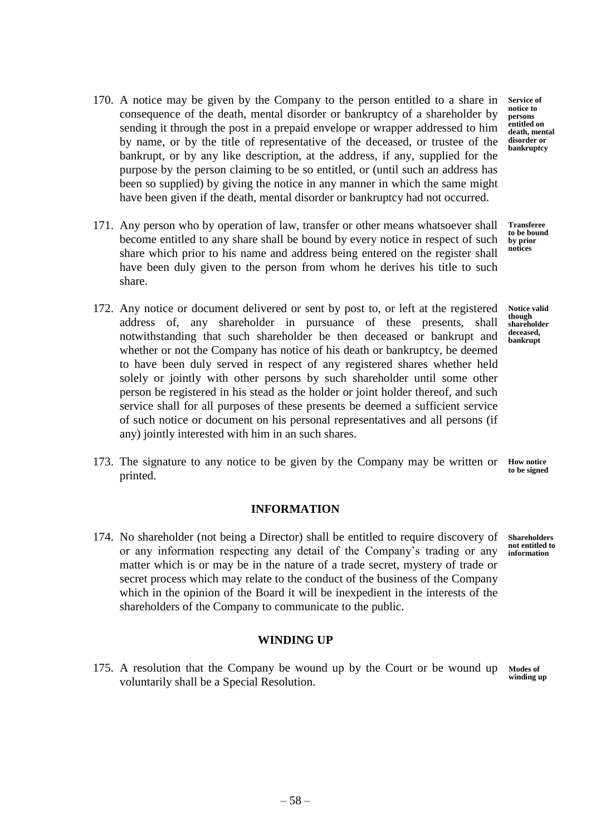- 170. A notice may be given by the Company to the person entitled to a share in consequence of the death, mental disorder or bankruptcy of a shareholder by sending it through the post in a prepaid envelope or wrapper addressed to him by name, or by the title of representative of the deceased, or trustee of the bankrupt, or by any like description, at the address, if any, supplied for the purpose by the person claiming to be so entitled, or (until such an address has been so supplied) by giving the notice in any manner in which the same might have been given if the death, mental disorder or bankruptcy had not occurred.
- 171. Any person who by operation of law, transfer or other means whatsoever shall become entitled to any share shall be bound by every notice in respect of such share which prior to his name and address being entered on the register shall have been duly given to the person from whom he derives his title to such share.
- 172. Any notice or document delivered or sent by post to, or left at the registered address of, any shareholder in pursuance of these presents, shall notwithstanding that such shareholder be then deceased or bankrupt and whether or not the Company has notice of his death or bankruptcy, be deemed to have been duly served in respect of any registered shares whether held solely or jointly with other persons by such shareholder until some other person be registered in his stead as the holder or joint holder thereof, and such service shall for all purposes of these presents be deemed a sufficient service of such notice or document on his personal representatives and all persons (if any) jointly interested with him in an such shares.
- 173. The signature to any notice to be given by the Company may be written or **How notice** printed. **to be signed**

# **INFORMATION**

174. No shareholder (not being a Director) shall be entitled to require discovery of or any information respecting any detail of the Company's trading or any matter which is or may be in the nature of a trade secret, mystery of trade or secret process which may relate to the conduct of the business of the Company which in the opinion of the Board it will be inexpedient in the interests of the shareholders of the Company to communicate to the public.

# **WINDING UP**

175. A resolution that the Company be wound up by the Court or be wound up voluntarily shall be a Special Resolution. **Modes of** 

**Service of notice to persons entitled on death, mental disorder or bankruptcy**

**Transferee to be bound by prior notices**

**Notice valid though shareholder deceased, bankrupt**

**Shareholders not entitled to** 

**information**

**winding up**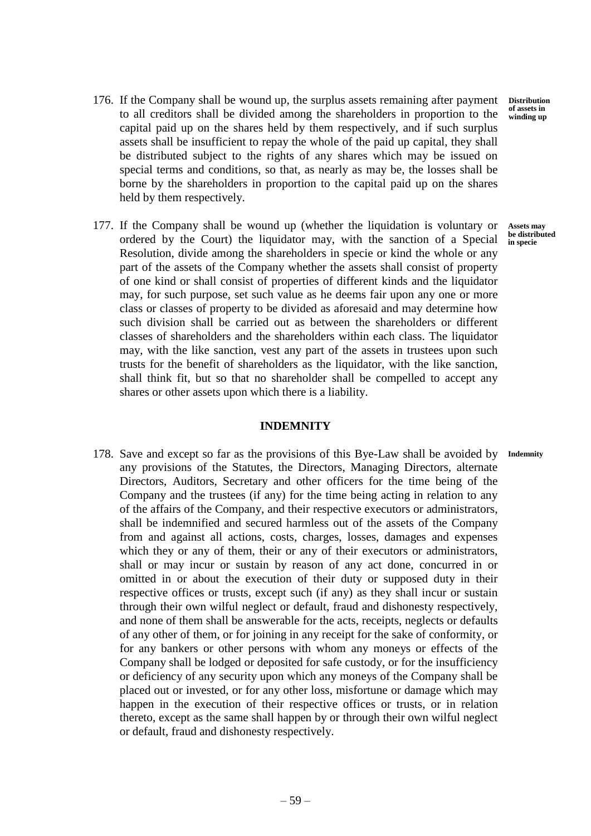**Distribution of assets in winding up**

- 176. If the Company shall be wound up, the surplus assets remaining after payment to all creditors shall be divided among the shareholders in proportion to the capital paid up on the shares held by them respectively, and if such surplus assets shall be insufficient to repay the whole of the paid up capital, they shall be distributed subject to the rights of any shares which may be issued on special terms and conditions, so that, as nearly as may be, the losses shall be borne by the shareholders in proportion to the capital paid up on the shares held by them respectively.
- 177. If the Company shall be wound up (whether the liquidation is voluntary or ordered by the Court) the liquidator may, with the sanction of a Special Resolution, divide among the shareholders in specie or kind the whole or any part of the assets of the Company whether the assets shall consist of property of one kind or shall consist of properties of different kinds and the liquidator may, for such purpose, set such value as he deems fair upon any one or more class or classes of property to be divided as aforesaid and may determine how such division shall be carried out as between the shareholders or different classes of shareholders and the shareholders within each class. The liquidator may, with the like sanction, vest any part of the assets in trustees upon such trusts for the benefit of shareholders as the liquidator, with the like sanction, shall think fit, but so that no shareholder shall be compelled to accept any shares or other assets upon which there is a liability. **Assets may be distributed in specie**

# **INDEMNITY**

178. Save and except so far as the provisions of this Bye-Law shall be avoided by any provisions of the Statutes, the Directors, Managing Directors, alternate Directors, Auditors, Secretary and other officers for the time being of the Company and the trustees (if any) for the time being acting in relation to any of the affairs of the Company, and their respective executors or administrators, shall be indemnified and secured harmless out of the assets of the Company from and against all actions, costs, charges, losses, damages and expenses which they or any of them, their or any of their executors or administrators, shall or may incur or sustain by reason of any act done, concurred in or omitted in or about the execution of their duty or supposed duty in their respective offices or trusts, except such (if any) as they shall incur or sustain through their own wilful neglect or default, fraud and dishonesty respectively, and none of them shall be answerable for the acts, receipts, neglects or defaults of any other of them, or for joining in any receipt for the sake of conformity, or for any bankers or other persons with whom any moneys or effects of the Company shall be lodged or deposited for safe custody, or for the insufficiency or deficiency of any security upon which any moneys of the Company shall be placed out or invested, or for any other loss, misfortune or damage which may happen in the execution of their respective offices or trusts, or in relation thereto, except as the same shall happen by or through their own wilful neglect or default, fraud and dishonesty respectively. **Indemnity**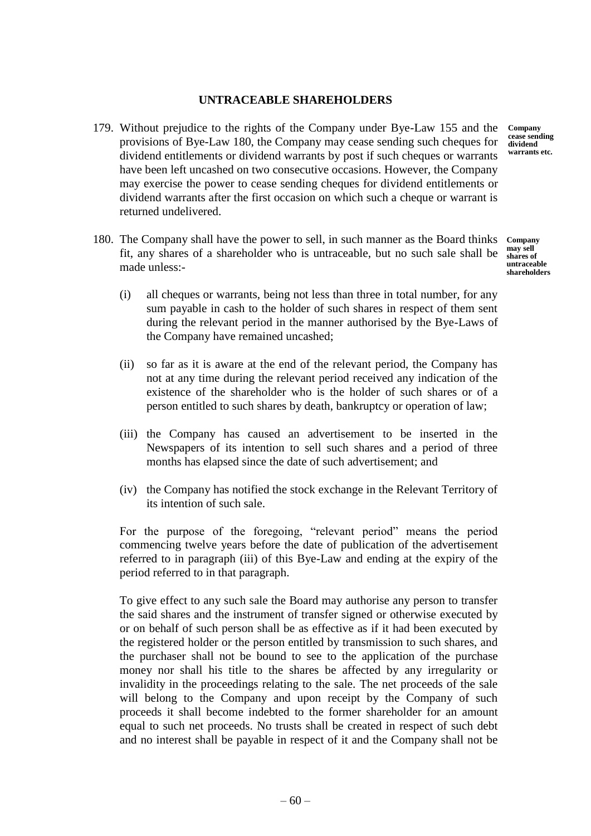# **UNTRACEABLE SHAREHOLDERS**

179. Without prejudice to the rights of the Company under Bye-Law 155 and the provisions of Bye-Law 180, the Company may cease sending such cheques for dividend entitlements or dividend warrants by post if such cheques or warrants have been left uncashed on two consecutive occasions. However, the Company may exercise the power to cease sending cheques for dividend entitlements or dividend warrants after the first occasion on which such a cheque or warrant is returned undelivered.

180. The Company shall have the power to sell, in such manner as the Board thinks fit, any shares of a shareholder who is untraceable, but no such sale shall be made unless:- **Company may sell shares of untraceable shareholders**

- (i) all cheques or warrants, being not less than three in total number, for any sum payable in cash to the holder of such shares in respect of them sent during the relevant period in the manner authorised by the Bye-Laws of the Company have remained uncashed;
- (ii) so far as it is aware at the end of the relevant period, the Company has not at any time during the relevant period received any indication of the existence of the shareholder who is the holder of such shares or of a person entitled to such shares by death, bankruptcy or operation of law;
- (iii) the Company has caused an advertisement to be inserted in the Newspapers of its intention to sell such shares and a period of three months has elapsed since the date of such advertisement; and
- (iv) the Company has notified the stock exchange in the Relevant Territory of its intention of such sale.

For the purpose of the foregoing, "relevant period" means the period commencing twelve years before the date of publication of the advertisement referred to in paragraph (iii) of this Bye-Law and ending at the expiry of the period referred to in that paragraph.

To give effect to any such sale the Board may authorise any person to transfer the said shares and the instrument of transfer signed or otherwise executed by or on behalf of such person shall be as effective as if it had been executed by the registered holder or the person entitled by transmission to such shares, and the purchaser shall not be bound to see to the application of the purchase money nor shall his title to the shares be affected by any irregularity or invalidity in the proceedings relating to the sale. The net proceeds of the sale will belong to the Company and upon receipt by the Company of such proceeds it shall become indebted to the former shareholder for an amount equal to such net proceeds. No trusts shall be created in respect of such debt and no interest shall be payable in respect of it and the Company shall not be

**Company cease sending dividend warrants etc.**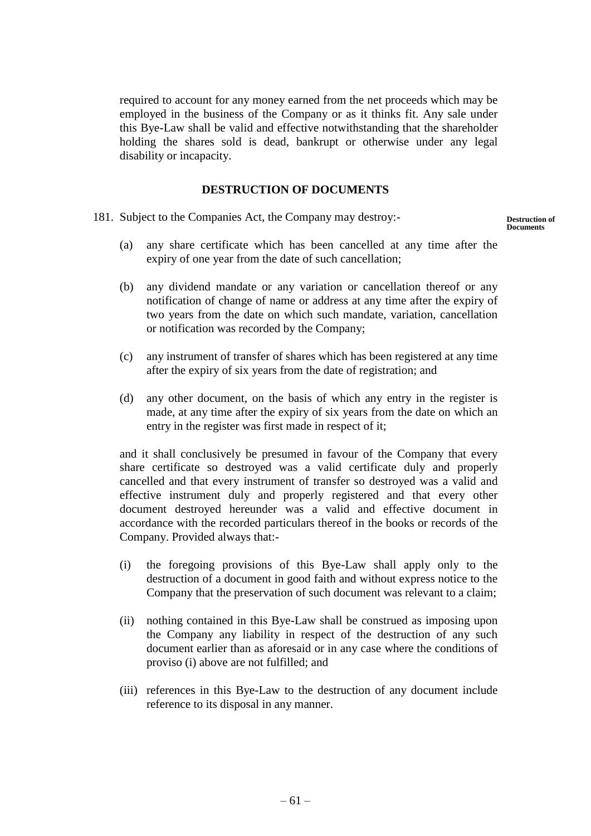required to account for any money earned from the net proceeds which may be employed in the business of the Company or as it thinks fit. Any sale under this Bye-Law shall be valid and effective notwithstanding that the shareholder holding the shares sold is dead, bankrupt or otherwise under any legal disability or incapacity.

# **DESTRUCTION OF DOCUMENTS**

181. Subject to the Companies Act, the Company may destroy:-

**Destruction of Documents**

- (a) any share certificate which has been cancelled at any time after the expiry of one year from the date of such cancellation;
- (b) any dividend mandate or any variation or cancellation thereof or any notification of change of name or address at any time after the expiry of two years from the date on which such mandate, variation, cancellation or notification was recorded by the Company;
- (c) any instrument of transfer of shares which has been registered at any time after the expiry of six years from the date of registration; and
- (d) any other document, on the basis of which any entry in the register is made, at any time after the expiry of six years from the date on which an entry in the register was first made in respect of it;

and it shall conclusively be presumed in favour of the Company that every share certificate so destroyed was a valid certificate duly and properly cancelled and that every instrument of transfer so destroyed was a valid and effective instrument duly and properly registered and that every other document destroyed hereunder was a valid and effective document in accordance with the recorded particulars thereof in the books or records of the Company. Provided always that:-

- (i) the foregoing provisions of this Bye-Law shall apply only to the destruction of a document in good faith and without express notice to the Company that the preservation of such document was relevant to a claim;
- (ii) nothing contained in this Bye-Law shall be construed as imposing upon the Company any liability in respect of the destruction of any such document earlier than as aforesaid or in any case where the conditions of proviso (i) above are not fulfilled; and
- (iii) references in this Bye-Law to the destruction of any document include reference to its disposal in any manner.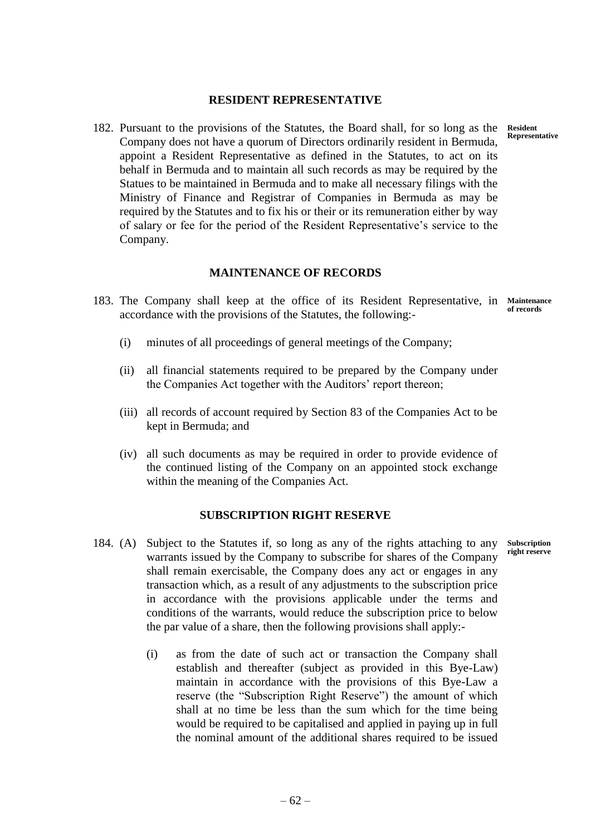### **RESIDENT REPRESENTATIVE**

182. Pursuant to the provisions of the Statutes, the Board shall, for so long as the Company does not have a quorum of Directors ordinarily resident in Bermuda, appoint a Resident Representative as defined in the Statutes, to act on its behalf in Bermuda and to maintain all such records as may be required by the Statues to be maintained in Bermuda and to make all necessary filings with the Ministry of Finance and Registrar of Companies in Bermuda as may be required by the Statutes and to fix his or their or its remuneration either by way of salary or fee for the period of the Resident Representative's service to the Company.

## **MAINTENANCE OF RECORDS**

- 183. The Company shall keep at the office of its Resident Representative, in **Maintenance**  accordance with the provisions of the Statutes, the following: **of records**
	- (i) minutes of all proceedings of general meetings of the Company;
	- (ii) all financial statements required to be prepared by the Company under the Companies Act together with the Auditors' report thereon;
	- (iii) all records of account required by Section 83 of the Companies Act to be kept in Bermuda; and
	- (iv) all such documents as may be required in order to provide evidence of the continued listing of the Company on an appointed stock exchange within the meaning of the Companies Act.

#### **SUBSCRIPTION RIGHT RESERVE**

- 184. (A) Subject to the Statutes if, so long as any of the rights attaching to any warrants issued by the Company to subscribe for shares of the Company shall remain exercisable, the Company does any act or engages in any transaction which, as a result of any adjustments to the subscription price in accordance with the provisions applicable under the terms and conditions of the warrants, would reduce the subscription price to below the par value of a share, then the following provisions shall apply:- **Subscription right reserve**
	- (i) as from the date of such act or transaction the Company shall establish and thereafter (subject as provided in this Bye-Law) maintain in accordance with the provisions of this Bye-Law a reserve (the "Subscription Right Reserve") the amount of which shall at no time be less than the sum which for the time being would be required to be capitalised and applied in paying up in full the nominal amount of the additional shares required to be issued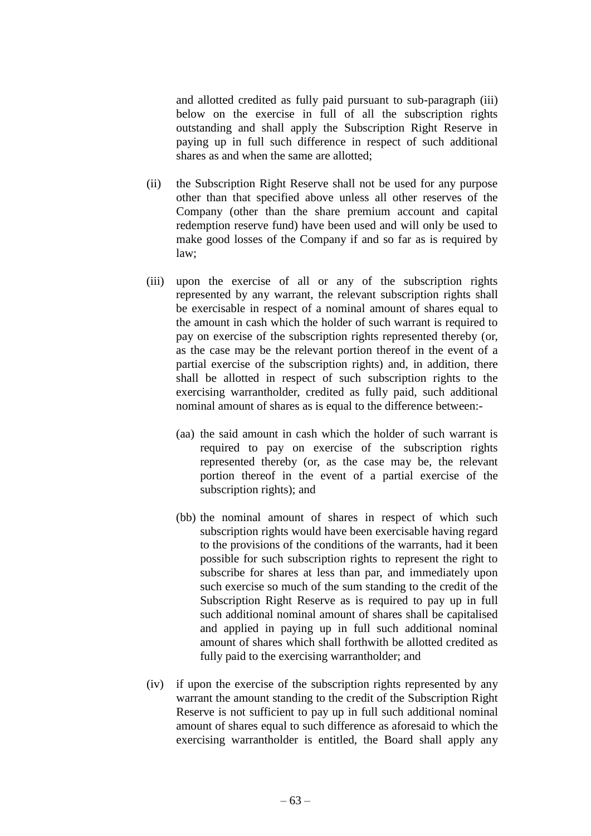and allotted credited as fully paid pursuant to sub-paragraph (iii) below on the exercise in full of all the subscription rights outstanding and shall apply the Subscription Right Reserve in paying up in full such difference in respect of such additional shares as and when the same are allotted;

- (ii) the Subscription Right Reserve shall not be used for any purpose other than that specified above unless all other reserves of the Company (other than the share premium account and capital redemption reserve fund) have been used and will only be used to make good losses of the Company if and so far as is required by law;
- (iii) upon the exercise of all or any of the subscription rights represented by any warrant, the relevant subscription rights shall be exercisable in respect of a nominal amount of shares equal to the amount in cash which the holder of such warrant is required to pay on exercise of the subscription rights represented thereby (or, as the case may be the relevant portion thereof in the event of a partial exercise of the subscription rights) and, in addition, there shall be allotted in respect of such subscription rights to the exercising warrantholder, credited as fully paid, such additional nominal amount of shares as is equal to the difference between:-
	- (aa) the said amount in cash which the holder of such warrant is required to pay on exercise of the subscription rights represented thereby (or, as the case may be, the relevant portion thereof in the event of a partial exercise of the subscription rights); and
	- (bb) the nominal amount of shares in respect of which such subscription rights would have been exercisable having regard to the provisions of the conditions of the warrants, had it been possible for such subscription rights to represent the right to subscribe for shares at less than par, and immediately upon such exercise so much of the sum standing to the credit of the Subscription Right Reserve as is required to pay up in full such additional nominal amount of shares shall be capitalised and applied in paying up in full such additional nominal amount of shares which shall forthwith be allotted credited as fully paid to the exercising warrantholder; and
- (iv) if upon the exercise of the subscription rights represented by any warrant the amount standing to the credit of the Subscription Right Reserve is not sufficient to pay up in full such additional nominal amount of shares equal to such difference as aforesaid to which the exercising warrantholder is entitled, the Board shall apply any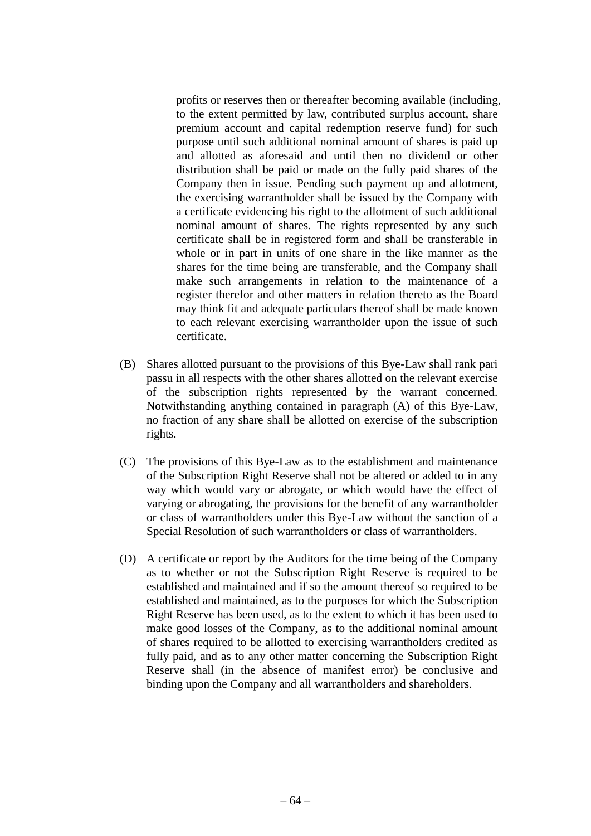profits or reserves then or thereafter becoming available (including, to the extent permitted by law, contributed surplus account, share premium account and capital redemption reserve fund) for such purpose until such additional nominal amount of shares is paid up and allotted as aforesaid and until then no dividend or other distribution shall be paid or made on the fully paid shares of the Company then in issue. Pending such payment up and allotment, the exercising warrantholder shall be issued by the Company with a certificate evidencing his right to the allotment of such additional nominal amount of shares. The rights represented by any such certificate shall be in registered form and shall be transferable in whole or in part in units of one share in the like manner as the shares for the time being are transferable, and the Company shall make such arrangements in relation to the maintenance of a register therefor and other matters in relation thereto as the Board may think fit and adequate particulars thereof shall be made known to each relevant exercising warrantholder upon the issue of such certificate.

- (B) Shares allotted pursuant to the provisions of this Bye-Law shall rank pari passu in all respects with the other shares allotted on the relevant exercise of the subscription rights represented by the warrant concerned. Notwithstanding anything contained in paragraph (A) of this Bye-Law, no fraction of any share shall be allotted on exercise of the subscription rights.
- (C) The provisions of this Bye-Law as to the establishment and maintenance of the Subscription Right Reserve shall not be altered or added to in any way which would vary or abrogate, or which would have the effect of varying or abrogating, the provisions for the benefit of any warrantholder or class of warrantholders under this Bye-Law without the sanction of a Special Resolution of such warrantholders or class of warrantholders.
- (D) A certificate or report by the Auditors for the time being of the Company as to whether or not the Subscription Right Reserve is required to be established and maintained and if so the amount thereof so required to be established and maintained, as to the purposes for which the Subscription Right Reserve has been used, as to the extent to which it has been used to make good losses of the Company, as to the additional nominal amount of shares required to be allotted to exercising warrantholders credited as fully paid, and as to any other matter concerning the Subscription Right Reserve shall (in the absence of manifest error) be conclusive and binding upon the Company and all warrantholders and shareholders.